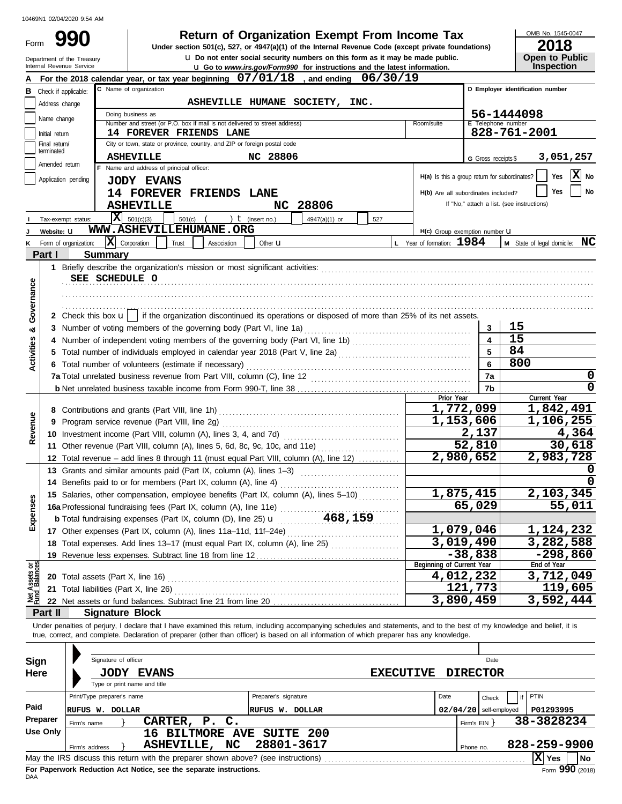Form

u **Do not enter social security numbers on this form as it may be made public. Open to Public 990 1990 2018 Deturn of Organization Exempt From Income Tax 1945-0 2018** 

OMB No. 1545-0047

|                                | Department of the Treasury<br>Internal Revenue Service |                                        |                                                              | <b>u</b> Do not enter social security numbers on this form as it may be made public.                                                                                                      |                      | <b>u</b> Go to www.irs.gov/Form990 for instructions and the latest information. |                  |                                                             |                          | <b>Open to Public</b><br><b>Inspection</b>                                                                                                                                 |
|--------------------------------|--------------------------------------------------------|----------------------------------------|--------------------------------------------------------------|-------------------------------------------------------------------------------------------------------------------------------------------------------------------------------------------|----------------------|---------------------------------------------------------------------------------|------------------|-------------------------------------------------------------|--------------------------|----------------------------------------------------------------------------------------------------------------------------------------------------------------------------|
|                                |                                                        |                                        |                                                              | For the 2018 calendar year, or tax year beginning 07/01/18, and ending 06/30/19                                                                                                           |                      |                                                                                 |                  |                                                             |                          |                                                                                                                                                                            |
|                                | <b>B</b> Check if applicable:                          |                                        | C Name of organization                                       |                                                                                                                                                                                           |                      |                                                                                 |                  |                                                             |                          | D Employer identification number                                                                                                                                           |
|                                | Address change                                         |                                        |                                                              | ASHEVILLE HUMANE SOCIETY, INC.                                                                                                                                                            |                      |                                                                                 |                  |                                                             |                          |                                                                                                                                                                            |
|                                |                                                        |                                        | Doing business as                                            |                                                                                                                                                                                           |                      |                                                                                 |                  |                                                             |                          | 56-1444098                                                                                                                                                                 |
|                                | Name change                                            |                                        |                                                              | Number and street (or P.O. box if mail is not delivered to street address)                                                                                                                |                      |                                                                                 |                  | Room/suite                                                  | E Telephone number       |                                                                                                                                                                            |
|                                | Initial return                                         |                                        |                                                              | <b>14 FOREVER FRIENDS LANE</b>                                                                                                                                                            |                      |                                                                                 |                  |                                                             |                          | 828-761-2001                                                                                                                                                               |
|                                | Final return/<br>terminated                            |                                        |                                                              | City or town, state or province, country, and ZIP or foreign postal code                                                                                                                  |                      |                                                                                 |                  |                                                             |                          |                                                                                                                                                                            |
|                                | Amended return                                         |                                        | <b>ASHEVILLE</b><br>F Name and address of principal officer: |                                                                                                                                                                                           | NC 28806             |                                                                                 |                  |                                                             | G Gross receipts \$      | 3,051,257                                                                                                                                                                  |
|                                | Application pending                                    |                                        |                                                              |                                                                                                                                                                                           |                      |                                                                                 |                  | H(a) Is this a group return for subordinates?               |                          | $ \mathbf{X} $ No<br>Yes                                                                                                                                                   |
|                                |                                                        |                                        | <b>JODY EVANS</b>                                            |                                                                                                                                                                                           |                      |                                                                                 |                  | H(b) Are all subordinates included?                         |                          | No<br>Yes                                                                                                                                                                  |
|                                |                                                        |                                        | <b>ASHEVILLE</b>                                             | 14 FOREVER FRIENDS LANE                                                                                                                                                                   | NC.                  | 28806                                                                           |                  |                                                             |                          | If "No," attach a list. (see instructions)                                                                                                                                 |
|                                |                                                        |                                        | $\overline{\mathbf{X}}$ 501(c)(3)                            |                                                                                                                                                                                           |                      |                                                                                 |                  |                                                             |                          |                                                                                                                                                                            |
|                                | Tax-exempt status:                                     |                                        |                                                              | $501(c)$ (<br>WWW.ASHEVILLEHUMANE.ORG                                                                                                                                                     | ) $t$ (insert no.)   | 4947(a)(1) or                                                                   | 527              |                                                             |                          |                                                                                                                                                                            |
| κ                              | Website: U<br>Form of organization:                    |                                        | $ \mathbf{X} $ Corporation<br>Trust                          | Association                                                                                                                                                                               | Other <b>u</b>       |                                                                                 |                  | H(c) Group exemption number LI<br>L Year of formation: 1984 |                          | M State of legal domicile: NC                                                                                                                                              |
|                                | Part I                                                 | <b>Summary</b>                         |                                                              |                                                                                                                                                                                           |                      |                                                                                 |                  |                                                             |                          |                                                                                                                                                                            |
|                                |                                                        |                                        |                                                              |                                                                                                                                                                                           |                      |                                                                                 |                  |                                                             |                          |                                                                                                                                                                            |
|                                |                                                        | SEE SCHEDULE O                         |                                                              |                                                                                                                                                                                           |                      |                                                                                 |                  |                                                             |                          |                                                                                                                                                                            |
| Governance                     |                                                        |                                        |                                                              |                                                                                                                                                                                           |                      |                                                                                 |                  |                                                             |                          |                                                                                                                                                                            |
|                                |                                                        |                                        |                                                              |                                                                                                                                                                                           |                      |                                                                                 |                  |                                                             |                          |                                                                                                                                                                            |
|                                |                                                        |                                        |                                                              | 2 Check this box $\mathbf{u}$   if the organization discontinued its operations or disposed of more than 25% of its net assets.                                                           |                      |                                                                                 |                  |                                                             |                          |                                                                                                                                                                            |
| න්                             |                                                        |                                        |                                                              | 3 Number of voting members of the governing body (Part VI, line 1a)                                                                                                                       |                      |                                                                                 |                  |                                                             | 3                        | 15                                                                                                                                                                         |
|                                | 4                                                      |                                        |                                                              | Number of independent voting members of the governing body (Part VI, line 1b) [[[[[[[[[[[[[[[[[[[[[[[[[[[[[[[                                                                             |                      |                                                                                 |                  |                                                             | $\overline{\mathbf{4}}$  | 15                                                                                                                                                                         |
| Activities                     |                                                        |                                        |                                                              | 5 Total number of individuals employed in calendar year 2018 (Part V, line 2a) [11] [11] [11] [11] [11] [11] Total number of individuals employed in calendar year 2018 (Part V, line 2a) |                      |                                                                                 |                  |                                                             | 5                        | 84                                                                                                                                                                         |
|                                |                                                        |                                        |                                                              | 6 Total number of volunteers (estimate if necessary)                                                                                                                                      |                      |                                                                                 |                  |                                                             | 6                        | 800                                                                                                                                                                        |
|                                |                                                        |                                        |                                                              |                                                                                                                                                                                           |                      |                                                                                 |                  |                                                             | 7a                       | 0                                                                                                                                                                          |
|                                |                                                        |                                        |                                                              | 7b                                                                                                                                                                                        | 0                    |                                                                                 |                  |                                                             |                          |                                                                                                                                                                            |
|                                |                                                        |                                        | Prior Year                                                   | Current Year                                                                                                                                                                              |                      |                                                                                 |                  |                                                             |                          |                                                                                                                                                                            |
|                                |                                                        |                                        |                                                              |                                                                                                                                                                                           |                      |                                                                                 |                  |                                                             | 1,772,099                | 1,842,491                                                                                                                                                                  |
| Revenue                        | 9                                                      |                                        |                                                              |                                                                                                                                                                                           |                      |                                                                                 |                  |                                                             | 1,153,606                | 1,106,255                                                                                                                                                                  |
|                                |                                                        |                                        |                                                              |                                                                                                                                                                                           |                      |                                                                                 |                  |                                                             | 2,137                    | 4,364                                                                                                                                                                      |
|                                |                                                        |                                        |                                                              | 11 Other revenue (Part VIII, column (A), lines 5, 6d, 8c, 9c, 10c, and 11e)                                                                                                               |                      |                                                                                 |                  |                                                             | 52,810                   | 30,618                                                                                                                                                                     |
|                                |                                                        |                                        |                                                              | 12 Total revenue – add lines 8 through 11 (must equal Part VIII, column (A), line 12)                                                                                                     |                      |                                                                                 |                  |                                                             | 2,980,652                | 2,983,728                                                                                                                                                                  |
|                                |                                                        |                                        |                                                              | 13 Grants and similar amounts paid (Part IX, column (A), lines 1-3)                                                                                                                       |                      |                                                                                 |                  |                                                             |                          |                                                                                                                                                                            |
|                                |                                                        |                                        |                                                              |                                                                                                                                                                                           |                      |                                                                                 |                  |                                                             | 1,875,415                | 2,103,345                                                                                                                                                                  |
| nses                           |                                                        |                                        |                                                              | 15 Salaries, other compensation, employee benefits (Part IX, column (A), lines 5-10)<br>16a Professional fundraising fees (Part IX, column (A), line 11e)                                 |                      |                                                                                 |                  |                                                             | 65,029                   | 55,011                                                                                                                                                                     |
|                                |                                                        |                                        |                                                              |                                                                                                                                                                                           |                      |                                                                                 |                  |                                                             |                          |                                                                                                                                                                            |
| Exper                          |                                                        |                                        |                                                              |                                                                                                                                                                                           |                      |                                                                                 |                  |                                                             | 1,079,046                | 1,124,232                                                                                                                                                                  |
|                                |                                                        |                                        |                                                              | 18 Total expenses. Add lines 13-17 (must equal Part IX, column (A), line 25) [                                                                                                            |                      |                                                                                 |                  |                                                             | 3,019,490                | 3,282,588                                                                                                                                                                  |
|                                |                                                        |                                        |                                                              |                                                                                                                                                                                           |                      |                                                                                 |                  |                                                             | $-38,838$                | $-298,860$                                                                                                                                                                 |
|                                |                                                        |                                        |                                                              |                                                                                                                                                                                           |                      |                                                                                 |                  | Beginning of Current Year                                   |                          | End of Year                                                                                                                                                                |
|                                |                                                        |                                        |                                                              |                                                                                                                                                                                           |                      |                                                                                 |                  | 4,012,232                                                   |                          | 3,712,049                                                                                                                                                                  |
| Net Assets or<br>Fund Balances |                                                        | 21 Total liabilities (Part X, line 26) |                                                              |                                                                                                                                                                                           |                      |                                                                                 |                  |                                                             | 121,773                  | 119,605                                                                                                                                                                    |
|                                |                                                        |                                        |                                                              |                                                                                                                                                                                           |                      |                                                                                 |                  |                                                             | 3,890,459                | 3,592,444                                                                                                                                                                  |
|                                | Part II                                                | <b>Signature Block</b>                 |                                                              |                                                                                                                                                                                           |                      |                                                                                 |                  |                                                             |                          |                                                                                                                                                                            |
|                                |                                                        |                                        |                                                              | true, correct, and complete. Declaration of preparer (other than officer) is based on all information of which preparer has any knowledge.                                                |                      |                                                                                 |                  |                                                             |                          | Under penalties of perjury, I declare that I have examined this return, including accompanying schedules and statements, and to the best of my knowledge and belief, it is |
|                                |                                                        |                                        |                                                              |                                                                                                                                                                                           |                      |                                                                                 |                  |                                                             |                          |                                                                                                                                                                            |
|                                |                                                        | Signature of officer                   |                                                              |                                                                                                                                                                                           |                      |                                                                                 |                  |                                                             | Date                     |                                                                                                                                                                            |
| Sign                           |                                                        |                                        | <b>JODY EVANS</b>                                            |                                                                                                                                                                                           |                      |                                                                                 | <b>EXECUTIVE</b> |                                                             | <b>DIRECTOR</b>          |                                                                                                                                                                            |
| Here                           |                                                        |                                        | Type or print name and title                                 |                                                                                                                                                                                           |                      |                                                                                 |                  |                                                             |                          |                                                                                                                                                                            |
|                                |                                                        | Print/Type preparer's name             |                                                              |                                                                                                                                                                                           | Preparer's signature |                                                                                 |                  | Date                                                        | Check                    | PTIN<br>if                                                                                                                                                                 |
| Paid                           |                                                        | RUFUS W. DOLLAR                        |                                                              |                                                                                                                                                                                           | RUFUS W. DOLLAR      |                                                                                 |                  |                                                             | $02/04/20$ self-employed | P01293995                                                                                                                                                                  |
|                                | Preparer                                               | Firm's name                            | CARTER, P.                                                   | $\mathsf{c}$ .                                                                                                                                                                            |                      |                                                                                 |                  |                                                             | Firm's EIN               | 38-3828234                                                                                                                                                                 |
|                                | <b>Use Only</b>                                        |                                        |                                                              | 16 BILTMORE AVE SUITE 200                                                                                                                                                                 |                      |                                                                                 |                  |                                                             |                          |                                                                                                                                                                            |
|                                |                                                        | Firm's address                         |                                                              | ASHEVILLE, NC                                                                                                                                                                             | 28801-3617           |                                                                                 |                  |                                                             | Phone no.                | 828-259-9900                                                                                                                                                               |
|                                |                                                        |                                        |                                                              | May the IRS discuss this return with the preparer shown above? (see instructions)                                                                                                         |                      |                                                                                 |                  |                                                             |                          | $ X $ Yes<br>No                                                                                                                                                            |

| Sign     | Signature of officer       |             |                                                                                   |                      |                  |                          | Date            |              |                                    |     |
|----------|----------------------------|-------------|-----------------------------------------------------------------------------------|----------------------|------------------|--------------------------|-----------------|--------------|------------------------------------|-----|
| Here     |                            | <b>JODY</b> | <b>EVANS</b>                                                                      |                      | <b>EXECUTIVE</b> |                          | <b>DIRECTOR</b> |              |                                    |     |
|          |                            |             | Type or print name and title                                                      |                      |                  |                          |                 |              |                                    |     |
|          | Print/Type preparer's name |             |                                                                                   | Preparer's signature |                  | Date                     | Check           | PTIN         |                                    |     |
| Paid     | <b>RUFUS W. DOLLAR</b>     |             |                                                                                   | RUFUS W. DOLLAR      |                  | $02/04/20$ self-employed |                 |              | P01293995                          |     |
| Preparer | Firm's name                |             | CARTER, P. C.                                                                     |                      |                  |                          | Firm's EIN      | 38-3828234   |                                    |     |
| Use Only |                            |             | 16 BILTMORE AVE SUITE 200                                                         |                      |                  |                          |                 |              |                                    |     |
|          | Firm's address             |             | NC.<br><b>ASHEVILLE,</b>                                                          | 28801-3617           |                  |                          | Phone no.       | 828-259-9900 |                                    |     |
|          |                            |             | May the IRS discuss this return with the preparer shown above? (see instructions) |                      |                  |                          |                 | $ X $ Yes    |                                    | No. |
|          |                            |             |                                                                                   |                      |                  |                          |                 |              | $\mathbf{a} \mathbf{a} \mathbf{b}$ |     |

**For Paperwork Reduction Act Notice, see the separate instructions.**<br>DAA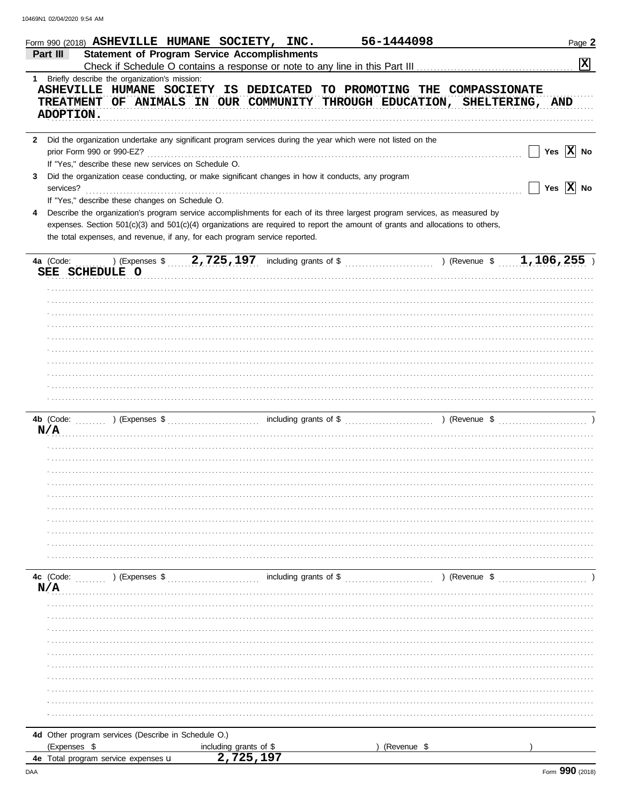|                           | Form 990 (2018) ASHEVILLE HUMANE SOCIETY, INC.                                                                                                                                                                                                                                                                                              |                            | 56-1444098                                                                                                                                       | Page 2                |
|---------------------------|---------------------------------------------------------------------------------------------------------------------------------------------------------------------------------------------------------------------------------------------------------------------------------------------------------------------------------------------|----------------------------|--------------------------------------------------------------------------------------------------------------------------------------------------|-----------------------|
| Part III                  | <b>Statement of Program Service Accomplishments</b>                                                                                                                                                                                                                                                                                         |                            |                                                                                                                                                  | $\boxed{\mathbf{x}}$  |
| ADOPTION.                 | 1 Briefly describe the organization's mission:                                                                                                                                                                                                                                                                                              |                            | ASHEVILLE HUMANE SOCIETY IS DEDICATED TO PROMOTING THE COMPASSIONATE<br>TREATMENT OF ANIMALS IN OUR COMMUNITY THROUGH EDUCATION, SHELTERING, AND |                       |
|                           | 2 Did the organization undertake any significant program services during the year which were not listed on the<br>prior Form 990 or 990-EZ?<br>If "Yes," describe these new services on Schedule O.                                                                                                                                         |                            |                                                                                                                                                  | Yes $ X $ No          |
| 3<br>services?            | Did the organization cease conducting, or make significant changes in how it conducts, any program<br>If "Yes," describe these changes on Schedule O.                                                                                                                                                                                       |                            |                                                                                                                                                  | Yes $\overline{X}$ No |
| 4                         | Describe the organization's program service accomplishments for each of its three largest program services, as measured by<br>expenses. Section 501(c)(3) and 501(c)(4) organizations are required to report the amount of grants and allocations to others,<br>the total expenses, and revenue, if any, for each program service reported. |                            |                                                                                                                                                  |                       |
| 4a (Code:                 | SEE SCHEDULE O                                                                                                                                                                                                                                                                                                                              |                            | ) (Expenses \$2,725,197 including grants of \$ (Revenue \$1,106,255)                                                                             |                       |
|                           |                                                                                                                                                                                                                                                                                                                                             |                            |                                                                                                                                                  |                       |
|                           |                                                                                                                                                                                                                                                                                                                                             |                            |                                                                                                                                                  |                       |
|                           |                                                                                                                                                                                                                                                                                                                                             |                            |                                                                                                                                                  |                       |
| 4b (Code: $\ldots$<br>N/A |                                                                                                                                                                                                                                                                                                                                             |                            |                                                                                                                                                  |                       |
|                           |                                                                                                                                                                                                                                                                                                                                             |                            |                                                                                                                                                  |                       |
|                           |                                                                                                                                                                                                                                                                                                                                             |                            |                                                                                                                                                  |                       |
|                           |                                                                                                                                                                                                                                                                                                                                             |                            |                                                                                                                                                  |                       |
| 4c (Code:<br>N/A          | ) (Expenses \$                                                                                                                                                                                                                                                                                                                              | including grants of \$     | ) (Revenue \$                                                                                                                                    |                       |
|                           |                                                                                                                                                                                                                                                                                                                                             |                            |                                                                                                                                                  |                       |
|                           |                                                                                                                                                                                                                                                                                                                                             |                            |                                                                                                                                                  |                       |
|                           |                                                                                                                                                                                                                                                                                                                                             |                            |                                                                                                                                                  |                       |
| (Expenses \$              | 4d Other program services (Describe in Schedule O.)                                                                                                                                                                                                                                                                                         | including grants of \$     | (Revenue \$                                                                                                                                      |                       |
|                           | 4e Total program service expenses u                                                                                                                                                                                                                                                                                                         | ,725.197<br>$\overline{2}$ |                                                                                                                                                  |                       |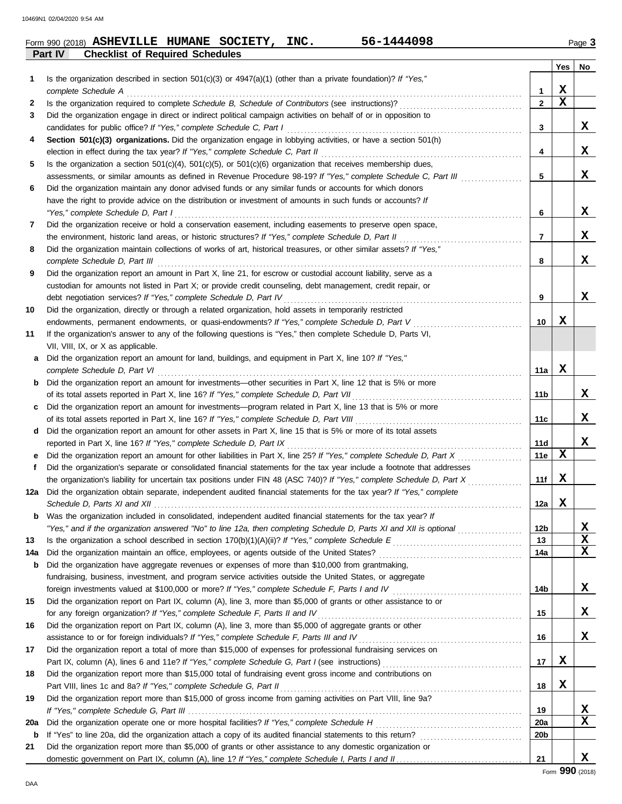|     | <b>Checklist of Required Schedules</b><br>Part IV                                                                       |                 |             |             |
|-----|-------------------------------------------------------------------------------------------------------------------------|-----------------|-------------|-------------|
|     |                                                                                                                         |                 | Yes         | No          |
| 1   | Is the organization described in section 501(c)(3) or 4947(a)(1) (other than a private foundation)? If "Yes,"           |                 |             |             |
|     | complete Schedule A                                                                                                     | 1               | x           |             |
| 2   |                                                                                                                         | $\mathbf{2}$    | $\mathbf x$ |             |
| 3   | Did the organization engage in direct or indirect political campaign activities on behalf of or in opposition to        |                 |             |             |
|     | candidates for public office? If "Yes," complete Schedule C, Part I                                                     | 3               |             | X           |
| 4   | Section 501(c)(3) organizations. Did the organization engage in lobbying activities, or have a section 501(h)           |                 |             |             |
|     | election in effect during the tax year? If "Yes," complete Schedule C, Part II                                          | 4               |             | x           |
| 5   | Is the organization a section $501(c)(4)$ , $501(c)(5)$ , or $501(c)(6)$ organization that receives membership dues,    |                 |             |             |
|     | assessments, or similar amounts as defined in Revenue Procedure 98-19? If "Yes," complete Schedule C, Part III          | 5               |             | X           |
| 6   | Did the organization maintain any donor advised funds or any similar funds or accounts for which donors                 |                 |             |             |
|     | have the right to provide advice on the distribution or investment of amounts in such funds or accounts? If             |                 |             |             |
|     | "Yes," complete Schedule D, Part I                                                                                      | 6               |             | X           |
|     | Did the organization receive or hold a conservation easement, including easements to preserve open space,               |                 |             |             |
| 7   |                                                                                                                         |                 |             | X           |
|     |                                                                                                                         | 7               |             |             |
| 8   | Did the organization maintain collections of works of art, historical treasures, or other similar assets? If "Yes,"     |                 |             |             |
|     | complete Schedule D, Part III                                                                                           | 8               |             | X           |
| 9   | Did the organization report an amount in Part X, line 21, for escrow or custodial account liability, serve as a         |                 |             |             |
|     | custodian for amounts not listed in Part X; or provide credit counseling, debt management, credit repair, or            |                 |             |             |
|     | debt negotiation services? If "Yes," complete Schedule D, Part IV                                                       | 9               |             | X           |
| 10  | Did the organization, directly or through a related organization, hold assets in temporarily restricted                 |                 |             |             |
|     | endowments, permanent endowments, or quasi-endowments? If "Yes," complete Schedule D, Part V                            | 10              | х           |             |
| 11  | If the organization's answer to any of the following questions is "Yes," then complete Schedule D, Parts VI,            |                 |             |             |
|     | VII, VIII, IX, or X as applicable.                                                                                      |                 |             |             |
| а   | Did the organization report an amount for land, buildings, and equipment in Part X, line 10? If "Yes,"                  |                 |             |             |
|     | complete Schedule D, Part VI                                                                                            | 11a             | x           |             |
| b   | Did the organization report an amount for investments—other securities in Part X, line 12 that is 5% or more            |                 |             |             |
|     |                                                                                                                         | 11b             |             | x           |
| c   | Did the organization report an amount for investments—program related in Part X, line 13 that is 5% or more             |                 |             |             |
|     |                                                                                                                         | 11c             |             | X           |
| d   | Did the organization report an amount for other assets in Part X, line 15 that is 5% or more of its total assets        |                 |             |             |
|     | reported in Part X, line 16? If "Yes," complete Schedule D, Part IX                                                     | 11d             |             | X           |
| е   |                                                                                                                         | 11e             | х           |             |
| f   | Did the organization's separate or consolidated financial statements for the tax year include a footnote that addresses |                 |             |             |
|     | the organization's liability for uncertain tax positions under FIN 48 (ASC 740)? If "Yes," complete Schedule D, Part X  | 11f             | X           |             |
| 12a | Did the organization obtain separate, independent audited financial statements for the tax year? If "Yes," complete     |                 |             |             |
|     | Schedule D. Parts XI and XII                                                                                            | 12a l           | X           |             |
|     | <b>b</b> Was the organization included in consolidated, independent audited financial statements for the tax year? If   |                 |             |             |
|     | "Yes," and if the organization answered "No" to line 12a, then completing Schedule D, Parts XI and XII is optional      | 12 <sub>b</sub> |             | <u>x</u>    |
| 13  |                                                                                                                         | 13              |             | $\mathbf x$ |
| 14a |                                                                                                                         | 14a             |             | $\mathbf X$ |
| b   | Did the organization have aggregate revenues or expenses of more than \$10,000 from grantmaking,                        |                 |             |             |
|     | fundraising, business, investment, and program service activities outside the United States, or aggregate               |                 |             |             |
|     | foreign investments valued at \$100,000 or more? If "Yes," complete Schedule F, Parts I and IV [[[[[[[[[[[[[[[[         | 14b             |             | x           |
|     |                                                                                                                         |                 |             |             |
| 15  | Did the organization report on Part IX, column (A), line 3, more than \$5,000 of grants or other assistance to or       |                 |             | x           |
|     | for any foreign organization? If "Yes," complete Schedule F, Parts II and IV [[[[[[[[[[[[[[[[[[[[[[[[[[[[[[[[           | 15              |             |             |
| 16  | Did the organization report on Part IX, column (A), line 3, more than \$5,000 of aggregate grants or other              |                 |             |             |
|     |                                                                                                                         | 16              |             | x           |
| 17  | Did the organization report a total of more than \$15,000 of expenses for professional fundraising services on          |                 | X           |             |
|     |                                                                                                                         | 17              |             |             |
| 18  | Did the organization report more than \$15,000 total of fundraising event gross income and contributions on             |                 |             |             |
|     |                                                                                                                         | 18              | X           |             |
| 19  | Did the organization report more than \$15,000 of gross income from gaming activities on Part VIII, line 9a?            |                 |             |             |
|     |                                                                                                                         | 19              |             | X           |
| 20a |                                                                                                                         | 20a             |             | x           |
| b   |                                                                                                                         | 20 <sub>b</sub> |             |             |
| 21  | Did the organization report more than \$5,000 of grants or other assistance to any domestic organization or             |                 |             |             |

domestic government on Part IX, column (A), line 1? If "Yes," complete Schedule I, Parts I and II.

**X**

 $|21|$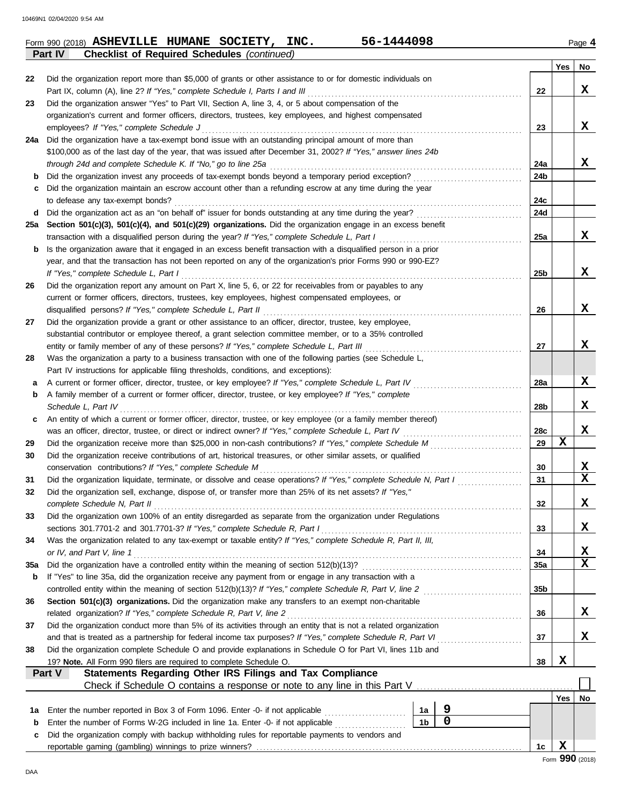|             | Part IV<br><b>Checklist of Required Schedules (continued)</b>                                                                                                               |                |             |           |                 |             |
|-------------|-----------------------------------------------------------------------------------------------------------------------------------------------------------------------------|----------------|-------------|-----------|-----------------|-------------|
|             |                                                                                                                                                                             |                |             |           | Yes             | No          |
| 22          | Did the organization report more than \$5,000 of grants or other assistance to or for domestic individuals on                                                               |                |             |           |                 |             |
|             | Part IX, column (A), line 2? If "Yes," complete Schedule I, Parts I and III                                                                                                 |                |             | 22        |                 | x           |
| 23          | Did the organization answer "Yes" to Part VII, Section A, line 3, 4, or 5 about compensation of the                                                                         |                |             |           |                 |             |
|             | organization's current and former officers, directors, trustees, key employees, and highest compensated                                                                     |                |             | 23        |                 | x           |
| 24a         | employees? If "Yes," complete Schedule J<br>Did the organization have a tax-exempt bond issue with an outstanding principal amount of more than                             |                |             |           |                 |             |
|             | \$100,000 as of the last day of the year, that was issued after December 31, 2002? If "Yes," answer lines 24b                                                               |                |             |           |                 |             |
|             | through 24d and complete Schedule K. If "No," go to line 25a                                                                                                                |                |             | 24a       |                 | x           |
| b           |                                                                                                                                                                             |                |             | 24b       |                 |             |
| с           | Did the organization maintain an escrow account other than a refunding escrow at any time during the year                                                                   |                |             |           |                 |             |
|             | to defease any tax-exempt bonds?                                                                                                                                            |                |             | 24c       |                 |             |
| d           |                                                                                                                                                                             |                |             | 24d       |                 |             |
| 25a         | Section 501(c)(3), 501(c)(4), and 501(c)(29) organizations. Did the organization engage in an excess benefit                                                                |                |             |           |                 |             |
|             | transaction with a disqualified person during the year? If "Yes," complete Schedule L, Part I                                                                               |                |             | 25a       |                 | x           |
| b           | Is the organization aware that it engaged in an excess benefit transaction with a disqualified person in a prior                                                            |                |             |           |                 |             |
|             | year, and that the transaction has not been reported on any of the organization's prior Forms 990 or 990-EZ?                                                                |                |             |           |                 |             |
|             | If "Yes," complete Schedule L, Part I                                                                                                                                       |                |             | 25b       |                 | x           |
| 26          | Did the organization report any amount on Part X, line 5, 6, or 22 for receivables from or payables to any                                                                  |                |             |           |                 |             |
|             | current or former officers, directors, trustees, key employees, highest compensated employees, or                                                                           |                |             |           |                 |             |
|             | disqualified persons? If "Yes," complete Schedule L, Part II                                                                                                                |                |             | 26        |                 | x           |
| 27          | Did the organization provide a grant or other assistance to an officer, director, trustee, key employee,                                                                    |                |             |           |                 |             |
|             | substantial contributor or employee thereof, a grant selection committee member, or to a 35% controlled                                                                     |                |             |           |                 |             |
|             | entity or family member of any of these persons? If "Yes," complete Schedule L, Part III                                                                                    |                |             | 27        |                 | X           |
| 28          | Was the organization a party to a business transaction with one of the following parties (see Schedule L,                                                                   |                |             |           |                 |             |
|             | Part IV instructions for applicable filing thresholds, conditions, and exceptions):                                                                                         |                |             |           |                 |             |
| а           | A current or former officer, director, trustee, or key employee? If "Yes," complete Schedule L, Part IV                                                                     |                |             | 28a       |                 | x           |
| b           | A family member of a current or former officer, director, trustee, or key employee? If "Yes," complete                                                                      |                |             |           |                 |             |
|             | Schedule L, Part IV                                                                                                                                                         |                |             | 28b       |                 | x           |
| c           | An entity of which a current or former officer, director, trustee, or key employee (or a family member thereof)                                                             |                |             |           |                 | X           |
|             | was an officer, director, trustee, or direct or indirect owner? If "Yes," complete Schedule L, Part IV                                                                      |                |             | 28c<br>29 | х               |             |
| 29          |                                                                                                                                                                             |                |             |           |                 |             |
| 30          | Did the organization receive contributions of art, historical treasures, or other similar assets, or qualified<br>conservation contributions? If "Yes," complete Schedule M |                |             | 30        |                 | X           |
| 31          | Did the organization liquidate, terminate, or dissolve and cease operations? If "Yes," complete Schedule N, Part I                                                          |                |             | 31        |                 | $\mathbf x$ |
| 32          | Did the organization sell, exchange, dispose of, or transfer more than 25% of its net assets? If "Yes,"                                                                     |                |             |           |                 |             |
|             | complete Schedule N, Part II                                                                                                                                                |                |             | 32        |                 | х           |
| 33          | Did the organization own 100% of an entity disregarded as separate from the organization under Regulations                                                                  |                |             |           |                 |             |
|             | sections 301.7701-2 and 301.7701-3? If "Yes," complete Schedule R, Part I                                                                                                   |                |             | 33        |                 | X           |
| 34          | Was the organization related to any tax-exempt or taxable entity? If "Yes," complete Schedule R, Part II, III,                                                              |                |             |           |                 |             |
|             | or IV, and Part V, line 1                                                                                                                                                   |                |             | 34        |                 | X           |
| 35a         |                                                                                                                                                                             |                |             | 35a       |                 | $\mathbf x$ |
| b           | If "Yes" to line 35a, did the organization receive any payment from or engage in any transaction with a                                                                     |                |             |           |                 |             |
|             |                                                                                                                                                                             |                |             | 35b       |                 |             |
| 36          | Section 501(c)(3) organizations. Did the organization make any transfers to an exempt non-charitable                                                                        |                |             |           |                 |             |
|             |                                                                                                                                                                             |                |             | 36        |                 | X           |
| 37          | Did the organization conduct more than 5% of its activities through an entity that is not a related organization                                                            |                |             |           |                 |             |
|             |                                                                                                                                                                             |                |             | 37        |                 | x           |
| 38          | Did the organization complete Schedule O and provide explanations in Schedule O for Part VI, lines 11b and                                                                  |                |             |           |                 |             |
|             | 19? Note. All Form 990 filers are required to complete Schedule O.                                                                                                          |                |             | 38        | X               |             |
|             | <b>Statements Regarding Other IRS Filings and Tax Compliance</b><br>Part V                                                                                                  |                |             |           |                 |             |
|             |                                                                                                                                                                             |                |             |           |                 |             |
|             |                                                                                                                                                                             |                |             |           | <b>Yes</b>      | No          |
| 1а          | Enter the number reported in Box 3 of Form 1096. Enter -0- if not applicable                                                                                                | 1a             | 9           |           |                 |             |
| $\mathbf b$ | Enter the number of Forms W-2G included in line 1a. Enter -0- if not applicable                                                                                             | 1 <sub>b</sub> | $\mathbf 0$ |           |                 |             |
| с           | Did the organization comply with backup withholding rules for reportable payments to vendors and                                                                            |                |             |           |                 |             |
|             |                                                                                                                                                                             |                |             | 1c        | X               |             |
|             |                                                                                                                                                                             |                |             |           | Form 990 (2018) |             |
| DAA         |                                                                                                                                                                             |                |             |           |                 |             |

 $F$ orm 990 (2018) **ASHEVILLE HUMANE SOCIETY, INC.** 56-1444098  $P$ age 4 **ASHEVILLE HUMANE SOCIETY, INC. 56-1444098**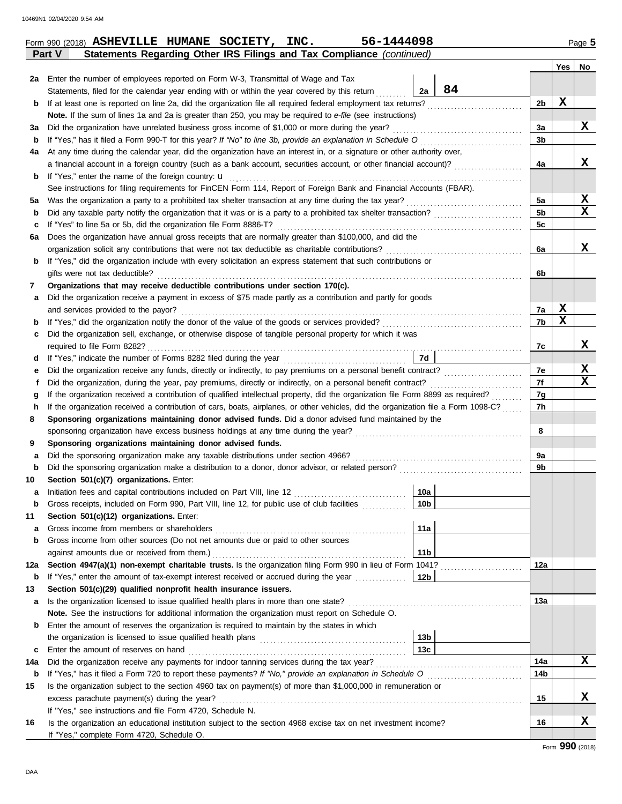|        |                                                                                                                                                                                                                                                                        |                 |    |                | Yes | No              |
|--------|------------------------------------------------------------------------------------------------------------------------------------------------------------------------------------------------------------------------------------------------------------------------|-----------------|----|----------------|-----|-----------------|
| 2a     | Enter the number of employees reported on Form W-3, Transmittal of Wage and Tax                                                                                                                                                                                        |                 |    |                |     |                 |
|        | Statements, filed for the calendar year ending with or within the year covered by this return                                                                                                                                                                          | 2a              | 84 |                |     |                 |
| b      | If at least one is reported on line 2a, did the organization file all required federal employment tax returns?                                                                                                                                                         |                 |    | 2b             | X   |                 |
|        | Note. If the sum of lines 1a and 2a is greater than 250, you may be required to e-file (see instructions)                                                                                                                                                              |                 |    |                |     |                 |
| За     | Did the organization have unrelated business gross income of \$1,000 or more during the year?                                                                                                                                                                          |                 |    | За             |     | x               |
| b      | If "Yes," has it filed a Form 990-T for this year? If "No" to line 3b, provide an explanation in Schedule O                                                                                                                                                            |                 |    | 3b             |     |                 |
| 4a     | At any time during the calendar year, did the organization have an interest in, or a signature or other authority over,                                                                                                                                                |                 |    |                |     |                 |
|        | a financial account in a foreign country (such as a bank account, securities account, or other financial account)?                                                                                                                                                     |                 |    | 4a             |     | х               |
| b      | If "Yes," enter the name of the foreign country: $\mathbf u$                                                                                                                                                                                                           |                 |    |                |     |                 |
|        | See instructions for filing requirements for FinCEN Form 114, Report of Foreign Bank and Financial Accounts (FBAR).                                                                                                                                                    |                 |    |                |     |                 |
| 5a     | Was the organization a party to a prohibited tax shelter transaction at any time during the tax year?                                                                                                                                                                  |                 |    | 5a             |     | X               |
| b      | Did any taxable party notify the organization that it was or is a party to a prohibited tax shelter transaction?                                                                                                                                                       |                 |    | 5 <sub>b</sub> |     | X               |
| c      | If "Yes" to line 5a or 5b, did the organization file Form 8886-T?                                                                                                                                                                                                      |                 |    | 5c             |     |                 |
| 6a     | Does the organization have annual gross receipts that are normally greater than \$100,000, and did the                                                                                                                                                                 |                 |    |                |     |                 |
|        | organization solicit any contributions that were not tax deductible as charitable contributions?                                                                                                                                                                       |                 |    | 6a             |     | X               |
| b      | If "Yes," did the organization include with every solicitation an express statement that such contributions or                                                                                                                                                         |                 |    |                |     |                 |
|        | gifts were not tax deductible?                                                                                                                                                                                                                                         |                 |    | 6b             |     |                 |
| 7      | Organizations that may receive deductible contributions under section 170(c).                                                                                                                                                                                          |                 |    |                |     |                 |
| а      | Did the organization receive a payment in excess of \$75 made partly as a contribution and partly for goods                                                                                                                                                            |                 |    |                |     |                 |
|        | and services provided to the payor?                                                                                                                                                                                                                                    |                 |    | 7a             | X   |                 |
| b      |                                                                                                                                                                                                                                                                        |                 |    | 7b             | x   |                 |
| c      | Did the organization sell, exchange, or otherwise dispose of tangible personal property for which it was                                                                                                                                                               |                 |    |                |     |                 |
|        | required to file Form 8282?                                                                                                                                                                                                                                            |                 |    | 7c             |     | x               |
| d      |                                                                                                                                                                                                                                                                        | 7d              |    |                |     |                 |
| е      |                                                                                                                                                                                                                                                                        |                 |    | 7e             |     | X<br>X          |
| f      | Did the organization, during the year, pay premiums, directly or indirectly, on a personal benefit contract?                                                                                                                                                           |                 |    | 7f             |     |                 |
| g<br>h | If the organization received a contribution of qualified intellectual property, did the organization file Form 8899 as required?<br>If the organization received a contribution of cars, boats, airplanes, or other vehicles, did the organization file a Form 1098-C? |                 |    | 7g<br>7h       |     |                 |
| 8      | Sponsoring organizations maintaining donor advised funds. Did a donor advised fund maintained by the                                                                                                                                                                   |                 |    |                |     |                 |
|        |                                                                                                                                                                                                                                                                        |                 |    | 8              |     |                 |
| 9      | Sponsoring organizations maintaining donor advised funds.                                                                                                                                                                                                              |                 |    |                |     |                 |
| а      | Did the sponsoring organization make any taxable distributions under section 4966?                                                                                                                                                                                     |                 |    | 9a             |     |                 |
| b      |                                                                                                                                                                                                                                                                        |                 |    | 9b             |     |                 |
| 10     | Section 501(c)(7) organizations. Enter:                                                                                                                                                                                                                                |                 |    |                |     |                 |
| а      | Initiation fees and capital contributions included on Part VIII, line 12                                                                                                                                                                                               | 10a             |    |                |     |                 |
| b      | Gross receipts, included on Form 990, Part VIII, line 12, for public use of club facilities                                                                                                                                                                            | 10 <sub>b</sub> |    |                |     |                 |
| 11     | Section 501(c)(12) organizations. Enter:                                                                                                                                                                                                                               |                 |    |                |     |                 |
| а      | Gross income from members or shareholders                                                                                                                                                                                                                              | 11a             |    |                |     |                 |
| b      | Gross income from other sources (Do not net amounts due or paid to other sources                                                                                                                                                                                       |                 |    |                |     |                 |
|        |                                                                                                                                                                                                                                                                        | 11 <sub>b</sub> |    |                |     |                 |
| 12a    | Section 4947(a)(1) non-exempt charitable trusts. Is the organization filing Form 990 in lieu of Form 1041?                                                                                                                                                             |                 |    | 12a            |     |                 |
| b      | If "Yes," enter the amount of tax-exempt interest received or accrued during the year                                                                                                                                                                                  | 12b             |    |                |     |                 |
| 13     | Section 501(c)(29) qualified nonprofit health insurance issuers.                                                                                                                                                                                                       |                 |    |                |     |                 |
| a      | Is the organization licensed to issue qualified health plans in more than one state?                                                                                                                                                                                   |                 |    | 13a            |     |                 |
|        | Note. See the instructions for additional information the organization must report on Schedule O.                                                                                                                                                                      |                 |    |                |     |                 |
| b      | Enter the amount of reserves the organization is required to maintain by the states in which                                                                                                                                                                           |                 |    |                |     |                 |
|        |                                                                                                                                                                                                                                                                        | 13 <sub>b</sub> |    |                |     |                 |
| c      | Enter the amount of reserves on hand                                                                                                                                                                                                                                   | 13 <sub>c</sub> |    |                |     |                 |
| 14a    | Did the organization receive any payments for indoor tanning services during the tax year?                                                                                                                                                                             |                 |    | 14a            |     | x               |
| b      |                                                                                                                                                                                                                                                                        |                 |    | 14b            |     |                 |
| 15     | Is the organization subject to the section 4960 tax on payment(s) of more than \$1,000,000 in remuneration or                                                                                                                                                          |                 |    |                |     |                 |
|        | excess parachute payment(s) during the year?                                                                                                                                                                                                                           |                 |    | 15             |     | x               |
|        | If "Yes," see instructions and file Form 4720, Schedule N.                                                                                                                                                                                                             |                 |    |                |     |                 |
| 16     | Is the organization an educational institution subject to the section 4968 excise tax on net investment income?                                                                                                                                                        |                 |    | 16             |     | x               |
|        | If "Yes," complete Form 4720, Schedule O.                                                                                                                                                                                                                              |                 |    |                |     | Form 990 (2018) |

**Statements Regarding Other IRS Filings and Tax Compliance** (continued)

**Form 990 (2018) ASHEVILLE HUMANE SOCIETY, INC.** 56-1444098 Page 5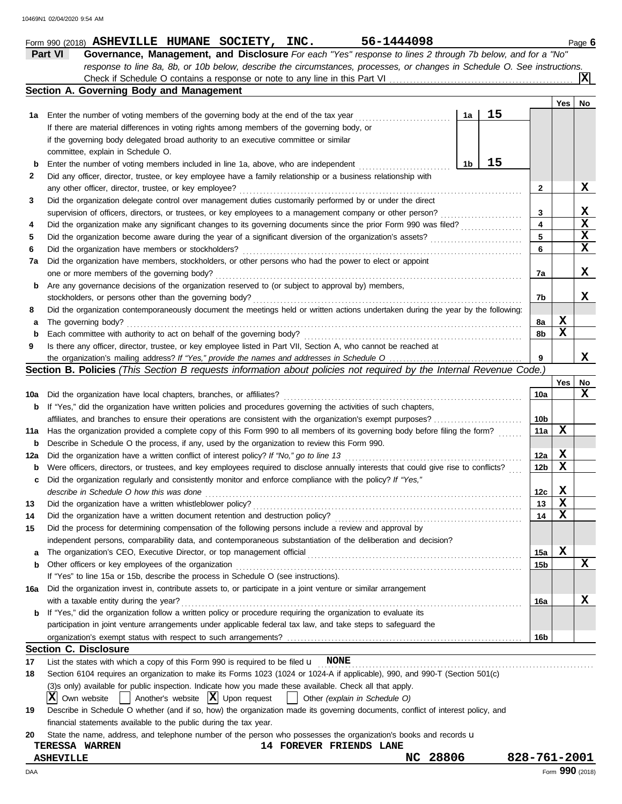|             | Part VI<br>Governance, Management, and Disclosure For each "Yes" response to lines 2 through 7b below, and for a "No"               |    |    |                 |             |                 |
|-------------|-------------------------------------------------------------------------------------------------------------------------------------|----|----|-----------------|-------------|-----------------|
|             | response to line 8a, 8b, or 10b below, describe the circumstances, processes, or changes in Schedule O. See instructions.           |    |    |                 |             |                 |
|             |                                                                                                                                     |    |    |                 |             | ΙxΙ             |
|             | Section A. Governing Body and Management                                                                                            |    |    |                 |             |                 |
|             |                                                                                                                                     |    |    |                 | Yes         | No              |
| 1а          | Enter the number of voting members of the governing body at the end of the tax year                                                 | 1a | 15 |                 |             |                 |
|             | If there are material differences in voting rights among members of the governing body, or                                          |    |    |                 |             |                 |
|             | if the governing body delegated broad authority to an executive committee or similar                                                |    |    |                 |             |                 |
|             | committee, explain in Schedule O.                                                                                                   |    |    |                 |             |                 |
| $\mathbf b$ | Enter the number of voting members included in line 1a, above, who are independent                                                  | 1b | 15 |                 |             |                 |
| 2           | Did any officer, director, trustee, or key employee have a family relationship or a business relationship with                      |    |    |                 |             |                 |
|             | any other officer, director, trustee, or key employee?                                                                              |    |    | 2               |             | x               |
| 3           | Did the organization delegate control over management duties customarily performed by or under the direct                           |    |    |                 |             |                 |
|             | supervision of officers, directors, or trustees, or key employees to a management company or other person?                          |    |    | 3               |             | X               |
| 4           | Did the organization make any significant changes to its governing documents since the prior Form 990 was filed?                    |    |    | 4               |             | $\mathbf x$     |
| 5           |                                                                                                                                     |    |    | 5               |             | X               |
| 6           | Did the organization have members or stockholders?                                                                                  |    |    | 6               |             | $\mathbf x$     |
| 7a          | Did the organization have members, stockholders, or other persons who had the power to elect or appoint                             |    |    |                 |             |                 |
|             | one or more members of the governing body?                                                                                          |    |    | 7a              |             | х               |
| b           | Are any governance decisions of the organization reserved to (or subject to approval by) members,                                   |    |    |                 |             |                 |
|             | stockholders, or persons other than the governing body?                                                                             |    |    | 7b              |             | x               |
| 8           | Did the organization contemporaneously document the meetings held or written actions undertaken during the year by the following:   |    |    |                 |             |                 |
| а           | The governing body?                                                                                                                 |    |    | 8a              | X           |                 |
|             | Each committee with authority to act on behalf of the governing body?                                                               |    |    | 8b              | X           |                 |
| $\mathbf b$ |                                                                                                                                     |    |    |                 |             |                 |
| 9           | Is there any officer, director, trustee, or key employee listed in Part VII, Section A, who cannot be reached at                    |    |    | 9               |             | x               |
|             |                                                                                                                                     |    |    |                 |             |                 |
|             | <b>Section B. Policies</b> (This Section B requests information about policies not required by the Internal Revenue Code.)          |    |    |                 |             |                 |
|             |                                                                                                                                     |    |    |                 | Yes         | No<br>x         |
| 10a         | Did the organization have local chapters, branches, or affiliates?                                                                  |    |    | 10a             |             |                 |
| b           | If "Yes," did the organization have written policies and procedures governing the activities of such chapters,                      |    |    |                 |             |                 |
|             | affiliates, and branches to ensure their operations are consistent with the organization's exempt purposes?                         |    |    | 10b             |             |                 |
| 11a         | Has the organization provided a complete copy of this Form 990 to all members of its governing body before filing the form?         |    |    | 11a             | X           |                 |
| b           | Describe in Schedule O the process, if any, used by the organization to review this Form 990.                                       |    |    |                 |             |                 |
| 12a         | Did the organization have a written conflict of interest policy? If "No," go to line 13                                             |    |    | 12a             | X           |                 |
| b           | Were officers, directors, or trustees, and key employees required to disclose annually interests that could give rise to conflicts? |    |    | 12 <sub>b</sub> | X           |                 |
|             | Did the organization regularly and consistently monitor and enforce compliance with the policy? If "Yes,"                           |    |    |                 |             |                 |
|             | describe in Schedule O how this was done                                                                                            |    |    | 12c             | X           |                 |
| 13          | Did the organization have a written whistleblower policy?                                                                           |    |    | 13              | $\mathbf x$ |                 |
| 14          | Did the organization have a written document retention and destruction policy?                                                      |    |    | 14              | X           |                 |
| 15          | Did the process for determining compensation of the following persons include a review and approval by                              |    |    |                 |             |                 |
|             | independent persons, comparability data, and contemporaneous substantiation of the deliberation and decision?                       |    |    |                 |             |                 |
| a           | The organization's CEO, Executive Director, or top management official                                                              |    |    | 15a             | X           |                 |
| b           | Other officers or key employees of the organization                                                                                 |    |    | 15b             |             | х               |
|             | If "Yes" to line 15a or 15b, describe the process in Schedule O (see instructions).                                                 |    |    |                 |             |                 |
| 16а         | Did the organization invest in, contribute assets to, or participate in a joint venture or similar arrangement                      |    |    |                 |             |                 |
|             | with a taxable entity during the year?                                                                                              |    |    | 16a             |             | X               |
| b           | If "Yes," did the organization follow a written policy or procedure requiring the organization to evaluate its                      |    |    |                 |             |                 |
|             | participation in joint venture arrangements under applicable federal tax law, and take steps to safeguard the                       |    |    |                 |             |                 |
|             |                                                                                                                                     |    |    | 16b             |             |                 |
|             | <b>Section C. Disclosure</b>                                                                                                        |    |    |                 |             |                 |
| 17          | List the states with which a copy of this Form 990 is required to be filed $\mathbf u$ NONE                                         |    |    |                 |             |                 |
| 18          | Section 6104 requires an organization to make its Forms 1023 (1024 or 1024-A if applicable), 990, and 990-T (Section 501(c)         |    |    |                 |             |                 |
|             | (3)s only) available for public inspection. Indicate how you made these available. Check all that apply.                            |    |    |                 |             |                 |
|             | $ \mathbf{X} $ Own website<br>Another's website $ \mathbf{X} $ Upon request<br>Other (explain in Schedule O)                        |    |    |                 |             |                 |
| 19          | Describe in Schedule O whether (and if so, how) the organization made its governing documents, conflict of interest policy, and     |    |    |                 |             |                 |
|             | financial statements available to the public during the tax year.                                                                   |    |    |                 |             |                 |
| 20          | State the name, address, and telephone number of the person who possesses the organization's books and records u                    |    |    |                 |             |                 |
|             | 14 FOREVER FRIENDS LANE<br><b>TERESSA WARREN</b>                                                                                    |    |    |                 |             |                 |
|             | 28806<br>NC<br><b>ASHEVILLE</b>                                                                                                     |    |    | 828-761-2001    |             |                 |
| DAA         |                                                                                                                                     |    |    |                 |             | Form 990 (2018) |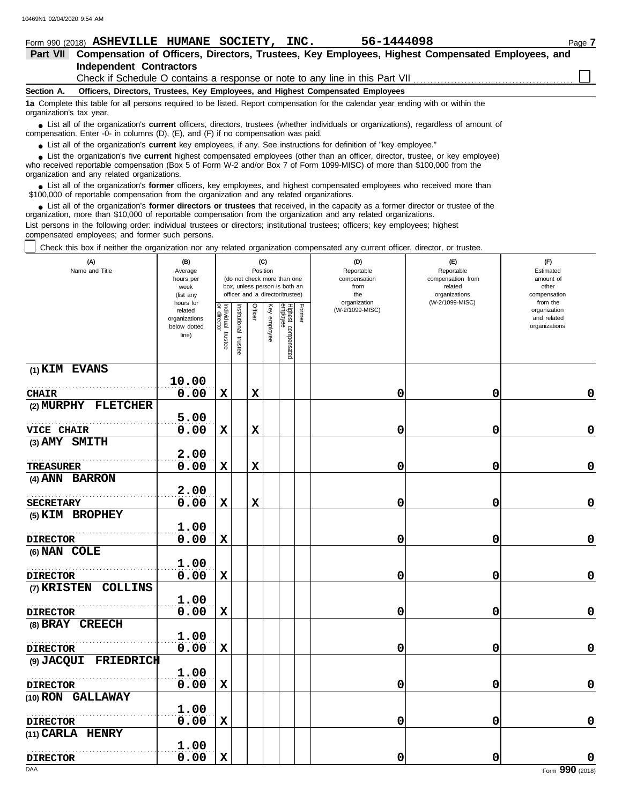| Form 990 (2018) ASHEVILLE HUMANE SOCIETY,                                                                                                                                                                                                                                                                  |                                     | INC.                                                                            | 56-1444098                                                                                       |                                                   | Page 7                                 |  |  |  |  |  |  |  |  |
|------------------------------------------------------------------------------------------------------------------------------------------------------------------------------------------------------------------------------------------------------------------------------------------------------------|-------------------------------------|---------------------------------------------------------------------------------|--------------------------------------------------------------------------------------------------|---------------------------------------------------|----------------------------------------|--|--|--|--|--|--|--|--|
| <b>Part VII</b>                                                                                                                                                                                                                                                                                            |                                     |                                                                                 | Compensation of Officers, Directors, Trustees, Key Employees, Highest Compensated Employees, and |                                                   |                                        |  |  |  |  |  |  |  |  |
|                                                                                                                                                                                                                                                                                                            | <b>Independent Contractors</b>      |                                                                                 |                                                                                                  |                                                   |                                        |  |  |  |  |  |  |  |  |
|                                                                                                                                                                                                                                                                                                            |                                     |                                                                                 |                                                                                                  |                                                   |                                        |  |  |  |  |  |  |  |  |
| Officers, Directors, Trustees, Key Employees, and Highest Compensated Employees<br>Section A.                                                                                                                                                                                                              |                                     |                                                                                 |                                                                                                  |                                                   |                                        |  |  |  |  |  |  |  |  |
| 1a Complete this table for all persons required to be listed. Report compensation for the calendar year ending with or within the<br>organization's tax year.                                                                                                                                              |                                     |                                                                                 |                                                                                                  |                                                   |                                        |  |  |  |  |  |  |  |  |
| • List all of the organization's <b>current</b> officers, directors, trustees (whether individuals or organizations), regardless of amount of<br>compensation. Enter -0- in columns $(D)$ , $(E)$ , and $(F)$ if no compensation was paid.                                                                 |                                     |                                                                                 |                                                                                                  |                                                   |                                        |  |  |  |  |  |  |  |  |
| • List all of the organization's current key employees, if any. See instructions for definition of "key employee."                                                                                                                                                                                         |                                     |                                                                                 |                                                                                                  |                                                   |                                        |  |  |  |  |  |  |  |  |
| • List the organization's five current highest compensated employees (other than an officer, director, trustee, or key employee)<br>who received reportable compensation (Box 5 of Form W-2 and/or Box 7 of Form 1099-MISC) of more than \$100,000 from the<br>organization and any related organizations. |                                     |                                                                                 |                                                                                                  |                                                   |                                        |  |  |  |  |  |  |  |  |
| • List all of the organization's former officers, key employees, and highest compensated employees who received more than<br>\$100,000 of reportable compensation from the organization and any related organizations.                                                                                     |                                     |                                                                                 |                                                                                                  |                                                   |                                        |  |  |  |  |  |  |  |  |
| • List all of the organization's former directors or trustees that received, in the capacity as a former director or trustee of the<br>organization, more than \$10,000 of reportable compensation from the organization and any related organizations.                                                    |                                     |                                                                                 |                                                                                                  |                                                   |                                        |  |  |  |  |  |  |  |  |
| List persons in the following order: individual trustees or directors; institutional trustees; officers; key employees; highest<br>compensated employees; and former such persons.                                                                                                                         |                                     |                                                                                 |                                                                                                  |                                                   |                                        |  |  |  |  |  |  |  |  |
| Check this box if neither the organization nor any related organization compensated any current officer, director, or trustee.                                                                                                                                                                             |                                     |                                                                                 |                                                                                                  |                                                   |                                        |  |  |  |  |  |  |  |  |
| (A)<br>Name and Title                                                                                                                                                                                                                                                                                      | (B)<br>Average<br>hours per<br>week | (C)<br>Position<br>(do not check more than one<br>box, unless person is both an | (D)<br>Reportable<br>compensation<br>from                                                        | (F)<br>Reportable<br>compensation from<br>related | (F)<br>Estimated<br>amount of<br>other |  |  |  |  |  |  |  |  |

| Check this box if neither the organization nor any related organization compensated any current officer, director, or trustee. |                                                                                                                    |                                      |                         |                     |                        |                                                                                                                                    |        |                                                                                     |                                                                                       |                                                                                                                    |
|--------------------------------------------------------------------------------------------------------------------------------|--------------------------------------------------------------------------------------------------------------------|--------------------------------------|-------------------------|---------------------|------------------------|------------------------------------------------------------------------------------------------------------------------------------|--------|-------------------------------------------------------------------------------------|---------------------------------------------------------------------------------------|--------------------------------------------------------------------------------------------------------------------|
| (A)<br>Name and Title                                                                                                          | (B)<br>Average<br>hours per<br>week<br>(list any<br>hours for<br>related<br>organizations<br>below dotted<br>line) | Individual<br>or director<br>trustee | nstitutional<br>trustee | Position<br>Officer | (C)<br>Κęy<br>employee | (do not check more than one<br>box, unless person is both an<br>officer and a director/trustee)<br>Highest compensated<br>employee | Former | (D)<br>Reportable<br>compensation<br>from<br>the<br>organization<br>(W-2/1099-MISC) | (F)<br>Reportable<br>compensation from<br>related<br>organizations<br>(W-2/1099-MISC) | (F)<br>Estimated<br>amount of<br>other<br>compensation<br>from the<br>organization<br>and related<br>organizations |
| (1) KIM EVANS                                                                                                                  |                                                                                                                    |                                      |                         |                     |                        |                                                                                                                                    |        |                                                                                     |                                                                                       |                                                                                                                    |
|                                                                                                                                | 10.00                                                                                                              |                                      |                         |                     |                        |                                                                                                                                    |        |                                                                                     |                                                                                       |                                                                                                                    |
| <b>CHAIR</b>                                                                                                                   | 0.00                                                                                                               | $\mathbf x$                          |                         | $\mathbf x$         |                        |                                                                                                                                    |        | 0                                                                                   | 0                                                                                     | 0                                                                                                                  |
| (2) MURPHY FLETCHER                                                                                                            |                                                                                                                    |                                      |                         |                     |                        |                                                                                                                                    |        |                                                                                     |                                                                                       |                                                                                                                    |
|                                                                                                                                | 5.00                                                                                                               |                                      |                         |                     |                        |                                                                                                                                    |        |                                                                                     |                                                                                       |                                                                                                                    |
| <b>VICE CHAIR</b>                                                                                                              | 0.00                                                                                                               | X                                    |                         | $\mathbf x$         |                        |                                                                                                                                    |        | 0                                                                                   | 0                                                                                     | 0                                                                                                                  |
| (3) AMY SMITH                                                                                                                  |                                                                                                                    |                                      |                         |                     |                        |                                                                                                                                    |        |                                                                                     |                                                                                       |                                                                                                                    |
|                                                                                                                                | 2.00                                                                                                               |                                      |                         |                     |                        |                                                                                                                                    |        |                                                                                     |                                                                                       |                                                                                                                    |
| TREASURER                                                                                                                      | 0.00                                                                                                               | X                                    |                         | $\mathbf x$         |                        |                                                                                                                                    |        | 0                                                                                   | 0                                                                                     | $\mathbf 0$                                                                                                        |
| (4) ANN BARRON                                                                                                                 |                                                                                                                    |                                      |                         |                     |                        |                                                                                                                                    |        |                                                                                     |                                                                                       |                                                                                                                    |
|                                                                                                                                | 2.00                                                                                                               |                                      |                         |                     |                        |                                                                                                                                    |        |                                                                                     |                                                                                       |                                                                                                                    |
| <b>SECRETARY</b>                                                                                                               | 0.00                                                                                                               | $\mathbf x$                          |                         | $\mathbf x$         |                        |                                                                                                                                    |        | 0                                                                                   | 0                                                                                     | $\pmb{0}$                                                                                                          |
| (5) KIM BROPHEY                                                                                                                |                                                                                                                    |                                      |                         |                     |                        |                                                                                                                                    |        |                                                                                     |                                                                                       |                                                                                                                    |
|                                                                                                                                | 1.00                                                                                                               |                                      |                         |                     |                        |                                                                                                                                    |        |                                                                                     |                                                                                       |                                                                                                                    |
| <b>DIRECTOR</b>                                                                                                                | 0.00                                                                                                               | $\mathbf x$                          |                         |                     |                        |                                                                                                                                    |        | 0                                                                                   | 0                                                                                     | 0                                                                                                                  |
| (6) NAN COLE                                                                                                                   |                                                                                                                    |                                      |                         |                     |                        |                                                                                                                                    |        |                                                                                     |                                                                                       |                                                                                                                    |
|                                                                                                                                | 1.00                                                                                                               |                                      |                         |                     |                        |                                                                                                                                    |        |                                                                                     |                                                                                       |                                                                                                                    |
| <b>DIRECTOR</b>                                                                                                                | 0.00                                                                                                               | $\mathbf x$                          |                         |                     |                        |                                                                                                                                    |        | 0                                                                                   | 0                                                                                     | $\mathbf 0$                                                                                                        |
| (7) KRISTEN COLLINS                                                                                                            | 1.00                                                                                                               |                                      |                         |                     |                        |                                                                                                                                    |        |                                                                                     |                                                                                       |                                                                                                                    |
| <b>DIRECTOR</b>                                                                                                                | 0.00                                                                                                               | X                                    |                         |                     |                        |                                                                                                                                    |        | 0                                                                                   | 0                                                                                     | $\mathbf 0$                                                                                                        |
| (8) BRAY CREECH                                                                                                                |                                                                                                                    |                                      |                         |                     |                        |                                                                                                                                    |        |                                                                                     |                                                                                       |                                                                                                                    |
|                                                                                                                                | 1.00                                                                                                               |                                      |                         |                     |                        |                                                                                                                                    |        |                                                                                     |                                                                                       |                                                                                                                    |
| <b>DIRECTOR</b>                                                                                                                | 0.00                                                                                                               | X                                    |                         |                     |                        |                                                                                                                                    |        | 0                                                                                   | 0                                                                                     | $\mathbf 0$                                                                                                        |
| (9) JACQUI FRIEDRICH                                                                                                           |                                                                                                                    |                                      |                         |                     |                        |                                                                                                                                    |        |                                                                                     |                                                                                       |                                                                                                                    |
|                                                                                                                                | 1.00                                                                                                               |                                      |                         |                     |                        |                                                                                                                                    |        |                                                                                     |                                                                                       |                                                                                                                    |
| <b>DIRECTOR</b>                                                                                                                | 0.00                                                                                                               | X                                    |                         |                     |                        |                                                                                                                                    |        | 0                                                                                   | 0                                                                                     | $\mathbf 0$                                                                                                        |
| (10) RON GALLAWAY                                                                                                              |                                                                                                                    |                                      |                         |                     |                        |                                                                                                                                    |        |                                                                                     |                                                                                       |                                                                                                                    |
|                                                                                                                                | 1.00                                                                                                               |                                      |                         |                     |                        |                                                                                                                                    |        |                                                                                     |                                                                                       |                                                                                                                    |
| <b>DIRECTOR</b>                                                                                                                | 0.00                                                                                                               | $\mathbf x$                          |                         |                     |                        |                                                                                                                                    |        | 0                                                                                   | 0                                                                                     | 0                                                                                                                  |
| (11) CARLA HENRY                                                                                                               |                                                                                                                    |                                      |                         |                     |                        |                                                                                                                                    |        |                                                                                     |                                                                                       |                                                                                                                    |
|                                                                                                                                | 1.00                                                                                                               |                                      |                         |                     |                        |                                                                                                                                    |        |                                                                                     |                                                                                       |                                                                                                                    |
| <b>DIRECTOR</b>                                                                                                                | 0.00                                                                                                               | $\mathbf x$                          |                         |                     |                        |                                                                                                                                    |        | 0                                                                                   | 0                                                                                     | 0                                                                                                                  |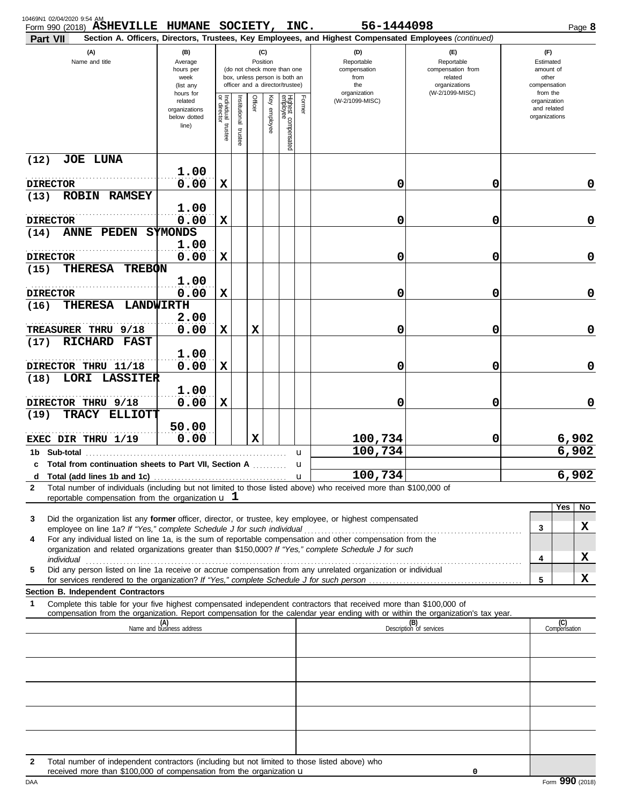| 10469N1 02/04/2020 9:54 AM<br><b>Part VII</b> | Form 990 (2018) ASHEVILLE HUMANE SOCIETY, INC.                                                                                                                                                               |                                                   |                                   |                          |             |                 |                                 |              | 56-1444098<br>Section A. Officers, Directors, Trustees, Key Employees, and Highest Compensated Employees (continued)                                                                                                 |                                                                    |                                                          | Page 8         |
|-----------------------------------------------|--------------------------------------------------------------------------------------------------------------------------------------------------------------------------------------------------------------|---------------------------------------------------|-----------------------------------|--------------------------|-------------|-----------------|---------------------------------|--------------|----------------------------------------------------------------------------------------------------------------------------------------------------------------------------------------------------------------------|--------------------------------------------------------------------|----------------------------------------------------------|----------------|
|                                               | (A)<br>(B)<br>(C)<br>Name and title<br>Position<br>Average<br>(do not check more than one<br>hours per<br>box, unless person is both an<br>week<br>officer and a director/trustee)<br>(list any<br>hours for |                                                   |                                   |                          |             |                 |                                 |              | (D)<br>Reportable<br>compensation<br>from<br>the                                                                                                                                                                     | (E)<br>Reportable<br>compensation from<br>related<br>organizations | (F)<br>Estimated<br>amount of<br>other<br>compensation   |                |
|                                               |                                                                                                                                                                                                              | related<br>organizations<br>below dotted<br>line) | Individual trustee<br>or director | Institutional<br>trustee | Officer     | Key<br>employee | Highest compensated<br>employee | Former       | organization<br>(W-2/1099-MISC)                                                                                                                                                                                      | (W-2/1099-MISC)                                                    | from the<br>organization<br>and related<br>organizations |                |
| (12)                                          | <b>JOE LUNA</b>                                                                                                                                                                                              |                                                   |                                   |                          |             |                 |                                 |              |                                                                                                                                                                                                                      |                                                                    |                                                          |                |
| <b>DIRECTOR</b>                               |                                                                                                                                                                                                              | 1.00<br>0.00                                      | $\mathbf x$                       |                          |             |                 |                                 |              | 0                                                                                                                                                                                                                    | 0                                                                  |                                                          | 0              |
| (13)<br><b>ROBIN</b><br><b>DIRECTOR</b>       | <b>RAMSEY</b>                                                                                                                                                                                                | 1.00<br>0.00                                      | $\mathbf x$                       |                          |             |                 |                                 |              | 0                                                                                                                                                                                                                    | 0                                                                  |                                                          | 0              |
| <b>ANNE</b><br>(14)                           | PEDEN                                                                                                                                                                                                        | <b>SYMONDS</b>                                    |                                   |                          |             |                 |                                 |              |                                                                                                                                                                                                                      |                                                                    |                                                          |                |
| <b>DIRECTOR</b>                               |                                                                                                                                                                                                              | 1.00<br>0.00                                      | $\mathbf x$                       |                          |             |                 |                                 |              | 0                                                                                                                                                                                                                    | 0                                                                  |                                                          | 0              |
| (15)                                          | <b>THERESA</b><br><b>TREBON</b>                                                                                                                                                                              | 1.00                                              |                                   |                          |             |                 |                                 |              |                                                                                                                                                                                                                      |                                                                    |                                                          |                |
| <b>DIRECTOR</b>                               |                                                                                                                                                                                                              | 0.00                                              | $\mathbf x$                       |                          |             |                 |                                 |              | 0                                                                                                                                                                                                                    | 0                                                                  |                                                          | 0              |
| (16)                                          | <b>THERESA</b>                                                                                                                                                                                               | <b>LANDWIRTH</b><br>2.00                          |                                   |                          |             |                 |                                 |              |                                                                                                                                                                                                                      |                                                                    |                                                          |                |
| TREASURER THRU 9/18                           |                                                                                                                                                                                                              | 0.00                                              | $\mathbf x$                       |                          | $\mathbf x$ |                 |                                 |              | 0                                                                                                                                                                                                                    | 0                                                                  |                                                          | 0              |
| (17)                                          | <b>RICHARD</b><br><b>FAST</b>                                                                                                                                                                                | 1.00                                              |                                   |                          |             |                 |                                 |              |                                                                                                                                                                                                                      |                                                                    |                                                          |                |
| DIRECTOR THRU 11/18                           |                                                                                                                                                                                                              | 0.00                                              | $\mathbf x$                       |                          |             |                 |                                 |              | 0                                                                                                                                                                                                                    | 0                                                                  |                                                          | 0              |
| (18)<br>LORI                                  | <b>LASSITER</b>                                                                                                                                                                                              | 1.00                                              |                                   |                          |             |                 |                                 |              |                                                                                                                                                                                                                      |                                                                    |                                                          |                |
| DIRECTOR THRU 9/18<br><b>TRACY</b><br>(19)    | <b>ELLIOTT</b>                                                                                                                                                                                               | 0.00                                              | X                                 |                          |             |                 |                                 |              | 0                                                                                                                                                                                                                    | 0                                                                  |                                                          | 0              |
|                                               |                                                                                                                                                                                                              | 50.00                                             |                                   |                          |             |                 |                                 |              |                                                                                                                                                                                                                      |                                                                    |                                                          |                |
| EXEC DIR THRU 1/19                            |                                                                                                                                                                                                              | 0.00                                              |                                   |                          | $\mathbf x$ |                 |                                 |              | 100,734<br>100,734                                                                                                                                                                                                   | 0                                                                  |                                                          | 6,902<br>6,902 |
| 1b Sub-total                                  | c Total from continuation sheets to Part VII, Section A                                                                                                                                                      |                                                   |                                   |                          |             |                 |                                 | u<br>u       |                                                                                                                                                                                                                      |                                                                    |                                                          |                |
| d                                             |                                                                                                                                                                                                              |                                                   |                                   |                          |             |                 |                                 | $\mathbf{u}$ | 100,734                                                                                                                                                                                                              |                                                                    |                                                          | 6,902          |
| $\mathbf{2}$                                  | reportable compensation from the organization $\bf{u}$ 1                                                                                                                                                     |                                                   |                                   |                          |             |                 |                                 |              | Total number of individuals (including but not limited to those listed above) who received more than \$100,000 of                                                                                                    |                                                                    |                                                          |                |
| 3                                             |                                                                                                                                                                                                              |                                                   |                                   |                          |             |                 |                                 |              | Did the organization list any former officer, director, or trustee, key employee, or highest compensated                                                                                                             |                                                                    | Yes                                                      | No             |
|                                               |                                                                                                                                                                                                              |                                                   |                                   |                          |             |                 |                                 |              |                                                                                                                                                                                                                      |                                                                    | 3                                                        | X              |
| 4                                             |                                                                                                                                                                                                              |                                                   |                                   |                          |             |                 |                                 |              | For any individual listed on line 1a, is the sum of reportable compensation and other compensation from the<br>organization and related organizations greater than \$150,000? If "Yes," complete Schedule J for such |                                                                    |                                                          |                |
| 5                                             |                                                                                                                                                                                                              |                                                   |                                   |                          |             |                 |                                 |              | Did any person listed on line 1a receive or accrue compensation from any unrelated organization or individual                                                                                                        |                                                                    | 4                                                        | X              |
|                                               |                                                                                                                                                                                                              |                                                   |                                   |                          |             |                 |                                 |              |                                                                                                                                                                                                                      |                                                                    | 5                                                        | X              |
| 1                                             | <b>Section B. Independent Contractors</b>                                                                                                                                                                    |                                                   |                                   |                          |             |                 |                                 |              | Complete this table for your five highest compensated independent contractors that received more than \$100,000 of                                                                                                   |                                                                    |                                                          |                |
|                                               |                                                                                                                                                                                                              |                                                   |                                   |                          |             |                 |                                 |              | compensation from the organization. Report compensation for the calendar year ending with or within the organization's tax year.                                                                                     |                                                                    |                                                          |                |
|                                               |                                                                                                                                                                                                              | (A)<br>Name and business address                  |                                   |                          |             |                 |                                 |              |                                                                                                                                                                                                                      | (B)<br>Description of services                                     | (C)<br>Compensation                                      |                |
|                                               |                                                                                                                                                                                                              |                                                   |                                   |                          |             |                 |                                 |              |                                                                                                                                                                                                                      |                                                                    |                                                          |                |
|                                               |                                                                                                                                                                                                              |                                                   |                                   |                          |             |                 |                                 |              |                                                                                                                                                                                                                      |                                                                    |                                                          |                |
|                                               |                                                                                                                                                                                                              |                                                   |                                   |                          |             |                 |                                 |              |                                                                                                                                                                                                                      |                                                                    |                                                          |                |
|                                               |                                                                                                                                                                                                              |                                                   |                                   |                          |             |                 |                                 |              |                                                                                                                                                                                                                      |                                                                    |                                                          |                |
|                                               |                                                                                                                                                                                                              |                                                   |                                   |                          |             |                 |                                 |              |                                                                                                                                                                                                                      |                                                                    |                                                          |                |
|                                               |                                                                                                                                                                                                              |                                                   |                                   |                          |             |                 |                                 |              |                                                                                                                                                                                                                      |                                                                    |                                                          |                |
| 2                                             | received more than \$100,000 of compensation from the organization $\mathbf u$                                                                                                                               |                                                   |                                   |                          |             |                 |                                 |              | Total number of independent contractors (including but not limited to those listed above) who                                                                                                                        | 0                                                                  |                                                          |                |

received more than \$100,000 of compensation from the organization **u** and the compensation **u** and the organization **u** bAA Form **990** (2018) received more than \$100,000 of compensation from the organization u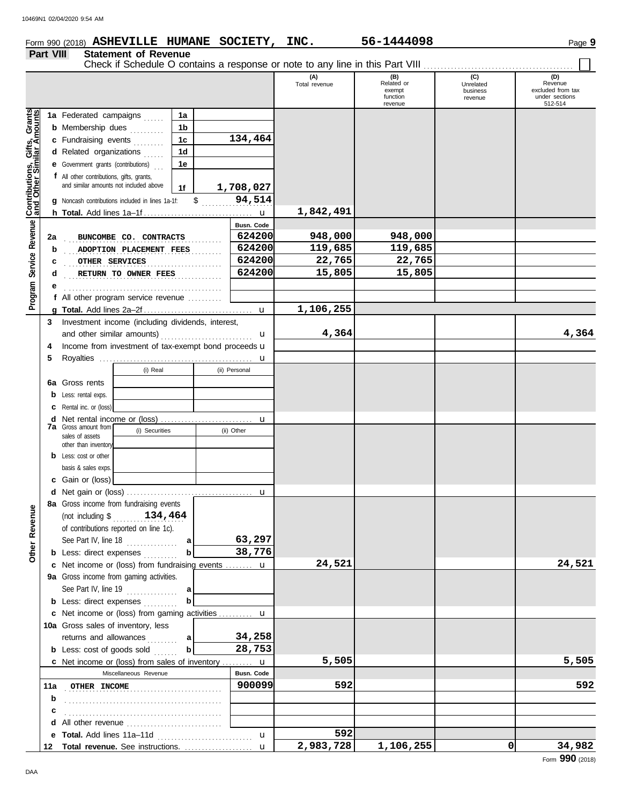## **Form 990 (2018) ASHEVILLE HUMANE SOCIETY, INC.** 56-1444098 Page 9

#### **Part VIII Statement of Revenue** Check if Schedule O contains a response or note to any line in this Part VIII . . . . . . . . . . . . . . . . . . . . . . . . . . . . . . . . . . . . . . . . . . . .

 $\blacksquare$ 

|                                                           |     |                                                                       |               | (A)<br>Total revenue | (B)<br>Related or<br>exempt<br>function | (C)<br>Unrelated<br>business<br>revenue | (D)<br>Revenue<br>excluded from tax<br>under sections |
|-----------------------------------------------------------|-----|-----------------------------------------------------------------------|---------------|----------------------|-----------------------------------------|-----------------------------------------|-------------------------------------------------------|
|                                                           |     |                                                                       |               |                      | revenue                                 |                                         | 512-514                                               |
|                                                           |     | 1a Federated campaigns<br>1a                                          |               |                      |                                         |                                         |                                                       |
|                                                           |     | <b>b</b> Membership dues<br>1b<br>.                                   |               |                      |                                         |                                         |                                                       |
|                                                           |     | c Fundraising events<br>1 <sub>c</sub>                                | 134,464       |                      |                                         |                                         |                                                       |
|                                                           |     | d Related organizations<br>1d                                         |               |                      |                                         |                                         |                                                       |
|                                                           |     | <b>e</b> Government grants (contributions)<br>1e                      |               |                      |                                         |                                         |                                                       |
|                                                           |     | f All other contributions, gifts, grants,                             |               |                      |                                         |                                         |                                                       |
|                                                           |     | and similar amounts not included above<br>1f                          | 1,708,027     |                      |                                         |                                         |                                                       |
| Contributions, Gifts, Grants<br>and Other Similar Amounts |     | $\frac{1}{2}$<br>g Noncash contributions included in lines 1a-1f:     | 94,514        |                      |                                         |                                         |                                                       |
|                                                           |     |                                                                       |               | 1,842,491            |                                         |                                         |                                                       |
|                                                           |     |                                                                       | Busn. Code    |                      |                                         |                                         |                                                       |
|                                                           | 2a  | BUNCOMBE CO. CONTRACTS                                                | 624200        | 948,000              | 948,000                                 |                                         |                                                       |
|                                                           | b   | ADOPTION PLACEMENT FEES                                               | 624200        | 119,685              | 119,685                                 |                                         |                                                       |
| Service Revenue                                           | с   | OTHER SERVICES                                                        | 624200        | 22,765               | 22,765                                  |                                         |                                                       |
|                                                           | d   | RETURN TO OWNER FEES                                                  | 624200        | 15,805               | 15,805                                  |                                         |                                                       |
|                                                           |     |                                                                       |               |                      |                                         |                                         |                                                       |
| Program                                                   |     | f All other program service revenue $\ldots$                          |               | 1,106,255            |                                         |                                         |                                                       |
|                                                           |     | Investment income (including dividends, interest,                     |               |                      |                                         |                                         |                                                       |
|                                                           | 3   | and other similar amounts)                                            | u             | 4,364                |                                         |                                         | 4,364                                                 |
|                                                           | 4   | Income from investment of tax-exempt bond proceeds u                  |               |                      |                                         |                                         |                                                       |
|                                                           | 5   |                                                                       |               |                      |                                         |                                         |                                                       |
|                                                           |     | (i) Real                                                              | (ii) Personal |                      |                                         |                                         |                                                       |
|                                                           |     | 6a Gross rents                                                        |               |                      |                                         |                                         |                                                       |
|                                                           |     | <b>b</b> Less: rental exps.                                           |               |                      |                                         |                                         |                                                       |
|                                                           |     | <b>c</b> Rental inc. or (loss)                                        |               |                      |                                         |                                         |                                                       |
|                                                           | d   |                                                                       | u             |                      |                                         |                                         |                                                       |
|                                                           |     | <b>7a</b> Gross amount from<br>(i) Securities<br>sales of assets      | (ii) Other    |                      |                                         |                                         |                                                       |
|                                                           |     | other than inventory                                                  |               |                      |                                         |                                         |                                                       |
|                                                           |     | <b>b</b> Less: cost or other                                          |               |                      |                                         |                                         |                                                       |
|                                                           |     | basis & sales exps.                                                   |               |                      |                                         |                                         |                                                       |
|                                                           |     | c Gain or (loss)                                                      |               |                      |                                         |                                         |                                                       |
|                                                           |     |                                                                       | u             |                      |                                         |                                         |                                                       |
|                                                           |     | 8a Gross income from fundraising events                               |               |                      |                                         |                                         |                                                       |
| evenue                                                    |     | (not including $\frac{134}{134}$ , 464                                |               |                      |                                         |                                         |                                                       |
| õ                                                         |     | of contributions reported on line 1c).                                |               |                      |                                         |                                         |                                                       |
|                                                           |     | See Part IV, line 18<br>a                                             | 63,297        |                      |                                         |                                         |                                                       |
| Other                                                     |     | <b>b</b> Less: direct expenses                                        | 38,776        |                      |                                         |                                         |                                                       |
|                                                           |     | c Net income or (loss) from fundraising events  u                     |               | 24,521               |                                         |                                         | 24,521                                                |
|                                                           |     | 9a Gross income from gaming activities.                               |               |                      |                                         |                                         |                                                       |
|                                                           |     | See Part IV, line $19$<br>a                                           |               |                      |                                         |                                         |                                                       |
|                                                           |     | b<br><b>b</b> Less: direct expenses                                   |               |                      |                                         |                                         |                                                       |
|                                                           |     | c Net income or (loss) from gaming activities  u                      |               |                      |                                         |                                         |                                                       |
|                                                           |     | 10a Gross sales of inventory, less                                    | 34,258        |                      |                                         |                                         |                                                       |
|                                                           |     | returns and allowances<br>a<br>b<br><b>b</b> Less: cost of goods sold | 28,753        |                      |                                         |                                         |                                                       |
|                                                           |     | c Net income or (loss) from sales of inventory  u                     |               | 5,505                |                                         |                                         | 5,505                                                 |
|                                                           |     | Miscellaneous Revenue                                                 | Busn. Code    |                      |                                         |                                         |                                                       |
|                                                           | 11a | <b>OTHER INCOME</b>                                                   | 900099        | 592                  |                                         |                                         | 592                                                   |
|                                                           | b   |                                                                       |               |                      |                                         |                                         |                                                       |
|                                                           | c   |                                                                       |               |                      |                                         |                                         |                                                       |
|                                                           | d   | All other revenue                                                     |               |                      |                                         |                                         |                                                       |
|                                                           |     | e Total. Add lines 11a-11d                                            | u             | 592                  |                                         |                                         |                                                       |
|                                                           | 12  | Total revenue. See instructions.                                      | $\mathbf{u}$  | 2,983,728            | 1,106,255                               | 0                                       | 34,982                                                |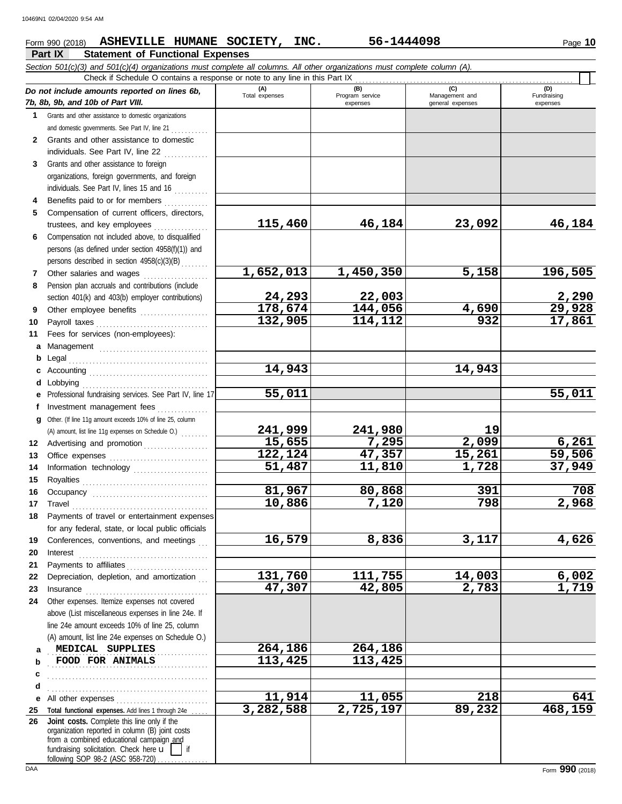### **Form 990 (2018) ASHEVILLE HUMANE SOCIETY, INC.** 56-1444098 Page 10

#### **Part IX Statement of Functional Expenses**

|              | Section 501(c)(3) and 501(c)(4) organizations must complete all columns. All other organizations must complete column (A).<br>Check if Schedule O contains a response or note to any line in this Part IX                                                                                                                                                                                                                                                                                                                                                                   |                    |                             |                                    |                         |
|--------------|-----------------------------------------------------------------------------------------------------------------------------------------------------------------------------------------------------------------------------------------------------------------------------------------------------------------------------------------------------------------------------------------------------------------------------------------------------------------------------------------------------------------------------------------------------------------------------|--------------------|-----------------------------|------------------------------------|-------------------------|
|              |                                                                                                                                                                                                                                                                                                                                                                                                                                                                                                                                                                             | (A)                | (B)                         | (C)                                | (D)                     |
|              | Do not include amounts reported on lines 6b,<br>7b, 8b, 9b, and 10b of Part VIII.                                                                                                                                                                                                                                                                                                                                                                                                                                                                                           | Total expenses     | Program service<br>expenses | Management and<br>general expenses | Fundraising<br>expenses |
|              | 1 Grants and other assistance to domestic organizations                                                                                                                                                                                                                                                                                                                                                                                                                                                                                                                     |                    |                             |                                    |                         |
|              | and domestic governments. See Part IV, line 21                                                                                                                                                                                                                                                                                                                                                                                                                                                                                                                              |                    |                             |                                    |                         |
| $\mathbf{2}$ | Grants and other assistance to domestic                                                                                                                                                                                                                                                                                                                                                                                                                                                                                                                                     |                    |                             |                                    |                         |
|              | individuals. See Part IV, line 22                                                                                                                                                                                                                                                                                                                                                                                                                                                                                                                                           |                    |                             |                                    |                         |
| 3            | Grants and other assistance to foreign                                                                                                                                                                                                                                                                                                                                                                                                                                                                                                                                      |                    |                             |                                    |                         |
|              | organizations, foreign governments, and foreign                                                                                                                                                                                                                                                                                                                                                                                                                                                                                                                             |                    |                             |                                    |                         |
|              | individuals. See Part IV, lines 15 and 16                                                                                                                                                                                                                                                                                                                                                                                                                                                                                                                                   |                    |                             |                                    |                         |
|              | Benefits paid to or for members                                                                                                                                                                                                                                                                                                                                                                                                                                                                                                                                             |                    |                             |                                    |                         |
| 5            | Compensation of current officers, directors,                                                                                                                                                                                                                                                                                                                                                                                                                                                                                                                                |                    |                             |                                    |                         |
|              | trustees, and key employees                                                                                                                                                                                                                                                                                                                                                                                                                                                                                                                                                 | 115,460            | 46,184                      | 23,092                             | 46,184                  |
| 6            | Compensation not included above, to disqualified                                                                                                                                                                                                                                                                                                                                                                                                                                                                                                                            |                    |                             |                                    |                         |
|              | persons (as defined under section 4958(f)(1)) and                                                                                                                                                                                                                                                                                                                                                                                                                                                                                                                           |                    |                             |                                    |                         |
|              | persons described in section 4958(c)(3)(B)                                                                                                                                                                                                                                                                                                                                                                                                                                                                                                                                  |                    |                             |                                    | 196,505                 |
| 7            | Other salaries and wages                                                                                                                                                                                                                                                                                                                                                                                                                                                                                                                                                    | 1,652,013          | 1,450,350                   | 5,158                              |                         |
| 8            | Pension plan accruals and contributions (include<br>section 401(k) and 403(b) employer contributions)                                                                                                                                                                                                                                                                                                                                                                                                                                                                       | 24,293             | 22,003                      |                                    |                         |
| 9            | Other employee benefits                                                                                                                                                                                                                                                                                                                                                                                                                                                                                                                                                     | 178,674            | 144,056                     | 4,690                              | $\frac{2,290}{29,928}$  |
| 10           |                                                                                                                                                                                                                                                                                                                                                                                                                                                                                                                                                                             | 132,905            | 114,112                     | 932                                | 17,861                  |
| 11           | Fees for services (non-employees):                                                                                                                                                                                                                                                                                                                                                                                                                                                                                                                                          |                    |                             |                                    |                         |
| a            |                                                                                                                                                                                                                                                                                                                                                                                                                                                                                                                                                                             |                    |                             |                                    |                         |
| b            |                                                                                                                                                                                                                                                                                                                                                                                                                                                                                                                                                                             |                    |                             |                                    |                         |
|              |                                                                                                                                                                                                                                                                                                                                                                                                                                                                                                                                                                             | 14,943             |                             | 14,943                             |                         |
| d            |                                                                                                                                                                                                                                                                                                                                                                                                                                                                                                                                                                             |                    |                             |                                    |                         |
| е            | Professional fundraising services. See Part IV, line 17                                                                                                                                                                                                                                                                                                                                                                                                                                                                                                                     | 55,011             |                             |                                    | 55,011                  |
|              | Investment management fees                                                                                                                                                                                                                                                                                                                                                                                                                                                                                                                                                  |                    |                             |                                    |                         |
| a            | Other. (If line 11g amount exceeds 10% of line 25, column                                                                                                                                                                                                                                                                                                                                                                                                                                                                                                                   |                    |                             |                                    |                         |
|              | (A) amount, list line 11g expenses on Schedule O.)                                                                                                                                                                                                                                                                                                                                                                                                                                                                                                                          | 241,999            | 241,980                     | 19                                 |                         |
| 12           | Advertising and promotion                                                                                                                                                                                                                                                                                                                                                                                                                                                                                                                                                   | 15,655             | 7,295                       | 2,099                              | 6,261                   |
| 13           |                                                                                                                                                                                                                                                                                                                                                                                                                                                                                                                                                                             | 122,124            | 47,357                      | 15,261                             | 59,506                  |
| 14           | Information technology                                                                                                                                                                                                                                                                                                                                                                                                                                                                                                                                                      | 51,487             | 11,810                      | 1,728                              | 37,949                  |
| 15           |                                                                                                                                                                                                                                                                                                                                                                                                                                                                                                                                                                             | 81,967             | 80,868                      | 391                                | 708                     |
| 16<br>17     |                                                                                                                                                                                                                                                                                                                                                                                                                                                                                                                                                                             | 10,886             | 7,120                       | 798                                | 2,968                   |
| 18           | $\begin{minipage}[c]{0.9\linewidth} \begin{tabular}{l} \textbf{Travel} \end{tabular} \end{minipage} \end{minipage} \begin{minipage}[c]{0.9\linewidth} \begin{tabular}{l} \textbf{True} \end{tabular} \end{minipage} \end{minipage} \begin{minipage}[c]{0.9\linewidth} \begin{tabular}{l} \textbf{True} \end{tabular} \end{minipage} \end{minipage} \begin{minipage}[c]{0.9\linewidth} \begin{tabular}{l} \textbf{True} \end{tabular} \end{minipage} \end{minipage} \begin{minipage}[c]{0.9\linewidth} \begin{tabular}{l} \$<br>Payments of travel or entertainment expenses |                    |                             |                                    |                         |
|              | for any federal, state, or local public officials                                                                                                                                                                                                                                                                                                                                                                                                                                                                                                                           |                    |                             |                                    |                         |
| 19           | Conferences, conventions, and meetings                                                                                                                                                                                                                                                                                                                                                                                                                                                                                                                                      | 16,579             | 8,836                       | 3,117                              | 4,626                   |
| 20           | Interest                                                                                                                                                                                                                                                                                                                                                                                                                                                                                                                                                                    |                    |                             |                                    |                         |
| 21           | Payments to affiliates                                                                                                                                                                                                                                                                                                                                                                                                                                                                                                                                                      |                    |                             |                                    |                         |
| 22           | Depreciation, depletion, and amortization                                                                                                                                                                                                                                                                                                                                                                                                                                                                                                                                   | 131,760            | 111,755                     | 14,003                             | 6,002                   |
| 23           |                                                                                                                                                                                                                                                                                                                                                                                                                                                                                                                                                                             | 47,307             | 42,805                      | 2,783                              | 1,719                   |
| 24           | Other expenses. Itemize expenses not covered                                                                                                                                                                                                                                                                                                                                                                                                                                                                                                                                |                    |                             |                                    |                         |
|              | above (List miscellaneous expenses in line 24e. If                                                                                                                                                                                                                                                                                                                                                                                                                                                                                                                          |                    |                             |                                    |                         |
|              | line 24e amount exceeds 10% of line 25, column                                                                                                                                                                                                                                                                                                                                                                                                                                                                                                                              |                    |                             |                                    |                         |
|              | (A) amount, list line 24e expenses on Schedule O.)                                                                                                                                                                                                                                                                                                                                                                                                                                                                                                                          |                    |                             |                                    |                         |
| a            | MEDICAL SUPPLIES<br>FOOD FOR ANIMALS                                                                                                                                                                                                                                                                                                                                                                                                                                                                                                                                        | 264,186<br>113,425 | 264,186<br>113,425          |                                    |                         |
| b            |                                                                                                                                                                                                                                                                                                                                                                                                                                                                                                                                                                             |                    |                             |                                    |                         |
| c            |                                                                                                                                                                                                                                                                                                                                                                                                                                                                                                                                                                             |                    |                             |                                    |                         |
| d<br>е       |                                                                                                                                                                                                                                                                                                                                                                                                                                                                                                                                                                             | 11,914             | 11,055                      | 218                                | 641                     |
| 25           | All other expenses<br>Total functional expenses. Add lines 1 through 24e                                                                                                                                                                                                                                                                                                                                                                                                                                                                                                    | 3,282,588          | 2,725,197                   | 89,232                             | 468, 159                |
| 26           | Joint costs. Complete this line only if the<br>organization reported in column (B) joint costs                                                                                                                                                                                                                                                                                                                                                                                                                                                                              |                    |                             |                                    |                         |
|              | from a combined educational campaign and<br>fundraising solicitation. Check here $\mathbf{u}$<br>following SOP 98-2 (ASC 958-720)                                                                                                                                                                                                                                                                                                                                                                                                                                           |                    |                             |                                    |                         |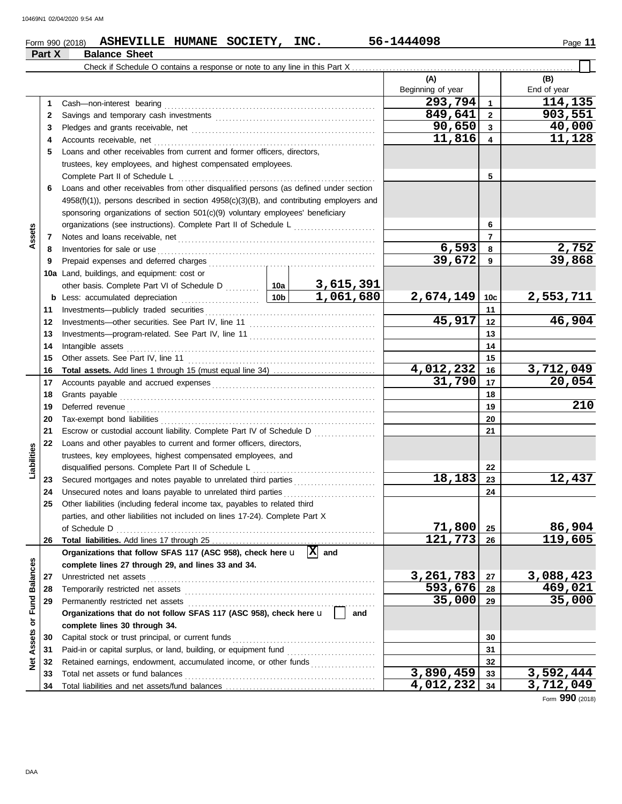**Part X Balance Sheet**

### **Form 990 (2018) ASHEVILLE HUMANE SOCIETY, INC.** 56-1444098 Page 11

|                  |          | Check if Schedule O contains a response or note to any line in this Part X                           |                     |                       |                          |                         |                        |
|------------------|----------|------------------------------------------------------------------------------------------------------|---------------------|-----------------------|--------------------------|-------------------------|------------------------|
|                  |          |                                                                                                      |                     |                       | (A)<br>Beginning of year |                         | (B)<br>End of year     |
|                  | 1        | Cash-non-interest bearing                                                                            |                     |                       | 293,794                  | $\mathbf{1}$            | 114,135                |
|                  | 2        |                                                                                                      |                     |                       | 849,641                  | $\overline{2}$          | 903,551                |
|                  | 3        |                                                                                                      |                     |                       | 90,650                   | $\mathbf{3}$            | 40,000                 |
|                  | 4        | Accounts receivable, net                                                                             |                     |                       | 11,816                   | $\overline{\mathbf{4}}$ | 11,128                 |
|                  | 5        | Loans and other receivables from current and former officers, directors,                             |                     |                       |                          |                         |                        |
|                  |          | trustees, key employees, and highest compensated employees.                                          |                     |                       |                          |                         |                        |
|                  |          | Complete Part II of Schedule L                                                                       |                     |                       | 5                        |                         |                        |
|                  | 6        | Loans and other receivables from other disqualified persons (as defined under section                |                     |                       |                          |                         |                        |
|                  |          | $4958(f)(1)$ , persons described in section $4958(c)(3)(B)$ , and contributing employers and         |                     |                       |                          |                         |                        |
|                  |          | sponsoring organizations of section 501(c)(9) voluntary employees' beneficiary                       |                     |                       |                          |                         |                        |
|                  |          | organizations (see instructions). Complete Part II of Schedule L [1111111111111111111111111111111111 |                     |                       |                          | 6                       |                        |
| Assets           | 7        |                                                                                                      |                     |                       |                          | $\overline{7}$          |                        |
|                  | 8        | Inventories for sale or use                                                                          |                     |                       | 6,593                    | 8                       | $\frac{2,752}{39,868}$ |
|                  | 9        | Prepaid expenses and deferred charges                                                                |                     |                       | 39,672                   | 9                       |                        |
|                  |          | 10a Land, buildings, and equipment: cost or                                                          |                     |                       |                          |                         |                        |
|                  |          | other basis. Complete Part VI of Schedule D  10a                                                     |                     | 3,615,391             |                          |                         |                        |
|                  |          |                                                                                                      | 10b                 | 1,061,680             | 2,674,149                | 10c                     | <u>2,553,711</u>       |
|                  | 11       | Investments-publicly traded securities                                                               |                     | 11                    |                          |                         |                        |
|                  | 12       |                                                                                                      | 45,917              | 12                    | 46,904                   |                         |                        |
|                  | 13       |                                                                                                      |                     | 13                    |                          |                         |                        |
|                  | 14       | Intangible assets                                                                                    |                     | 14                    |                          |                         |                        |
|                  | 15       | Other assets. See Part IV, line 11                                                                   |                     | 15                    |                          |                         |                        |
|                  | 16       |                                                                                                      | 4,012,232<br>31,790 | 16<br>17              | 3,712,049<br>20,054      |                         |                        |
|                  | 17<br>18 |                                                                                                      |                     | 18                    |                          |                         |                        |
|                  | 19       | Deferred revenue                                                                                     |                     |                       |                          | 19                      | 210                    |
|                  | 20       |                                                                                                      |                     |                       |                          | 20                      |                        |
|                  | 21       | Escrow or custodial account liability. Complete Part IV of Schedule D                                |                     |                       |                          | 21                      |                        |
|                  | 22       | Loans and other payables to current and former officers, directors,                                  |                     |                       |                          |                         |                        |
| Liabilities      |          | trustees, key employees, highest compensated employees, and                                          |                     |                       |                          |                         |                        |
|                  |          | disqualified persons. Complete Part II of Schedule L                                                 |                     |                       |                          | 22                      |                        |
|                  | 23       |                                                                                                      |                     |                       | 18,183                   | 23                      | 12,437                 |
|                  | 24       | Unsecured notes and loans payable to unrelated third parties                                         |                     |                       |                          | 24                      |                        |
|                  | 25       | Other liabilities (including federal income tax, payables to related third                           |                     |                       |                          |                         |                        |
|                  |          | parties, and other liabilities not included on lines 17-24). Complete Part X                         |                     |                       |                          |                         |                        |
|                  |          | of Schedule D                                                                                        |                     |                       | 71,800                   | 25                      | <u>86,904</u>          |
|                  | 26       |                                                                                                      |                     |                       | 121,773                  | 26                      | 119,605                |
|                  |          | Organizations that follow SFAS 117 (ASC 958), check here u                                           |                     | $ \mathbf{x} $<br>and |                          |                         |                        |
|                  |          | complete lines 27 through 29, and lines 33 and 34.                                                   |                     |                       |                          |                         |                        |
|                  | 27       | Unrestricted net assets                                                                              |                     |                       | 3, 261, 783              | 27                      | 3,088,423              |
| or Fund Balances | 28       | Temporarily restricted net assets                                                                    | 593,676             | 28                    | $\overline{469,021}$     |                         |                        |
|                  | 29       | Permanently restricted net assets                                                                    |                     | 35,000                | 29                       | 35,000                  |                        |
|                  |          | Organizations that do not follow SFAS 117 (ASC 958), check here u                                    |                     | and                   |                          |                         |                        |
|                  |          | complete lines 30 through 34.                                                                        |                     |                       |                          |                         |                        |
| Assets           | 30       | Capital stock or trust principal, or current funds                                                   |                     |                       |                          | 30                      |                        |
|                  | 31       | Retained earnings, endowment, accumulated income, or other funds                                     |                     |                       |                          | 31<br>32                |                        |
| ğ                | 32<br>33 | Total net assets or fund balances                                                                    |                     |                       | 3,890,459                | 33                      | 3,592,444              |
|                  | 34       |                                                                                                      |                     |                       | 4,012,232                | 34                      | 3,712,049              |
|                  |          |                                                                                                      |                     |                       |                          |                         |                        |

Form **990** (2018)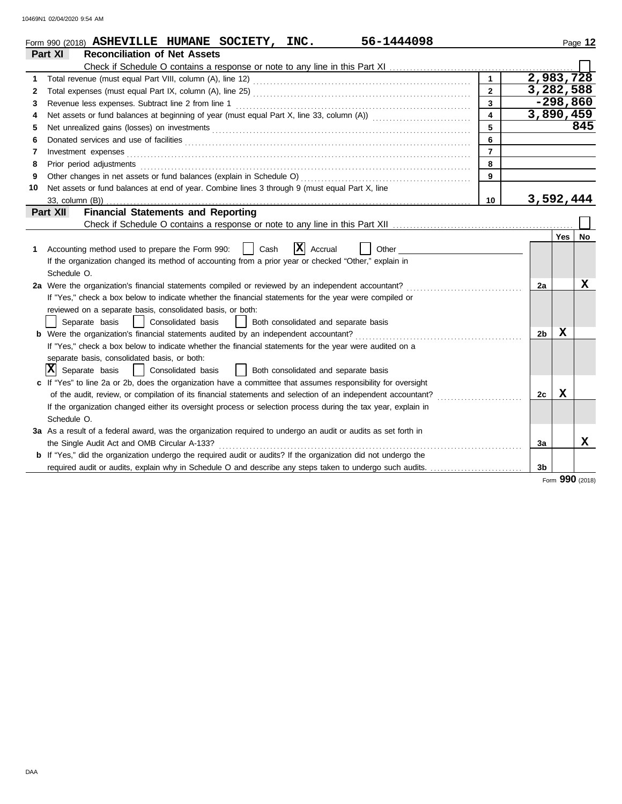|    | 56-1444098<br>Form 990 (2018) ASHEVILLE HUMANE SOCIETY, INC.                                                                                                                                                                        |                |            | Page 12 |  |  |  |  |
|----|-------------------------------------------------------------------------------------------------------------------------------------------------------------------------------------------------------------------------------------|----------------|------------|---------|--|--|--|--|
|    | Part XI<br><b>Reconciliation of Net Assets</b>                                                                                                                                                                                      |                |            |         |  |  |  |  |
|    |                                                                                                                                                                                                                                     |                |            |         |  |  |  |  |
| 1  | 1                                                                                                                                                                                                                                   | 2,983,728      |            |         |  |  |  |  |
| 2  | $\overline{2}$                                                                                                                                                                                                                      | 3,282,588      |            |         |  |  |  |  |
| 3  | $\mathbf{3}$<br>Revenue less expenses. Subtract line 2 from line 1                                                                                                                                                                  |                | $-298,860$ |         |  |  |  |  |
| 4  | 3,890,459<br>$\overline{\mathbf{4}}$                                                                                                                                                                                                |                |            |         |  |  |  |  |
| 5  | 5                                                                                                                                                                                                                                   |                |            | 845     |  |  |  |  |
| 6  | 6                                                                                                                                                                                                                                   |                |            |         |  |  |  |  |
| 7  | $\overline{7}$<br>Investment expenses <b>contract and the expenses</b>                                                                                                                                                              |                |            |         |  |  |  |  |
| 8  | Prior period adjustments entertainments and a series of the series of the series of the series of the series of the series of the series of the series of the series of the series of the series of the series of the series o<br>8 |                |            |         |  |  |  |  |
| 9  | 9                                                                                                                                                                                                                                   |                |            |         |  |  |  |  |
| 10 | Net assets or fund balances at end of year. Combine lines 3 through 9 (must equal Part X, line                                                                                                                                      |                |            |         |  |  |  |  |
|    | 10                                                                                                                                                                                                                                  | 3,592,444      |            |         |  |  |  |  |
|    | <b>Financial Statements and Reporting</b><br>Part XII                                                                                                                                                                               |                |            |         |  |  |  |  |
|    |                                                                                                                                                                                                                                     |                |            |         |  |  |  |  |
|    |                                                                                                                                                                                                                                     |                | Yes        | No      |  |  |  |  |
| 1. | $ \mathbf{X} $ Accrual<br>Accounting method used to prepare the Form 990:<br>Cash<br>Other                                                                                                                                          |                |            |         |  |  |  |  |
|    | If the organization changed its method of accounting from a prior year or checked "Other," explain in                                                                                                                               |                |            |         |  |  |  |  |
|    | Schedule O.                                                                                                                                                                                                                         |                |            |         |  |  |  |  |
|    | 2a Were the organization's financial statements compiled or reviewed by an independent accountant?                                                                                                                                  | 2a             |            | X       |  |  |  |  |
|    | If "Yes," check a box below to indicate whether the financial statements for the year were compiled or                                                                                                                              |                |            |         |  |  |  |  |
|    | reviewed on a separate basis, consolidated basis, or both:                                                                                                                                                                          |                |            |         |  |  |  |  |
|    | Separate basis<br>  Consolidated basis<br>Both consolidated and separate basis<br>$\Box$                                                                                                                                            |                |            |         |  |  |  |  |
|    | <b>b</b> Were the organization's financial statements audited by an independent accountant?                                                                                                                                         | 2b             | x          |         |  |  |  |  |
|    | If "Yes," check a box below to indicate whether the financial statements for the year were audited on a                                                                                                                             |                |            |         |  |  |  |  |
|    | separate basis, consolidated basis, or both:                                                                                                                                                                                        |                |            |         |  |  |  |  |
|    | Ixl<br>Separate basis<br>Consolidated basis<br>Both consolidated and separate basis                                                                                                                                                 |                |            |         |  |  |  |  |
|    | c If "Yes" to line 2a or 2b, does the organization have a committee that assumes responsibility for oversight                                                                                                                       |                |            |         |  |  |  |  |
|    | of the audit, review, or compilation of its financial statements and selection of an independent accountant?                                                                                                                        | 2c             | X          |         |  |  |  |  |
|    | If the organization changed either its oversight process or selection process during the tax year, explain in                                                                                                                       |                |            |         |  |  |  |  |
|    | Schedule O.                                                                                                                                                                                                                         |                |            |         |  |  |  |  |
|    | 3a As a result of a federal award, was the organization required to undergo an audit or audits as set forth in                                                                                                                      |                |            |         |  |  |  |  |
|    | the Single Audit Act and OMB Circular A-133?                                                                                                                                                                                        | 3a             |            | x       |  |  |  |  |
|    | <b>b</b> If "Yes," did the organization undergo the required audit or audits? If the organization did not undergo the                                                                                                               |                |            |         |  |  |  |  |
|    |                                                                                                                                                                                                                                     | 3 <sub>b</sub> |            |         |  |  |  |  |

Form **990** (2018)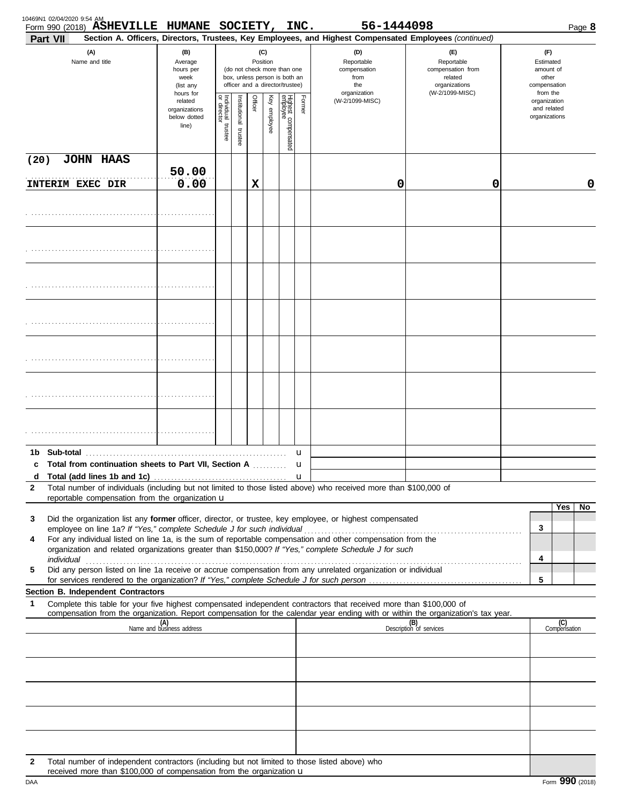| Part VII     | Form 990 (2018) ASHEVILLE HUMANE SOCIETY, INC.                                                                                                                                                                                                                                                                                                  |                                                                |                                      |                         |         |                 |                                                                                                 |                  | 56-1444098<br>Section A. Officers, Directors, Trustees, Key Employees, and Highest Compensated Employees (continued) |                                                                                       |                                                                    | Page 8              |
|--------------|-------------------------------------------------------------------------------------------------------------------------------------------------------------------------------------------------------------------------------------------------------------------------------------------------------------------------------------------------|----------------------------------------------------------------|--------------------------------------|-------------------------|---------|-----------------|-------------------------------------------------------------------------------------------------|------------------|----------------------------------------------------------------------------------------------------------------------|---------------------------------------------------------------------------------------|--------------------------------------------------------------------|---------------------|
|              | (A)<br>Name and title                                                                                                                                                                                                                                                                                                                           | (B)<br>Average<br>hours per<br>week<br>(list any               |                                      |                         |         | (C)<br>Position | (do not check more than one<br>box, unless person is both an<br>officer and a director/trustee) |                  | (D)<br>Reportable<br>compensation<br>from<br>the<br>organization                                                     | (E)<br>Reportable<br>compensation from<br>related<br>organizations<br>(W-2/1099-MISC) | (F)<br>Estimated<br>amount of<br>other<br>compensation<br>from the |                     |
|              |                                                                                                                                                                                                                                                                                                                                                 | hours for<br>related<br>organizations<br>below dotted<br>line) | Individual<br>or director<br>trustee | nstitutional<br>trustee | Officer | Key employee    | Highest compensated<br>employee                                                                 | Former           | (W-2/1099-MISC)                                                                                                      |                                                                                       | organization<br>and related<br>organizations                       |                     |
| (20)         | <b>JOHN HAAS</b>                                                                                                                                                                                                                                                                                                                                |                                                                |                                      |                         |         |                 |                                                                                                 |                  |                                                                                                                      |                                                                                       |                                                                    |                     |
|              | <b>INTERIM EXEC DIR</b>                                                                                                                                                                                                                                                                                                                         | 50.00<br>0.00                                                  |                                      |                         | X       |                 |                                                                                                 |                  | 0                                                                                                                    | 0                                                                                     |                                                                    | 0                   |
|              |                                                                                                                                                                                                                                                                                                                                                 |                                                                |                                      |                         |         |                 |                                                                                                 |                  |                                                                                                                      |                                                                                       |                                                                    |                     |
|              |                                                                                                                                                                                                                                                                                                                                                 |                                                                |                                      |                         |         |                 |                                                                                                 |                  |                                                                                                                      |                                                                                       |                                                                    |                     |
|              |                                                                                                                                                                                                                                                                                                                                                 |                                                                |                                      |                         |         |                 |                                                                                                 |                  |                                                                                                                      |                                                                                       |                                                                    |                     |
|              |                                                                                                                                                                                                                                                                                                                                                 |                                                                |                                      |                         |         |                 |                                                                                                 |                  |                                                                                                                      |                                                                                       |                                                                    |                     |
|              |                                                                                                                                                                                                                                                                                                                                                 |                                                                |                                      |                         |         |                 |                                                                                                 |                  |                                                                                                                      |                                                                                       |                                                                    |                     |
|              |                                                                                                                                                                                                                                                                                                                                                 |                                                                |                                      |                         |         |                 |                                                                                                 |                  |                                                                                                                      |                                                                                       |                                                                    |                     |
|              |                                                                                                                                                                                                                                                                                                                                                 |                                                                |                                      |                         |         |                 |                                                                                                 |                  |                                                                                                                      |                                                                                       |                                                                    |                     |
| 1b.          | Sub-total                                                                                                                                                                                                                                                                                                                                       |                                                                |                                      |                         |         |                 |                                                                                                 | u                |                                                                                                                      |                                                                                       |                                                                    |                     |
| d            | c Total from continuation sheets to Part VII, Section A                                                                                                                                                                                                                                                                                         |                                                                |                                      |                         |         |                 |                                                                                                 | u<br>$\mathbf u$ |                                                                                                                      |                                                                                       |                                                                    |                     |
| $\mathbf{2}$ | Total number of individuals (including but not limited to those listed above) who received more than \$100,000 of<br>reportable compensation from the organization u                                                                                                                                                                            |                                                                |                                      |                         |         |                 |                                                                                                 |                  |                                                                                                                      |                                                                                       |                                                                    |                     |
| 3            | Did the organization list any former officer, director, or trustee, key employee, or highest compensated                                                                                                                                                                                                                                        |                                                                |                                      |                         |         |                 |                                                                                                 |                  |                                                                                                                      |                                                                                       |                                                                    | Yes<br>No           |
| 4            | For any individual listed on line 1a, is the sum of reportable compensation and other compensation from the                                                                                                                                                                                                                                     |                                                                |                                      |                         |         |                 |                                                                                                 |                  |                                                                                                                      |                                                                                       | 3                                                                  |                     |
|              | organization and related organizations greater than \$150,000? If "Yes," complete Schedule J for such                                                                                                                                                                                                                                           |                                                                |                                      |                         |         |                 |                                                                                                 |                  |                                                                                                                      |                                                                                       | 4                                                                  |                     |
| 5            | individual with a construction of the construction of the construction of the construction of the construction of the construction of the construction of the construction of the construction of the construction of the cons<br>Did any person listed on line 1a receive or accrue compensation from any unrelated organization or individual |                                                                |                                      |                         |         |                 |                                                                                                 |                  |                                                                                                                      |                                                                                       |                                                                    |                     |
|              | Section B. Independent Contractors                                                                                                                                                                                                                                                                                                              |                                                                |                                      |                         |         |                 |                                                                                                 |                  |                                                                                                                      |                                                                                       | 5                                                                  |                     |
| 1            | Complete this table for your five highest compensated independent contractors that received more than \$100,000 of<br>compensation from the organization. Report compensation for the calendar year ending with or within the organization's tax year.                                                                                          |                                                                |                                      |                         |         |                 |                                                                                                 |                  |                                                                                                                      |                                                                                       |                                                                    |                     |
|              |                                                                                                                                                                                                                                                                                                                                                 | (A)<br>Name and business address                               |                                      |                         |         |                 |                                                                                                 |                  |                                                                                                                      | (B)<br>Description of services                                                        |                                                                    | (C)<br>Compensation |
|              |                                                                                                                                                                                                                                                                                                                                                 |                                                                |                                      |                         |         |                 |                                                                                                 |                  |                                                                                                                      |                                                                                       |                                                                    |                     |
|              |                                                                                                                                                                                                                                                                                                                                                 |                                                                |                                      |                         |         |                 |                                                                                                 |                  |                                                                                                                      |                                                                                       |                                                                    |                     |
|              |                                                                                                                                                                                                                                                                                                                                                 |                                                                |                                      |                         |         |                 |                                                                                                 |                  |                                                                                                                      |                                                                                       |                                                                    |                     |
|              |                                                                                                                                                                                                                                                                                                                                                 |                                                                |                                      |                         |         |                 |                                                                                                 |                  |                                                                                                                      |                                                                                       |                                                                    |                     |
|              |                                                                                                                                                                                                                                                                                                                                                 |                                                                |                                      |                         |         |                 |                                                                                                 |                  |                                                                                                                      |                                                                                       |                                                                    |                     |
| 2            | Total number of independent contractors (including but not limited to those listed above) who<br>received more than \$100,000 of compensation from the organization u                                                                                                                                                                           |                                                                |                                      |                         |         |                 |                                                                                                 |                  |                                                                                                                      |                                                                                       |                                                                    |                     |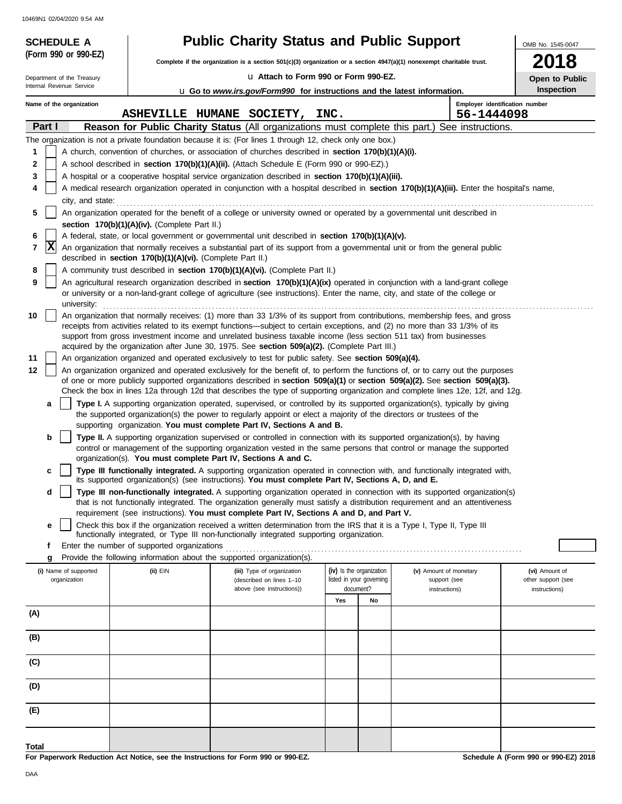| <b>SCHEDULE A</b><br>(Form 990 or 990-EZ)              |                                                            | <b>Public Charity Status and Public Support</b>                                                                                                                                                                                                                                                                                                       |                          |    |                                | OMB No. 1545-0047  |
|--------------------------------------------------------|------------------------------------------------------------|-------------------------------------------------------------------------------------------------------------------------------------------------------------------------------------------------------------------------------------------------------------------------------------------------------------------------------------------------------|--------------------------|----|--------------------------------|--------------------|
|                                                        |                                                            | Complete if the organization is a section $501(c)(3)$ organization or a section $4947(a)(1)$ nonexempt charitable trust.                                                                                                                                                                                                                              |                          |    |                                | 18                 |
| Department of the Treasury<br>Internal Revenue Service |                                                            | La Attach to Form 990 or Form 990-EZ.                                                                                                                                                                                                                                                                                                                 |                          |    |                                | Open to Public     |
| Name of the organization                               |                                                            | <b>u</b> Go to www.irs.gov/Form990 for instructions and the latest information.                                                                                                                                                                                                                                                                       |                          |    | Employer identification number | Inspection         |
|                                                        |                                                            | ASHEVILLE HUMANE SOCIETY,                                                                                                                                                                                                                                                                                                                             | INC.                     |    | 56-1444098                     |                    |
| Part I                                                 |                                                            | Reason for Public Charity Status (All organizations must complete this part.)                                                                                                                                                                                                                                                                         |                          |    | See instructions.              |                    |
|                                                        |                                                            | The organization is not a private foundation because it is: (For lines 1 through 12, check only one box.)                                                                                                                                                                                                                                             |                          |    |                                |                    |
| 1                                                      |                                                            | A church, convention of churches, or association of churches described in section 170(b)(1)(A)(i).                                                                                                                                                                                                                                                    |                          |    |                                |                    |
| 2                                                      |                                                            | A school described in section 170(b)(1)(A)(ii). (Attach Schedule E (Form 990 or 990-EZ).)                                                                                                                                                                                                                                                             |                          |    |                                |                    |
| 3<br>4                                                 |                                                            | A hospital or a cooperative hospital service organization described in section 170(b)(1)(A)(iii).<br>A medical research organization operated in conjunction with a hospital described in section 170(b)(1)(A)(iii). Enter the hospital's name,                                                                                                       |                          |    |                                |                    |
| city, and state:                                       |                                                            |                                                                                                                                                                                                                                                                                                                                                       |                          |    |                                |                    |
| 5                                                      |                                                            | An organization operated for the benefit of a college or university owned or operated by a governmental unit described in                                                                                                                                                                                                                             |                          |    |                                |                    |
|                                                        | section 170(b)(1)(A)(iv). (Complete Part II.)              |                                                                                                                                                                                                                                                                                                                                                       |                          |    |                                |                    |
| 6<br> X<br>7                                           |                                                            | A federal, state, or local government or governmental unit described in section 170(b)(1)(A)(v).<br>An organization that normally receives a substantial part of its support from a governmental unit or from the general public                                                                                                                      |                          |    |                                |                    |
|                                                        | described in section 170(b)(1)(A)(vi). (Complete Part II.) |                                                                                                                                                                                                                                                                                                                                                       |                          |    |                                |                    |
| 8                                                      |                                                            | A community trust described in section 170(b)(1)(A)(vi). (Complete Part II.)                                                                                                                                                                                                                                                                          |                          |    |                                |                    |
| 9<br>university:                                       |                                                            | An agricultural research organization described in section 170(b)(1)(A)(ix) operated in conjunction with a land-grant college<br>or university or a non-land-grant college of agriculture (see instructions). Enter the name, city, and state of the college or                                                                                       |                          |    |                                |                    |
| 10                                                     |                                                            | An organization that normally receives: (1) more than 33 1/3% of its support from contributions, membership fees, and gross                                                                                                                                                                                                                           |                          |    |                                |                    |
|                                                        |                                                            | receipts from activities related to its exempt functions—subject to certain exceptions, and (2) no more than 33 1/3% of its                                                                                                                                                                                                                           |                          |    |                                |                    |
|                                                        |                                                            | support from gross investment income and unrelated business taxable income (less section 511 tax) from businesses<br>acquired by the organization after June 30, 1975. See section 509(a)(2). (Complete Part III.)                                                                                                                                    |                          |    |                                |                    |
| 11                                                     |                                                            | An organization organized and operated exclusively to test for public safety. See section 509(a)(4).                                                                                                                                                                                                                                                  |                          |    |                                |                    |
| 12                                                     |                                                            | An organization organized and operated exclusively for the benefit of, to perform the functions of, or to carry out the purposes                                                                                                                                                                                                                      |                          |    |                                |                    |
|                                                        |                                                            | of one or more publicly supported organizations described in section 509(a)(1) or section 509(a)(2). See section 509(a)(3).<br>Check the box in lines 12a through 12d that describes the type of supporting organization and complete lines 12e, 12f, and 12g.                                                                                        |                          |    |                                |                    |
| a                                                      |                                                            | Type I. A supporting organization operated, supervised, or controlled by its supported organization(s), typically by giving                                                                                                                                                                                                                           |                          |    |                                |                    |
|                                                        |                                                            | the supported organization(s) the power to regularly appoint or elect a majority of the directors or trustees of the<br>supporting organization. You must complete Part IV, Sections A and B.                                                                                                                                                         |                          |    |                                |                    |
| b                                                      |                                                            | Type II. A supporting organization supervised or controlled in connection with its supported organization(s), by having<br>control or management of the supporting organization vested in the same persons that control or manage the supported                                                                                                       |                          |    |                                |                    |
|                                                        |                                                            | organization(s). You must complete Part IV, Sections A and C.                                                                                                                                                                                                                                                                                         |                          |    |                                |                    |
| c                                                      |                                                            | Type III functionally integrated. A supporting organization operated in connection with, and functionally integrated with,<br>its supported organization(s) (see instructions). You must complete Part IV, Sections A, D, and E.                                                                                                                      |                          |    |                                |                    |
| d                                                      |                                                            | Type III non-functionally integrated. A supporting organization operated in connection with its supported organization(s)<br>that is not functionally integrated. The organization generally must satisfy a distribution requirement and an attentiveness<br>requirement (see instructions). You must complete Part IV, Sections A and D, and Part V. |                          |    |                                |                    |
| е                                                      |                                                            | Check this box if the organization received a written determination from the IRS that it is a Type I, Type II, Type III                                                                                                                                                                                                                               |                          |    |                                |                    |
|                                                        |                                                            | functionally integrated, or Type III non-functionally integrated supporting organization.                                                                                                                                                                                                                                                             |                          |    |                                |                    |
| f                                                      | Enter the number of supported organizations                | Provide the following information about the supported organization(s).                                                                                                                                                                                                                                                                                |                          |    |                                |                    |
| g<br>(i) Name of supported                             | (ii) EIN                                                   | (iii) Type of organization                                                                                                                                                                                                                                                                                                                            | (iv) Is the organization |    | (v) Amount of monetary         | (vi) Amount of     |
| organization                                           |                                                            | (described on lines 1-10                                                                                                                                                                                                                                                                                                                              | listed in your governing |    | support (see                   | other support (see |
|                                                        |                                                            | above (see instructions))                                                                                                                                                                                                                                                                                                                             | document?                |    | instructions)                  | instructions)      |
|                                                        |                                                            |                                                                                                                                                                                                                                                                                                                                                       | Yes                      | No |                                |                    |
| (A)                                                    |                                                            |                                                                                                                                                                                                                                                                                                                                                       |                          |    |                                |                    |
| (B)                                                    |                                                            |                                                                                                                                                                                                                                                                                                                                                       |                          |    |                                |                    |
| (C)                                                    |                                                            |                                                                                                                                                                                                                                                                                                                                                       |                          |    |                                |                    |
| (D)                                                    |                                                            |                                                                                                                                                                                                                                                                                                                                                       |                          |    |                                |                    |
| (E)                                                    |                                                            |                                                                                                                                                                                                                                                                                                                                                       |                          |    |                                |                    |
|                                                        |                                                            |                                                                                                                                                                                                                                                                                                                                                       |                          |    |                                |                    |
| <b>Total</b>                                           |                                                            |                                                                                                                                                                                                                                                                                                                                                       |                          |    |                                |                    |

**For Paperwork Reduction Act Notice, see the Instructions for Form 990 or 990-EZ.**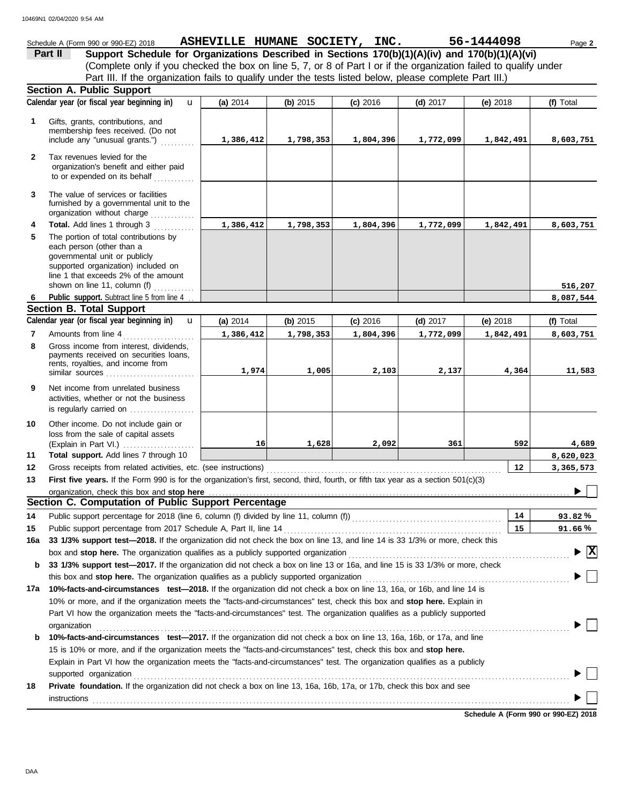| Schedule A (Form 990 or 990-EZ) 2018                                                                              |            |            | ASHEVILLE HUMANE SOCIETY, INC. |  |            | 56-1444098 | Page 2    |  |
|-------------------------------------------------------------------------------------------------------------------|------------|------------|--------------------------------|--|------------|------------|-----------|--|
| Part II<br>Support Schedule for Organizations Described in Sections 170(b)(1)(A)(iv) and 170(b)(1)(A)(vi)         |            |            |                                |  |            |            |           |  |
| (Complete only if you checked the box on line 5, 7, or 8 of Part I or if the organization failed to qualify under |            |            |                                |  |            |            |           |  |
| Part III. If the organization fails to qualify under the tests listed below, please complete Part III.)           |            |            |                                |  |            |            |           |  |
| <b>Section A. Public Support</b>                                                                                  |            |            |                                |  |            |            |           |  |
| Calendar year (or fiscal year beginning in)<br>$\mathbf{u}$                                                       | (a) $2014$ | (b) $2015$ | $(c)$ 2016                     |  | $(d)$ 2017 | (e) $2018$ | (f) Total |  |
|                                                                                                                   |            |            |                                |  |            |            |           |  |

| 1            | Gifts, grants, contributions, and<br>membership fees received. (Do not<br>include any "unusual grants.")                                                                                                                                | 1,386,412  | 1,798,353  | 1,804,396  | 1,772,099  | 1,842,491  | 8,603,751                                   |
|--------------|-----------------------------------------------------------------------------------------------------------------------------------------------------------------------------------------------------------------------------------------|------------|------------|------------|------------|------------|---------------------------------------------|
| $\mathbf{2}$ | Tax revenues levied for the<br>organization's benefit and either paid<br>to or expended on its behalf                                                                                                                                   |            |            |            |            |            |                                             |
| 3            | The value of services or facilities<br>furnished by a governmental unit to the<br>organization without charge                                                                                                                           |            |            |            |            |            |                                             |
| 4            | Total. Add lines 1 through 3                                                                                                                                                                                                            | 1,386,412  | 1,798,353  | 1,804,396  | 1,772,099  | 1,842,491  | 8,603,751                                   |
| 5            | The portion of total contributions by<br>each person (other than a<br>governmental unit or publicly<br>supported organization) included on<br>line 1 that exceeds 2% of the amount<br>shown on line 11, column (f)                      |            |            |            |            |            |                                             |
| 6            | Public support. Subtract line 5 from line 4                                                                                                                                                                                             |            |            |            |            |            | 516,207<br>8,087,544                        |
|              | <b>Section B. Total Support</b>                                                                                                                                                                                                         |            |            |            |            |            |                                             |
|              | Calendar year (or fiscal year beginning in)<br>$\mathbf{u}$                                                                                                                                                                             | (a) $2014$ | (b) $2015$ | $(c)$ 2016 | $(d)$ 2017 | (e) $2018$ | (f) Total                                   |
| 7            | Amounts from line 4                                                                                                                                                                                                                     | 1,386,412  | 1,798,353  | 1,804,396  | 1,772,099  | 1,842,491  | 8,603,751                                   |
| 8            | Gross income from interest, dividends,<br>payments received on securities loans,<br>rents, royalties, and income from                                                                                                                   |            |            |            |            |            |                                             |
|              | similar sources                                                                                                                                                                                                                         | 1,974      | 1,005      | 2,103      | 2,137      | 4,364      | 11,583                                      |
| 9            | Net income from unrelated business<br>activities, whether or not the business<br>is regularly carried on                                                                                                                                |            |            |            |            |            |                                             |
| 10           | Other income. Do not include gain or<br>loss from the sale of capital assets                                                                                                                                                            | 16         | 1,628      | 2,092      | 361        | 592        | 4,689                                       |
| 11           | Total support. Add lines 7 through 10                                                                                                                                                                                                   |            |            |            |            |            | 8,620,023                                   |
| 12           | Gross receipts from related activities, etc. (see instructions)                                                                                                                                                                         |            |            |            |            | 12         | 3,365,573                                   |
| 13           | First five years. If the Form 990 is for the organization's first, second, third, fourth, or fifth tax year as a section 501(c)(3)                                                                                                      |            |            |            |            |            |                                             |
|              | organization, check this box and stop here <b>conservation conservation</b> content to the state of the state of the state of the state of the state of the state of the state of the state of the state of the state of the state      |            |            |            |            |            |                                             |
|              | Section C. Computation of Public Support Percentage                                                                                                                                                                                     |            |            |            |            |            |                                             |
| 14           | Public support percentage for 2018 (line 6, column (f) divided by line 11, column (f)) [[[[[[[[[[[[[[[[[[[[[[                                                                                                                           |            |            |            |            | 14         | 93.82%                                      |
| 15           | Public support percentage from 2017 Schedule A, Part II, line 14                                                                                                                                                                        |            |            |            |            | 15         | 91.66%                                      |
| 16a          | 33 1/3% support test-2018. If the organization did not check the box on line 13, and line 14 is 33 1/3% or more, check this                                                                                                             |            |            |            |            |            | $\blacktriangleright \overline{\mathbf{X}}$ |
|              | box and stop here. The organization qualifies as a publicly supported organization<br>b 33 1/3% support test-2017. If the organization did not check a box on line 13 or 16a, and line 15 is 33 1/3% or more, check                     |            |            |            |            |            |                                             |
|              | this box and stop here. The organization qualifies as a publicly supported organization                                                                                                                                                 |            |            |            |            |            |                                             |
| 17a          | 10%-facts-and-circumstances test-2018. If the organization did not check a box on line 13, 16a, or 16b, and line 14 is                                                                                                                  |            |            |            |            |            |                                             |
|              | 10% or more, and if the organization meets the "facts-and-circumstances" test, check this box and stop here. Explain in                                                                                                                 |            |            |            |            |            |                                             |
|              | Part VI how the organization meets the "facts-and-circumstances" test. The organization qualifies as a publicly supported                                                                                                               |            |            |            |            |            |                                             |
|              | organization<br><u>expanization</u><br>and the contract contract contract contract contract contract contract contract contract contract contract contract contract contract contract contract contract contract contract contract cont |            |            |            |            |            |                                             |
| b            | 10%-facts-and-circumstances test-2017. If the organization did not check a box on line 13, 16a, 16b, or 17a, and line                                                                                                                   |            |            |            |            |            |                                             |
|              | 15 is 10% or more, and if the organization meets the "facts-and-circumstances" test, check this box and stop here.                                                                                                                      |            |            |            |            |            |                                             |
|              | Explain in Part VI how the organization meets the "facts-and-circumstances" test. The organization qualifies as a publicly                                                                                                              |            |            |            |            |            |                                             |
|              | supported organization                                                                                                                                                                                                                  |            |            |            |            |            |                                             |
| 18           | <b>Private foundation.</b> If the organization did not check a box on line 13, 16a, 16b, 17a, or 17b, check this box and see                                                                                                            |            |            |            |            |            |                                             |
|              | instructions                                                                                                                                                                                                                            |            |            |            |            |            |                                             |
|              |                                                                                                                                                                                                                                         |            |            |            |            |            |                                             |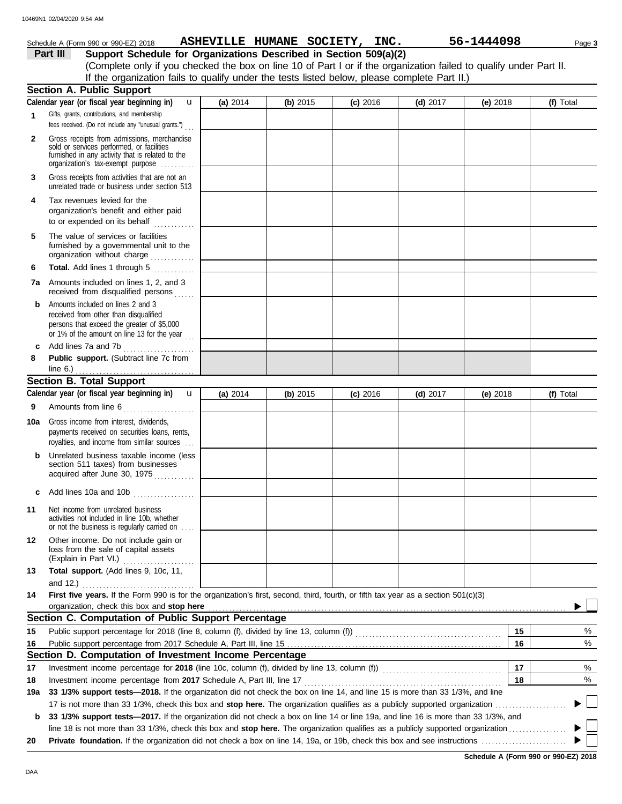|              | Schedule A (Form 990 or 990-EZ) 2018                                                                                                                                              |            |          | ASHEVILLE HUMANE SOCIETY, INC. |            | 56-1444098 | Page 3    |
|--------------|-----------------------------------------------------------------------------------------------------------------------------------------------------------------------------------|------------|----------|--------------------------------|------------|------------|-----------|
|              | Support Schedule for Organizations Described in Section 509(a)(2)<br>Part III                                                                                                     |            |          |                                |            |            |           |
|              | (Complete only if you checked the box on line 10 of Part I or if the organization failed to qualify under Part II.                                                                |            |          |                                |            |            |           |
|              | If the organization fails to qualify under the tests listed below, please complete Part II.)                                                                                      |            |          |                                |            |            |           |
|              | <b>Section A. Public Support</b>                                                                                                                                                  |            |          |                                |            |            |           |
|              | Calendar year (or fiscal year beginning in)<br>$\mathbf{u}$                                                                                                                       | (a) $2014$ | (b) 2015 | $(c)$ 2016                     | (d) $2017$ | (e) $2018$ | (f) Total |
| 1            | Gifts, grants, contributions, and membership<br>fees received. (Do not include any "unusual grants.")                                                                             |            |          |                                |            |            |           |
| $\mathbf{2}$ | Gross receipts from admissions, merchandise<br>sold or services performed, or facilities<br>furnished in any activity that is related to the<br>organization's tax-exempt purpose |            |          |                                |            |            |           |
| 3            | Gross receipts from activities that are not an<br>unrelated trade or business under section 513                                                                                   |            |          |                                |            |            |           |
| 4            | Tax revenues levied for the<br>organization's benefit and either paid                                                                                                             |            |          |                                |            |            |           |
| 5            | The value of services or facilities<br>furnished by a governmental unit to the<br>organization without charge                                                                     |            |          |                                |            |            |           |
| 6            | Total. Add lines 1 through 5                                                                                                                                                      |            |          |                                |            |            |           |
|              | 7a Amounts included on lines 1, 2, and 3<br>received from disqualified persons                                                                                                    |            |          |                                |            |            |           |
| b            | Amounts included on lines 2 and 3<br>received from other than disqualified<br>persons that exceed the greater of \$5,000<br>or 1% of the amount on line 13 for the year $\ldots$  |            |          |                                |            |            |           |
| c            | Add lines 7a and 7b                                                                                                                                                               |            |          |                                |            |            |           |
| 8            | Public support. (Subtract line 7c from                                                                                                                                            |            |          |                                |            |            |           |
|              | <b>Section B. Total Support</b>                                                                                                                                                   |            |          |                                |            |            |           |
|              | Calendar year (or fiscal year beginning in)<br>$\mathbf{u}$                                                                                                                       | (a) $2014$ | (b) 2015 | $(c)$ 2016                     | $(d)$ 2017 | $(e)$ 2018 | (f) Total |
| 9            | Amounts from line 6                                                                                                                                                               |            |          |                                |            |            |           |
| 10a          | Gross income from interest, dividends,<br>payments received on securities loans, rents,<br>royalties, and income from similar sources                                             |            |          |                                |            |            |           |
| b            | Unrelated business taxable income (less<br>section 511 taxes) from businesses<br>acquired after June 30, 1975                                                                     |            |          |                                |            |            |           |
|              | c Add lines 10a and 10b $\ldots$                                                                                                                                                  |            |          |                                |            |            |           |
| 11           | Net income from unrelated business<br>activities not included in line 10b, whether<br>or not the business is regularly carried on                                                 |            |          |                                |            |            |           |
| 12           | Other income. Do not include gain or<br>loss from the sale of capital assets<br>(Explain in Part VI.)                                                                             |            |          |                                |            |            |           |
| 13           | Total support. (Add lines 9, 10c, 11,                                                                                                                                             |            |          |                                |            |            |           |
| 14           | First five years. If the Form 990 is for the organization's first, second, third, fourth, or fifth tax year as a section 501(c)(3)                                                |            |          |                                |            |            |           |
|              | organization, check this box and stop here                                                                                                                                        |            |          |                                |            |            |           |
|              | Section C. Computation of Public Support Percentage                                                                                                                               |            |          |                                |            |            |           |
| 15           |                                                                                                                                                                                   |            |          |                                |            | 15         | %         |
| 16           |                                                                                                                                                                                   |            |          |                                |            | 16         | %         |
|              | Section D. Computation of Investment Income Percentage                                                                                                                            |            |          |                                |            |            |           |
| 17           |                                                                                                                                                                                   |            |          |                                |            | 17         | %         |
| 18           | Investment income percentage from 2017 Schedule A, Part III, line 17                                                                                                              |            |          |                                |            | 18         | %         |
| 19a          | 33 1/3% support tests-2018. If the organization did not check the box on line 14, and line 15 is more than 33 1/3%, and line                                                      |            |          |                                |            |            |           |
|              | 33 1/3% support tests-2017. If the organization did not check a box on line 14 or line 19a, and line 16 is more than 33 1/3%, and                                                 |            |          |                                |            |            |           |
| b            |                                                                                                                                                                                   |            |          |                                |            |            |           |
| 20           |                                                                                                                                                                                   |            |          |                                |            |            |           |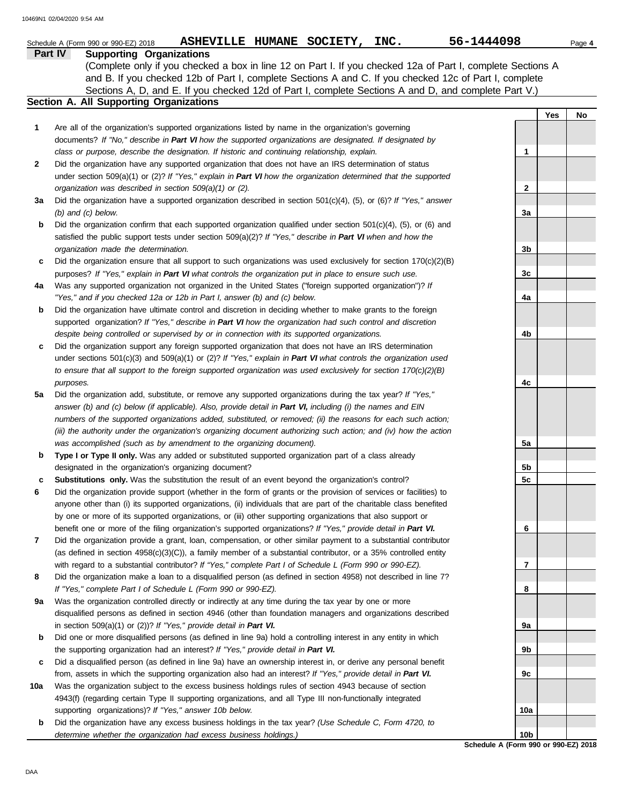|     | 56-1444098<br>ASHEVILLE HUMANE SOCIETY, INC.<br>Schedule A (Form 990 or 990-EZ) 2018                                                                                                                                          |                 |     | Page 4 |
|-----|-------------------------------------------------------------------------------------------------------------------------------------------------------------------------------------------------------------------------------|-----------------|-----|--------|
|     | Part IV<br><b>Supporting Organizations</b>                                                                                                                                                                                    |                 |     |        |
|     | (Complete only if you checked a box in line 12 on Part I. If you checked 12a of Part I, complete Sections A                                                                                                                   |                 |     |        |
|     | and B. If you checked 12b of Part I, complete Sections A and C. If you checked 12c of Part I, complete                                                                                                                        |                 |     |        |
|     | Sections A, D, and E. If you checked 12d of Part I, complete Sections A and D, and complete Part V.)                                                                                                                          |                 |     |        |
|     | Section A. All Supporting Organizations                                                                                                                                                                                       |                 |     |        |
|     |                                                                                                                                                                                                                               |                 | Yes | No     |
| 1   | Are all of the organization's supported organizations listed by name in the organization's governing                                                                                                                          |                 |     |        |
|     | documents? If "No," describe in Part VI how the supported organizations are designated. If designated by                                                                                                                      |                 |     |        |
|     | class or purpose, describe the designation. If historic and continuing relationship, explain.                                                                                                                                 | 1               |     |        |
| 2   | Did the organization have any supported organization that does not have an IRS determination of status                                                                                                                        |                 |     |        |
|     | under section 509(a)(1) or (2)? If "Yes," explain in Part VI how the organization determined that the supported                                                                                                               |                 |     |        |
|     | organization was described in section 509(a)(1) or (2).                                                                                                                                                                       | 2               |     |        |
| За  | Did the organization have a supported organization described in section $501(c)(4)$ , (5), or (6)? If "Yes," answer<br>$(b)$ and $(c)$ below.                                                                                 | За              |     |        |
| b   | Did the organization confirm that each supported organization qualified under section $501(c)(4)$ , $(5)$ , or $(6)$ and                                                                                                      |                 |     |        |
|     | satisfied the public support tests under section 509(a)(2)? If "Yes," describe in Part VI when and how the                                                                                                                    |                 |     |        |
|     | organization made the determination.                                                                                                                                                                                          | 3b              |     |        |
| c   | Did the organization ensure that all support to such organizations was used exclusively for section $170(c)(2)(B)$                                                                                                            |                 |     |        |
|     | purposes? If "Yes," explain in Part VI what controls the organization put in place to ensure such use.                                                                                                                        | 3c              |     |        |
| 4a  | Was any supported organization not organized in the United States ("foreign supported organization")? If                                                                                                                      |                 |     |        |
|     | "Yes," and if you checked 12a or 12b in Part I, answer (b) and (c) below.                                                                                                                                                     | 4a              |     |        |
| b   | Did the organization have ultimate control and discretion in deciding whether to make grants to the foreign                                                                                                                   |                 |     |        |
|     | supported organization? If "Yes," describe in Part VI how the organization had such control and discretion                                                                                                                    |                 |     |        |
|     | despite being controlled or supervised by or in connection with its supported organizations.                                                                                                                                  | 4b              |     |        |
| c   | Did the organization support any foreign supported organization that does not have an IRS determination                                                                                                                       |                 |     |        |
|     | under sections $501(c)(3)$ and $509(a)(1)$ or (2)? If "Yes," explain in Part VI what controls the organization used                                                                                                           |                 |     |        |
|     | to ensure that all support to the foreign supported organization was used exclusively for section $170(c)(2)(B)$                                                                                                              |                 |     |        |
|     | purposes.                                                                                                                                                                                                                     | 4c              |     |        |
| 5a  | Did the organization add, substitute, or remove any supported organizations during the tax year? If "Yes,"                                                                                                                    |                 |     |        |
|     | answer (b) and (c) below (if applicable). Also, provide detail in Part VI, including (i) the names and EIN                                                                                                                    |                 |     |        |
|     | numbers of the supported organizations added, substituted, or removed; (ii) the reasons for each such action;                                                                                                                 |                 |     |        |
|     | (iii) the authority under the organization's organizing document authorizing such action; and (iv) how the action                                                                                                             |                 |     |        |
|     | was accomplished (such as by amendment to the organizing document).                                                                                                                                                           | 5a              |     |        |
| b   | Type I or Type II only. Was any added or substituted supported organization part of a class already                                                                                                                           |                 |     |        |
|     | designated in the organization's organizing document?                                                                                                                                                                         | 5b              |     |        |
| c   | Substitutions only. Was the substitution the result of an event beyond the organization's control?                                                                                                                            | 5c              |     |        |
| 6   | Did the organization provide support (whether in the form of grants or the provision of services or facilities) to                                                                                                            |                 |     |        |
|     | anyone other than (i) its supported organizations, (ii) individuals that are part of the charitable class benefited                                                                                                           |                 |     |        |
|     | by one or more of its supported organizations, or (iii) other supporting organizations that also support or                                                                                                                   |                 |     |        |
|     | benefit one or more of the filing organization's supported organizations? If "Yes," provide detail in Part VI.                                                                                                                | 6               |     |        |
| 7   | Did the organization provide a grant, loan, compensation, or other similar payment to a substantial contributor                                                                                                               |                 |     |        |
|     | (as defined in section $4958(c)(3)(C)$ ), a family member of a substantial contributor, or a 35% controlled entity<br>with regard to a substantial contributor? If "Yes," complete Part I of Schedule L (Form 990 or 990-EZ). | 7               |     |        |
| 8   | Did the organization make a loan to a disqualified person (as defined in section 4958) not described in line 7?                                                                                                               |                 |     |        |
|     | If "Yes," complete Part I of Schedule L (Form 990 or 990-EZ).                                                                                                                                                                 | 8               |     |        |
| 9а  | Was the organization controlled directly or indirectly at any time during the tax year by one or more                                                                                                                         |                 |     |        |
|     | disqualified persons as defined in section 4946 (other than foundation managers and organizations described                                                                                                                   |                 |     |        |
|     | in section $509(a)(1)$ or (2))? If "Yes," provide detail in Part VI.                                                                                                                                                          | 9а              |     |        |
| b   | Did one or more disqualified persons (as defined in line 9a) hold a controlling interest in any entity in which                                                                                                               |                 |     |        |
|     | the supporting organization had an interest? If "Yes," provide detail in Part VI.                                                                                                                                             | 9b              |     |        |
| c   | Did a disqualified person (as defined in line 9a) have an ownership interest in, or derive any personal benefit                                                                                                               |                 |     |        |
|     | from, assets in which the supporting organization also had an interest? If "Yes," provide detail in Part VI.                                                                                                                  | 9с              |     |        |
| 10a | Was the organization subject to the excess business holdings rules of section 4943 because of section                                                                                                                         |                 |     |        |
|     | 4943(f) (regarding certain Type II supporting organizations, and all Type III non-functionally integrated                                                                                                                     |                 |     |        |
|     | supporting organizations)? If "Yes," answer 10b below.                                                                                                                                                                        | 10a             |     |        |
| b   | Did the organization have any excess business holdings in the tax year? (Use Schedule C, Form 4720, to                                                                                                                        |                 |     |        |
|     | determine whether the organization had excess business holdings.)                                                                                                                                                             | 10 <sub>b</sub> |     |        |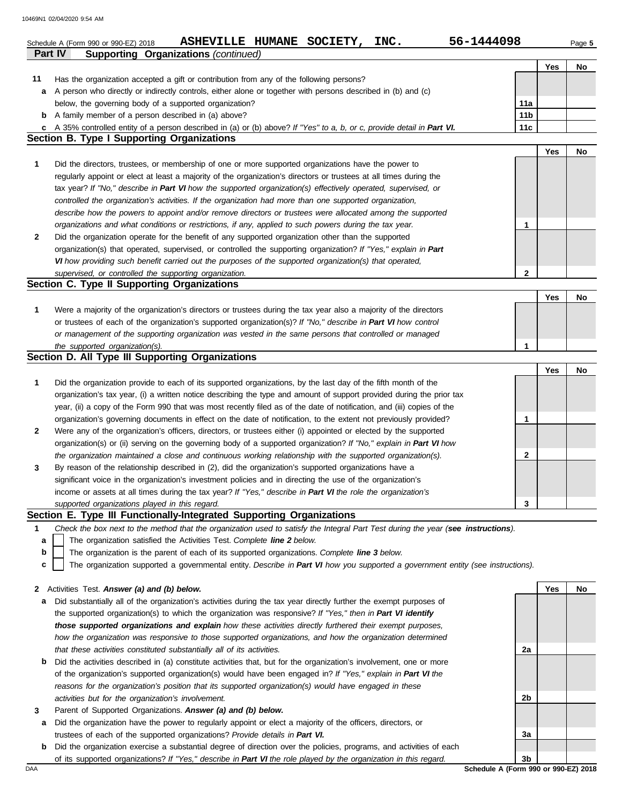| Part IV | 56-1444098<br>ASHEVILLE HUMANE SOCIETY,<br>INC.<br>Schedule A (Form 990 or 990-EZ) 2018<br><b>Supporting Organizations (continued)</b> |                 |     | Page 5 |
|---------|----------------------------------------------------------------------------------------------------------------------------------------|-----------------|-----|--------|
|         |                                                                                                                                        |                 | Yes | No     |
| 11      | Has the organization accepted a gift or contribution from any of the following persons?                                                |                 |     |        |
| a       | A person who directly or indirectly controls, either alone or together with persons described in (b) and (c)                           |                 |     |        |
|         | below, the governing body of a supported organization?                                                                                 | 11a             |     |        |
| b       | A family member of a person described in (a) above?                                                                                    | 11 <sub>b</sub> |     |        |
|         | c A 35% controlled entity of a person described in (a) or (b) above? If "Yes" to a, b, or c, provide detail in Part VI.                | 11 <sub>c</sub> |     |        |
|         | <b>Section B. Type I Supporting Organizations</b>                                                                                      |                 |     |        |
|         |                                                                                                                                        |                 | Yes | No     |
| 1       | Did the directors, trustees, or membership of one or more supported organizations have the power to                                    |                 |     |        |
|         | regularly appoint or elect at least a majority of the organization's directors or trustees at all times during the                     |                 |     |        |
|         | tax year? If "No," describe in Part VI how the supported organization(s) effectively operated, supervised, or                          |                 |     |        |
|         | controlled the organization's activities. If the organization had more than one supported organization,                                |                 |     |        |
|         | describe how the powers to appoint and/or remove directors or trustees were allocated among the supported                              |                 |     |        |
|         | organizations and what conditions or restrictions, if any, applied to such powers during the tax year.                                 | 1               |     |        |
| 2       | Did the organization operate for the benefit of any supported organization other than the supported                                    |                 |     |        |
|         | organization(s) that operated, supervised, or controlled the supporting organization? If "Yes," explain in Part                        |                 |     |        |
|         | VI how providing such benefit carried out the purposes of the supported organization(s) that operated,                                 |                 |     |        |
|         | supervised, or controlled the supporting organization.                                                                                 | $\mathbf{2}$    |     |        |
|         | Section C. Type II Supporting Organizations                                                                                            |                 |     |        |
|         |                                                                                                                                        |                 | Yes | No     |
| 1       | Were a majority of the organization's directors or trustees during the tax year also a majority of the directors                       |                 |     |        |
|         | or trustees of each of the organization's supported organization(s)? If "No," describe in Part VI how control                          |                 |     |        |
|         | or management of the supporting organization was vested in the same persons that controlled or managed                                 |                 |     |        |
|         | the supported organization(s).                                                                                                         | 1               |     |        |
|         | Section D. All Type III Supporting Organizations                                                                                       |                 |     |        |
|         |                                                                                                                                        |                 | Yes | No     |
| 1       | Did the organization provide to each of its supported organizations, by the last day of the fifth month of the                         |                 |     |        |
|         | organization's tax year, (i) a written notice describing the type and amount of support provided during the prior tax                  |                 |     |        |
|         | year, (ii) a copy of the Form 990 that was most recently filed as of the date of notification, and (iii) copies of the                 |                 |     |        |
|         | organization's governing documents in effect on the date of notification, to the extent not previously provided?                       | 1               |     |        |
| 2       | Were any of the organization's officers, directors, or trustees either (i) appointed or elected by the supported                       |                 |     |        |
|         | organization(s) or (ii) serving on the governing body of a supported organization? If "No," explain in Part VI how                     |                 |     |        |
|         | the organization maintained a close and continuous working relationship with the supported organization(s).                            | 2               |     |        |
| 3       | By reason of the relationship described in (2), did the organization's supported organizations have a                                  |                 |     |        |
|         | significant voice in the organization's investment policies and in directing the use of the organization's                             |                 |     |        |
|         | income or assets at all times during the tax year? If "Yes," describe in Part VI the role the organization's                           |                 |     |        |
|         | supported organizations played in this regard.                                                                                         | 3               |     |        |
|         | Section E. Type III Functionally-Integrated Supporting Organizations                                                                   |                 |     |        |
| 1       | Check the box next to the method that the organization used to satisfy the Integral Part Test during the year (see instructions).      |                 |     |        |
| a       | The organization satisfied the Activities Test. Complete line 2 below.                                                                 |                 |     |        |
| b       | The organization is the parent of each of its supported organizations. Complete line 3 below.                                          |                 |     |        |
| c       | The organization supported a governmental entity. Describe in Part VI how you supported a government entity (see instructions).        |                 |     |        |
|         |                                                                                                                                        |                 |     |        |
| 2       | Activities Test. Answer (a) and (b) below.                                                                                             |                 | Yes | No     |
| а       | Did substantially all of the organization's activities during the tax year directly further the exempt purposes of                     |                 |     |        |
|         | the supported organization(s) to which the organization was responsive? If "Yes," then in Part VI identify                             |                 |     |        |
|         | those supported organizations and explain how these activities directly furthered their exempt purposes,                               |                 |     |        |
|         | how the organization was responsive to those supported organizations, and how the organization determined                              |                 |     |        |
|         | that these activities constituted substantially all of its activities.                                                                 | 2a              |     |        |
| b       | Did the activities described in (a) constitute activities that, but for the organization's involvement, one or more                    |                 |     |        |
|         | of the organization's supported organization(s) would have been engaged in? If "Yes," explain in Part VI the                           |                 |     |        |
|         | reasons for the organization's position that its supported organization(s) would have engaged in these                                 |                 |     |        |
|         | activities but for the organization's involvement.                                                                                     | 2b              |     |        |
| 3       | Parent of Supported Organizations. Answer (a) and (b) below.                                                                           |                 |     |        |
| а       | Did the organization have the power to regularly appoint or elect a majority of the officers, directors, or                            |                 |     |        |
|         | trustees of each of the supported organizations? Provide details in Part VI.                                                           | За              |     |        |
| b       | Did the organization exercise a substantial degree of direction over the policies, programs, and activities of each                    |                 |     |        |

of its supported organizations? *If "Yes," describe in Part VI the role played by the organization in this regard.*

DAA **Schedule A (Form 990 or 990-EZ) 2018 3b**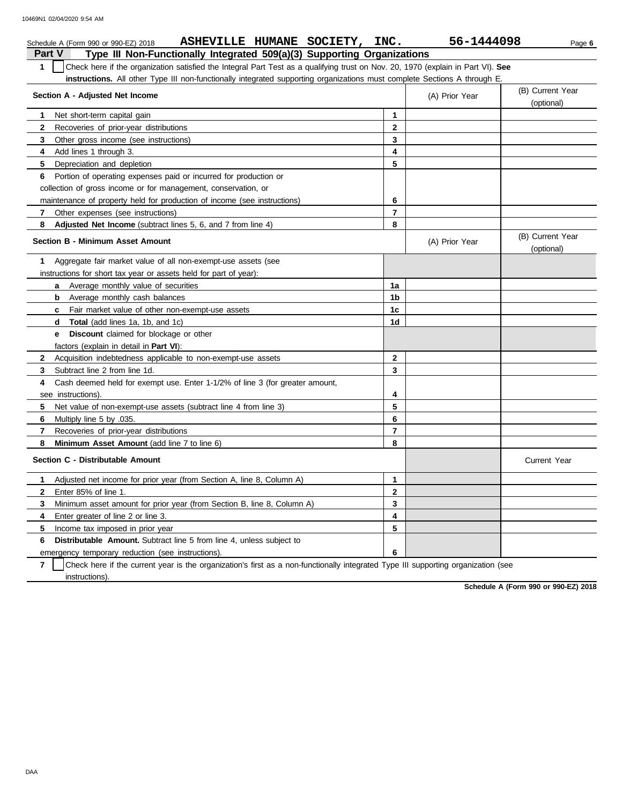| ASHEVILLE HUMANE SOCIETY, INC.<br>Schedule A (Form 990 or 990-EZ) 2018                                                                           |                         | 56-1444098     | Page 6                         |
|--------------------------------------------------------------------------------------------------------------------------------------------------|-------------------------|----------------|--------------------------------|
| <b>Part V</b><br>Type III Non-Functionally Integrated 509(a)(3) Supporting Organizations                                                         |                         |                |                                |
| Check here if the organization satisfied the Integral Part Test as a qualifying trust on Nov. 20, 1970 (explain in Part VI). See<br>$\mathbf{1}$ |                         |                |                                |
| instructions. All other Type III non-functionally integrated supporting organizations must complete Sections A through E                         |                         |                |                                |
| Section A - Adjusted Net Income                                                                                                                  |                         | (A) Prior Year | (B) Current Year<br>(optional) |
| Net short-term capital gain<br>1                                                                                                                 | 1                       |                |                                |
| $\mathbf{2}$<br>Recoveries of prior-year distributions                                                                                           | $\mathbf{2}$            |                |                                |
| 3<br>Other gross income (see instructions)                                                                                                       | 3                       |                |                                |
| 4<br>Add lines 1 through 3.                                                                                                                      | 4                       |                |                                |
| 5<br>Depreciation and depletion                                                                                                                  | 5                       |                |                                |
| Portion of operating expenses paid or incurred for production or<br>6                                                                            |                         |                |                                |
| collection of gross income or for management, conservation, or                                                                                   |                         |                |                                |
| maintenance of property held for production of income (see instructions)                                                                         | 6                       |                |                                |
| $\overline{7}$<br>Other expenses (see instructions)                                                                                              | $\overline{7}$          |                |                                |
| 8<br><b>Adjusted Net Income</b> (subtract lines 5, 6, and 7 from line 4)                                                                         | 8                       |                |                                |
| <b>Section B - Minimum Asset Amount</b>                                                                                                          |                         | (A) Prior Year | (B) Current Year<br>(optional) |
| Aggregate fair market value of all non-exempt-use assets (see<br>1                                                                               |                         |                |                                |
| instructions for short tax year or assets held for part of year):                                                                                |                         |                |                                |
| <b>a</b> Average monthly value of securities                                                                                                     | 1a                      |                |                                |
| <b>b</b> Average monthly cash balances                                                                                                           | 1b                      |                |                                |
| Fair market value of other non-exempt-use assets<br>$\mathbf{c}$                                                                                 | 1 <sub>c</sub>          |                |                                |
| <b>Total</b> (add lines 1a, 1b, and 1c)<br>d                                                                                                     | 1d                      |                |                                |
| <b>Discount</b> claimed for blockage or other<br>е                                                                                               |                         |                |                                |
| factors (explain in detail in <b>Part VI</b> ):                                                                                                  |                         |                |                                |
| $\mathbf{2}$<br>Acquisition indebtedness applicable to non-exempt-use assets                                                                     | $\mathbf{2}$            |                |                                |
| 3<br>Subtract line 2 from line 1d.                                                                                                               | 3                       |                |                                |
| Cash deemed held for exempt use. Enter 1-1/2% of line 3 (for greater amount,<br>4                                                                |                         |                |                                |
| see instructions).                                                                                                                               | 4                       |                |                                |
| 5<br>Net value of non-exempt-use assets (subtract line 4 from line 3)                                                                            | 5                       |                |                                |
| 6<br>Multiply line 5 by .035.                                                                                                                    | 6                       |                |                                |
| 7<br>Recoveries of prior-year distributions                                                                                                      | $\overline{7}$          |                |                                |
| 8<br>Minimum Asset Amount (add line 7 to line 6)                                                                                                 | 8                       |                |                                |
| Section C - Distributable Amount                                                                                                                 |                         |                | <b>Current Year</b>            |
| Adjusted net income for prior year (from Section A, line 8, Column A)<br>1                                                                       | $\mathbf{1}$            |                |                                |
| $\mathbf{2}$<br>Enter 85% of line 1.                                                                                                             | $\mathbf{2}$            |                |                                |
| 3<br>Minimum asset amount for prior year (from Section B, line 8, Column A)                                                                      | 3                       |                |                                |
| Enter greater of line 2 or line 3.<br>4                                                                                                          | $\overline{\mathbf{4}}$ |                |                                |
| 5<br>Income tax imposed in prior year                                                                                                            | 5                       |                |                                |
| <b>Distributable Amount.</b> Subtract line 5 from line 4, unless subject to<br>6                                                                 |                         |                |                                |
| emergency temporary reduction (see instructions).                                                                                                | 6                       |                |                                |

 $\overline{7}$ instructions). Check here if the current year is the organization's first as a non-functionally integrated Type III supporting organization (see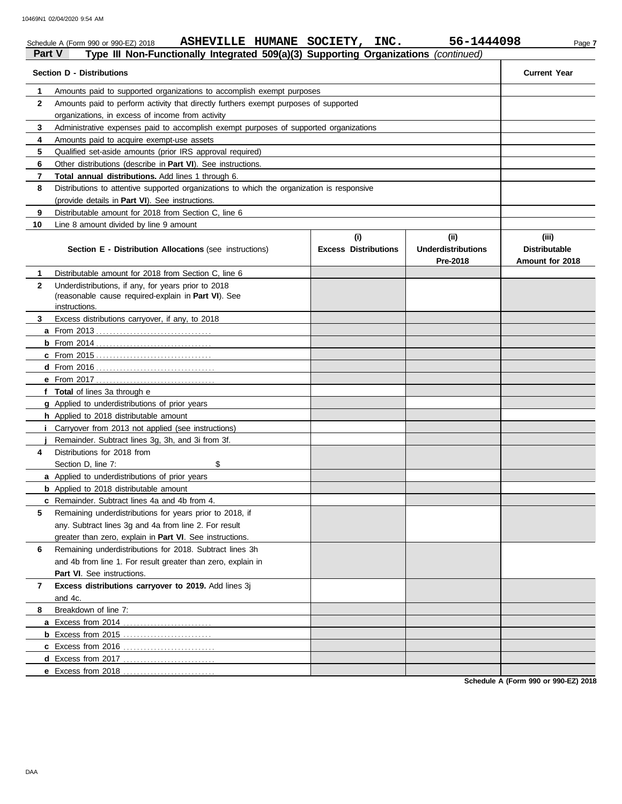|                                                                                                                                         | ASHEVILLE HUMANE SOCIETY,<br>Schedule A (Form 990 or 990-EZ) 2018                                                 | INC.                               | 56-1444098                                    | Page 7                                           |  |  |  |  |  |  |
|-----------------------------------------------------------------------------------------------------------------------------------------|-------------------------------------------------------------------------------------------------------------------|------------------------------------|-----------------------------------------------|--------------------------------------------------|--|--|--|--|--|--|
| Part V                                                                                                                                  | Type III Non-Functionally Integrated 509(a)(3) Supporting Organizations (continued)                               |                                    |                                               |                                                  |  |  |  |  |  |  |
|                                                                                                                                         | <b>Section D - Distributions</b>                                                                                  |                                    |                                               | <b>Current Year</b>                              |  |  |  |  |  |  |
| 1                                                                                                                                       | Amounts paid to supported organizations to accomplish exempt purposes                                             |                                    |                                               |                                                  |  |  |  |  |  |  |
| $\mathbf{2}$                                                                                                                            | Amounts paid to perform activity that directly furthers exempt purposes of supported                              |                                    |                                               |                                                  |  |  |  |  |  |  |
|                                                                                                                                         |                                                                                                                   |                                    |                                               |                                                  |  |  |  |  |  |  |
| 3                                                                                                                                       |                                                                                                                   |                                    |                                               |                                                  |  |  |  |  |  |  |
| Administrative expenses paid to accomplish exempt purposes of supported organizations<br>4<br>Amounts paid to acquire exempt-use assets |                                                                                                                   |                                    |                                               |                                                  |  |  |  |  |  |  |
| 5                                                                                                                                       |                                                                                                                   |                                    |                                               |                                                  |  |  |  |  |  |  |
| 6                                                                                                                                       | Other distributions (describe in Part VI). See instructions.                                                      |                                    |                                               |                                                  |  |  |  |  |  |  |
| 7                                                                                                                                       | Total annual distributions. Add lines 1 through 6.                                                                |                                    |                                               |                                                  |  |  |  |  |  |  |
| 8                                                                                                                                       | Distributions to attentive supported organizations to which the organization is responsive                        |                                    |                                               |                                                  |  |  |  |  |  |  |
|                                                                                                                                         | (provide details in Part VI). See instructions.                                                                   |                                    |                                               |                                                  |  |  |  |  |  |  |
| 9                                                                                                                                       | Distributable amount for 2018 from Section C, line 6                                                              |                                    |                                               |                                                  |  |  |  |  |  |  |
| 10                                                                                                                                      | Line 8 amount divided by line 9 amount                                                                            |                                    |                                               |                                                  |  |  |  |  |  |  |
|                                                                                                                                         | Section E - Distribution Allocations (see instructions)                                                           | (i)<br><b>Excess Distributions</b> | (ii)<br><b>Underdistributions</b><br>Pre-2018 | (iii)<br><b>Distributable</b><br>Amount for 2018 |  |  |  |  |  |  |
| 1                                                                                                                                       | Distributable amount for 2018 from Section C. line 6                                                              |                                    |                                               |                                                  |  |  |  |  |  |  |
| $\mathbf{2}$                                                                                                                            | Underdistributions, if any, for years prior to 2018                                                               |                                    |                                               |                                                  |  |  |  |  |  |  |
|                                                                                                                                         | (reasonable cause required-explain in Part VI). See                                                               |                                    |                                               |                                                  |  |  |  |  |  |  |
|                                                                                                                                         | instructions.                                                                                                     |                                    |                                               |                                                  |  |  |  |  |  |  |
| 3                                                                                                                                       | Excess distributions carryover, if any, to 2018                                                                   |                                    |                                               |                                                  |  |  |  |  |  |  |
|                                                                                                                                         |                                                                                                                   |                                    |                                               |                                                  |  |  |  |  |  |  |
|                                                                                                                                         |                                                                                                                   |                                    |                                               |                                                  |  |  |  |  |  |  |
|                                                                                                                                         |                                                                                                                   |                                    |                                               |                                                  |  |  |  |  |  |  |
|                                                                                                                                         |                                                                                                                   |                                    |                                               |                                                  |  |  |  |  |  |  |
|                                                                                                                                         |                                                                                                                   |                                    |                                               |                                                  |  |  |  |  |  |  |
|                                                                                                                                         | f Total of lines 3a through e                                                                                     |                                    |                                               |                                                  |  |  |  |  |  |  |
|                                                                                                                                         | g Applied to underdistributions of prior years                                                                    |                                    |                                               |                                                  |  |  |  |  |  |  |
|                                                                                                                                         | <b>h</b> Applied to 2018 distributable amount                                                                     |                                    |                                               |                                                  |  |  |  |  |  |  |
|                                                                                                                                         | i Carryover from 2013 not applied (see instructions)                                                              |                                    |                                               |                                                  |  |  |  |  |  |  |
|                                                                                                                                         | Remainder. Subtract lines 3g, 3h, and 3i from 3f.                                                                 |                                    |                                               |                                                  |  |  |  |  |  |  |
| 4                                                                                                                                       | Distributions for 2018 from                                                                                       |                                    |                                               |                                                  |  |  |  |  |  |  |
|                                                                                                                                         | \$<br>Section D, line 7:                                                                                          |                                    |                                               |                                                  |  |  |  |  |  |  |
|                                                                                                                                         | <b>a</b> Applied to underdistributions of prior years                                                             |                                    |                                               |                                                  |  |  |  |  |  |  |
|                                                                                                                                         | <b>b</b> Applied to 2018 distributable amount                                                                     |                                    |                                               |                                                  |  |  |  |  |  |  |
|                                                                                                                                         | c Remainder. Subtract lines 4a and 4b from 4.                                                                     |                                    |                                               |                                                  |  |  |  |  |  |  |
| 5                                                                                                                                       | Remaining underdistributions for years prior to 2018, if<br>any. Subtract lines 3g and 4a from line 2. For result |                                    |                                               |                                                  |  |  |  |  |  |  |
|                                                                                                                                         |                                                                                                                   |                                    |                                               |                                                  |  |  |  |  |  |  |
|                                                                                                                                         | greater than zero, explain in Part VI. See instructions.                                                          |                                    |                                               |                                                  |  |  |  |  |  |  |
| 6                                                                                                                                       | Remaining underdistributions for 2018. Subtract lines 3h                                                          |                                    |                                               |                                                  |  |  |  |  |  |  |
|                                                                                                                                         | and 4b from line 1. For result greater than zero, explain in                                                      |                                    |                                               |                                                  |  |  |  |  |  |  |
|                                                                                                                                         | Part VI. See instructions.                                                                                        |                                    |                                               |                                                  |  |  |  |  |  |  |
| 7                                                                                                                                       | Excess distributions carryover to 2019. Add lines 3j                                                              |                                    |                                               |                                                  |  |  |  |  |  |  |
|                                                                                                                                         | and 4c.                                                                                                           |                                    |                                               |                                                  |  |  |  |  |  |  |
| 8                                                                                                                                       | Breakdown of line 7:                                                                                              |                                    |                                               |                                                  |  |  |  |  |  |  |
|                                                                                                                                         | a Excess from 2014                                                                                                |                                    |                                               |                                                  |  |  |  |  |  |  |
|                                                                                                                                         | <b>b</b> Excess from 2015                                                                                         |                                    |                                               |                                                  |  |  |  |  |  |  |
|                                                                                                                                         | c Excess from 2016                                                                                                |                                    |                                               |                                                  |  |  |  |  |  |  |
|                                                                                                                                         |                                                                                                                   |                                    |                                               |                                                  |  |  |  |  |  |  |
|                                                                                                                                         | e Excess from 2018                                                                                                |                                    |                                               |                                                  |  |  |  |  |  |  |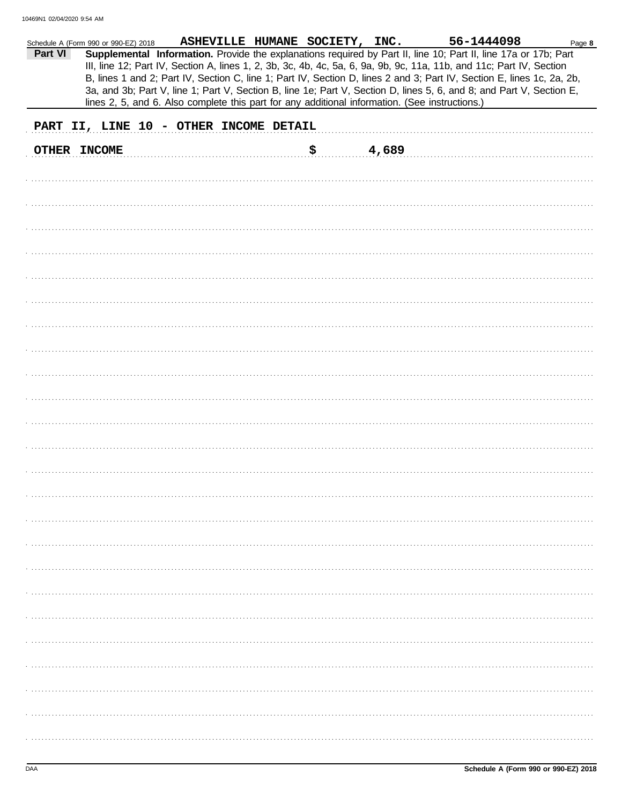|         | Schedule A (Form 990 or 990-EZ) 2018 | ASHEVILLE HUMANE SOCIETY, INC.                                                                 |    |       | 56-1444098                                                                                                             | Page 8 |
|---------|--------------------------------------|------------------------------------------------------------------------------------------------|----|-------|------------------------------------------------------------------------------------------------------------------------|--------|
| Part VI |                                      |                                                                                                |    |       | Supplemental Information. Provide the explanations required by Part II, line 10; Part II, line 17a or 17b; Part        |        |
|         |                                      |                                                                                                |    |       | III, line 12; Part IV, Section A, lines 1, 2, 3b, 3c, 4b, 4c, 5a, 6, 9a, 9b, 9c, 11a, 11b, and 11c; Part IV, Section   |        |
|         |                                      |                                                                                                |    |       | B, lines 1 and 2; Part IV, Section C, line 1; Part IV, Section D, lines 2 and 3; Part IV, Section E, lines 1c, 2a, 2b, |        |
|         |                                      |                                                                                                |    |       | 3a, and 3b; Part V, line 1; Part V, Section B, line 1e; Part V, Section D, lines 5, 6, and 8; and Part V, Section E,   |        |
|         |                                      | lines 2, 5, and 6. Also complete this part for any additional information. (See instructions.) |    |       |                                                                                                                        |        |
|         |                                      | PART II, LINE 10 - OTHER INCOME DETAIL                                                         |    |       |                                                                                                                        |        |
|         |                                      |                                                                                                |    |       |                                                                                                                        |        |
|         | OTHER INCOME                         |                                                                                                | \$ | 4,689 |                                                                                                                        |        |
|         |                                      |                                                                                                |    |       |                                                                                                                        |        |
|         |                                      |                                                                                                |    |       |                                                                                                                        |        |
|         |                                      |                                                                                                |    |       |                                                                                                                        |        |
|         |                                      |                                                                                                |    |       |                                                                                                                        |        |
|         |                                      |                                                                                                |    |       |                                                                                                                        |        |
|         |                                      |                                                                                                |    |       |                                                                                                                        |        |
|         |                                      |                                                                                                |    |       |                                                                                                                        |        |
|         |                                      |                                                                                                |    |       |                                                                                                                        |        |
|         |                                      |                                                                                                |    |       |                                                                                                                        |        |
|         |                                      |                                                                                                |    |       |                                                                                                                        |        |
|         |                                      |                                                                                                |    |       |                                                                                                                        |        |
|         |                                      |                                                                                                |    |       |                                                                                                                        |        |
|         |                                      |                                                                                                |    |       |                                                                                                                        |        |
|         |                                      |                                                                                                |    |       |                                                                                                                        |        |
|         |                                      |                                                                                                |    |       |                                                                                                                        |        |
|         |                                      |                                                                                                |    |       |                                                                                                                        |        |
|         |                                      |                                                                                                |    |       |                                                                                                                        |        |
|         |                                      |                                                                                                |    |       |                                                                                                                        |        |
|         |                                      |                                                                                                |    |       |                                                                                                                        |        |
|         |                                      |                                                                                                |    |       |                                                                                                                        |        |
|         |                                      |                                                                                                |    |       |                                                                                                                        |        |
|         |                                      |                                                                                                |    |       |                                                                                                                        |        |
|         |                                      |                                                                                                |    |       |                                                                                                                        |        |
|         |                                      |                                                                                                |    |       |                                                                                                                        |        |
|         |                                      |                                                                                                |    |       |                                                                                                                        |        |
|         |                                      |                                                                                                |    |       |                                                                                                                        |        |
|         |                                      |                                                                                                |    |       |                                                                                                                        |        |
|         |                                      |                                                                                                |    |       |                                                                                                                        |        |
|         |                                      |                                                                                                |    |       |                                                                                                                        |        |
|         |                                      |                                                                                                |    |       |                                                                                                                        |        |
|         |                                      |                                                                                                |    |       |                                                                                                                        |        |
|         |                                      |                                                                                                |    |       |                                                                                                                        |        |
|         |                                      |                                                                                                |    |       |                                                                                                                        |        |
|         |                                      |                                                                                                |    |       |                                                                                                                        |        |
|         |                                      |                                                                                                |    |       |                                                                                                                        |        |
|         |                                      |                                                                                                |    |       |                                                                                                                        |        |
|         |                                      |                                                                                                |    |       |                                                                                                                        |        |
|         |                                      |                                                                                                |    |       |                                                                                                                        |        |
|         |                                      |                                                                                                |    |       |                                                                                                                        |        |
|         |                                      |                                                                                                |    |       |                                                                                                                        |        |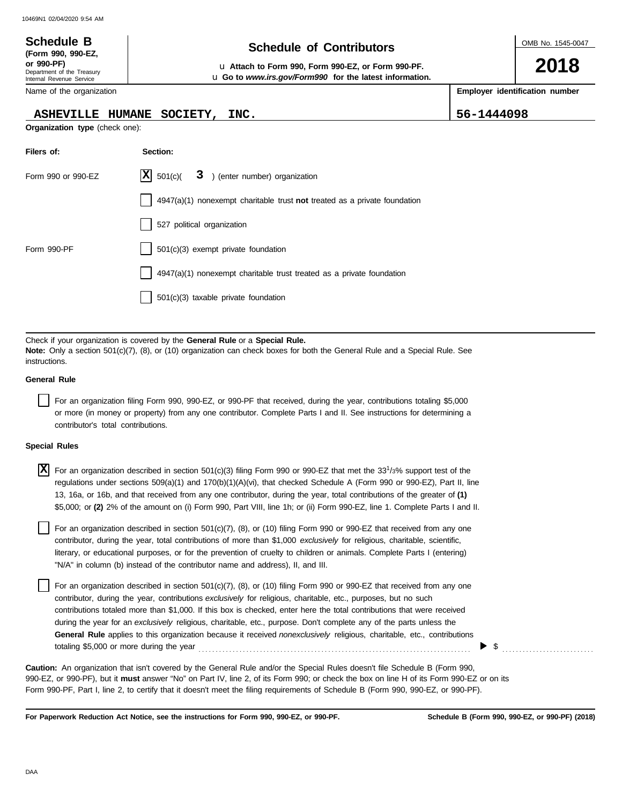| <b>Schedule B</b>                                                                          | <b>Schedule of Contributors</b>                                                                                |      |            |                                |  |  |
|--------------------------------------------------------------------------------------------|----------------------------------------------------------------------------------------------------------------|------|------------|--------------------------------|--|--|
| (Form 990, 990-EZ,<br>or 990-PF)<br>Department of the Treasury<br>Internal Revenue Service | La Attach to Form 990, Form 990-EZ, or Form 990-PF.<br>u Go to www.irs.gov/Form990 for the latest information. |      |            |                                |  |  |
| Name of the organization                                                                   |                                                                                                                |      |            | Employer identification number |  |  |
| <b>ASHEVILLE HUMANE</b>                                                                    | SOCIETY,                                                                                                       | INC. | 56-1444098 |                                |  |  |
| <b>Organization type (check one):</b>                                                      |                                                                                                                |      |            |                                |  |  |

| Filers of:         | Section:                                                                  |
|--------------------|---------------------------------------------------------------------------|
| Form 990 or 990-EZ | $ \mathbf{X} $ 501(c)( $3$ ) (enter number) organization                  |
|                    | 4947(a)(1) nonexempt charitable trust not treated as a private foundation |
|                    | 527 political organization                                                |
| Form 990-PF        | 501(c)(3) exempt private foundation                                       |
|                    | 4947(a)(1) nonexempt charitable trust treated as a private foundation     |
|                    | $501(c)(3)$ taxable private foundation                                    |

Check if your organization is covered by the **General Rule** or a **Special Rule. Note:** Only a section 501(c)(7), (8), or (10) organization can check boxes for both the General Rule and a Special Rule. See instructions.

#### **General Rule**

For an organization filing Form 990, 990-EZ, or 990-PF that received, during the year, contributions totaling \$5,000 or more (in money or property) from any one contributor. Complete Parts I and II. See instructions for determining a contributor's total contributions.

#### **Special Rules**

| X For an organization described in section 501(c)(3) filing Form 990 or 990-EZ that met the $33^{1/3}$ % support test of the |
|------------------------------------------------------------------------------------------------------------------------------|
| regulations under sections 509(a)(1) and 170(b)(1)(A)(vi), that checked Schedule A (Form 990 or 990-EZ), Part II, line       |
| 13, 16a, or 16b, and that received from any one contributor, during the year, total contributions of the greater of (1)      |
| \$5,000; or (2) 2% of the amount on (i) Form 990, Part VIII, line 1h; or (ii) Form 990-EZ, line 1. Complete Parts I and II.  |

literary, or educational purposes, or for the prevention of cruelty to children or animals. Complete Parts I (entering) For an organization described in section 501(c)(7), (8), or (10) filing Form 990 or 990-EZ that received from any one contributor, during the year, total contributions of more than \$1,000 *exclusively* for religious, charitable, scientific, "N/A" in column (b) instead of the contributor name and address), II, and III.

For an organization described in section 501(c)(7), (8), or (10) filing Form 990 or 990-EZ that received from any one contributor, during the year, contributions *exclusively* for religious, charitable, etc., purposes, but no such contributions totaled more than \$1,000. If this box is checked, enter here the total contributions that were received during the year for an *exclusively* religious, charitable, etc., purpose. Don't complete any of the parts unless the **General Rule** applies to this organization because it received *nonexclusively* religious, charitable, etc., contributions totaling \$5,000 or more during the year . . . . . . . . . . . . . . . . . . . . . . . . . . . . . . . . . . . . . . . . . . . . . . . . . . . . . . . . . . . . . . . . . . . . . . . . . . . . . . . .

990-EZ, or 990-PF), but it **must** answer "No" on Part IV, line 2, of its Form 990; or check the box on line H of its Form 990-EZ or on its Form 990-PF, Part I, line 2, to certify that it doesn't meet the filing requirements of Schedule B (Form 990, 990-EZ, or 990-PF). **Caution:** An organization that isn't covered by the General Rule and/or the Special Rules doesn't file Schedule B (Form 990,

**For Paperwork Reduction Act Notice, see the instructions for Form 990, 990-EZ, or 990-PF.**

\$ . . . . . . . . . . . . . . . . . . . . . . . . . . .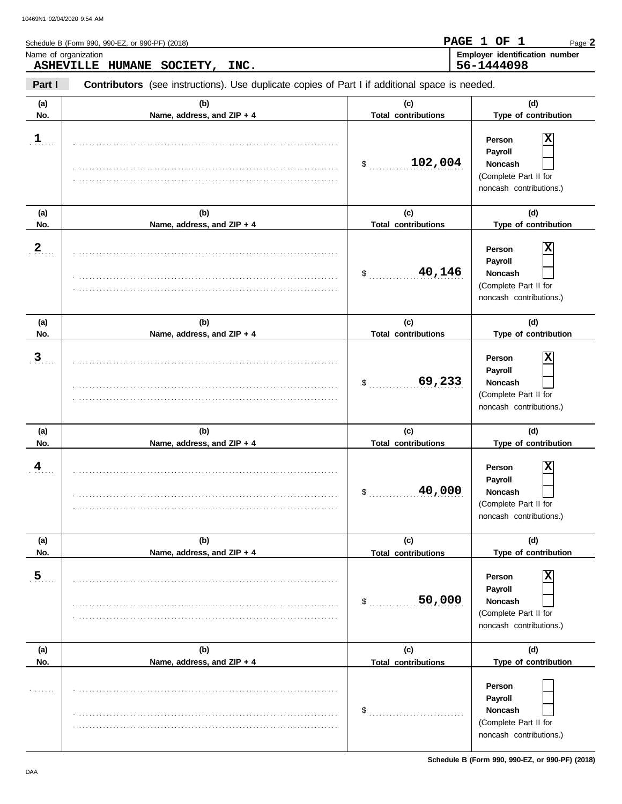|                | Schedule B (Form 990, 990-EZ, or 990-PF) (2018)                                                |                                   | PAGE 1 OF<br>$\mathbf 1$<br>Page 2                                                                                 |
|----------------|------------------------------------------------------------------------------------------------|-----------------------------------|--------------------------------------------------------------------------------------------------------------------|
|                | Name of organization<br>ASHEVILLE HUMANE SOCIETY,<br>INC.                                      |                                   | Employer identification number<br>56-1444098                                                                       |
| Part I         | Contributors (see instructions). Use duplicate copies of Part I if additional space is needed. |                                   |                                                                                                                    |
| (a)<br>No.     | (b)<br>Name, address, and ZIP + 4                                                              | (c)<br><b>Total contributions</b> | (d)<br>Type of contribution                                                                                        |
| 1              |                                                                                                | 102,004<br>\$                     | X<br>Person<br>Payroll<br>Noncash<br>(Complete Part II for<br>noncash contributions.)                              |
| (a)<br>No.     | (b)<br>Name, address, and ZIP + 4                                                              | (c)<br><b>Total contributions</b> | (d)<br>Type of contribution                                                                                        |
| $\mathbf 2$    |                                                                                                | 40,146<br>\$                      | X<br>Person<br>Payroll<br>Noncash<br>(Complete Part II for<br>noncash contributions.)                              |
| (a)<br>No.     | (b)<br>Name, address, and ZIP + 4                                                              | (c)<br><b>Total contributions</b> | (d)<br>Type of contribution                                                                                        |
| 3              |                                                                                                | 69,233<br>\$                      | X<br>Person<br>Payroll<br>Noncash<br>(Complete Part II for<br>noncash contributions.)                              |
| (a)<br>No.     | (b)<br>Name, address, and ZIP + 4                                                              | (c)<br><b>Total contributions</b> | (d)<br>Type of contribution                                                                                        |
| $\frac{4}{1}$  |                                                                                                | 40,000<br>$\mathsf{S}$            | $\overline{\mathbf{x}}$<br>Person<br>Payroll<br><b>Noncash</b><br>(Complete Part II for<br>noncash contributions.) |
| (a)<br>No.     | (b)<br>Name, address, and ZIP + 4                                                              | (c)<br><b>Total contributions</b> | (d)<br>Type of contribution                                                                                        |
| $\overline{5}$ |                                                                                                | 50,000<br>\$                      | X<br>Person<br>Payroll<br>Noncash<br>(Complete Part II for<br>noncash contributions.)                              |
| (a)<br>No.     | (b)<br>Name, address, and ZIP + 4                                                              | (c)<br><b>Total contributions</b> | (d)<br>Type of contribution                                                                                        |
|                |                                                                                                | \$                                | Person<br>Payroll<br>Noncash<br>(Complete Part II for<br>noncash contributions.)                                   |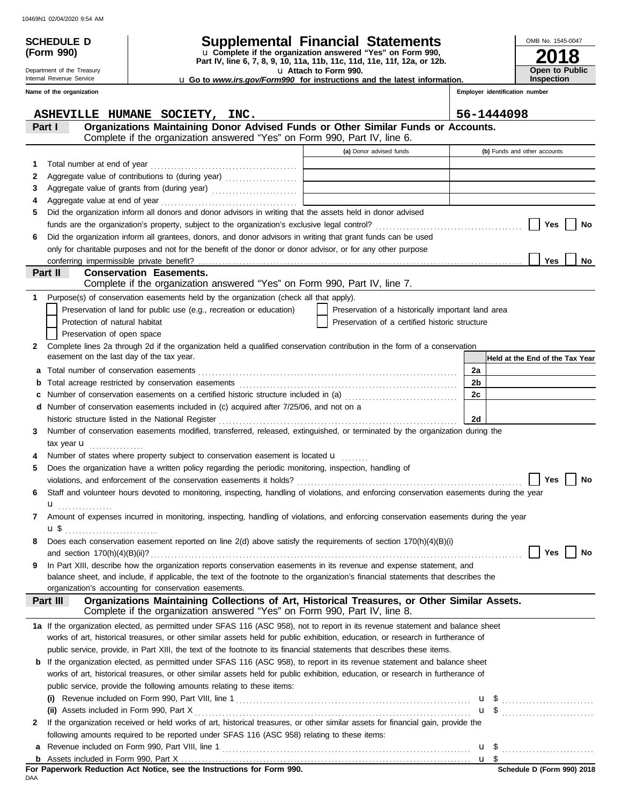| <b>SCHEDULE D</b><br>(Form 990) |                                                                                                                                                                | <b>Supplemental Financial Statements</b><br>u Complete if the organization answered "Yes" on Form 990, |                                | OMB No. 1545-0047               |
|---------------------------------|----------------------------------------------------------------------------------------------------------------------------------------------------------------|--------------------------------------------------------------------------------------------------------|--------------------------------|---------------------------------|
| Department of the Treasury      |                                                                                                                                                                | Part IV, line 6, 7, 8, 9, 10, 11a, 11b, 11c, 11d, 11e, 11f, 12a, or 12b.<br>u Attach to Form 990.      |                                | Open to Public                  |
| Internal Revenue Service        |                                                                                                                                                                | u Go to www.irs.gov/Form990 for instructions and the latest information.                               |                                | <b>Inspection</b>               |
| Name of the organization        |                                                                                                                                                                |                                                                                                        | Employer identification number |                                 |
|                                 |                                                                                                                                                                |                                                                                                        |                                |                                 |
|                                 | ASHEVILLE HUMANE SOCIETY, INC.                                                                                                                                 |                                                                                                        | 56-1444098                     |                                 |
| Part I                          | Organizations Maintaining Donor Advised Funds or Other Similar Funds or Accounts.<br>Complete if the organization answered "Yes" on Form 990, Part IV, line 6. |                                                                                                        |                                |                                 |
|                                 |                                                                                                                                                                | (a) Donor advised funds                                                                                |                                | (b) Funds and other accounts    |
| 1                               |                                                                                                                                                                | <u> 1989 - Johann Barn, mars ann an t-A</u>                                                            |                                |                                 |
| 2                               |                                                                                                                                                                | <u> 1989 - Johann Barn, amerikansk politiker (</u>                                                     |                                |                                 |
| 3                               |                                                                                                                                                                | the control of the control of the control of the control of the control of                             |                                |                                 |
| 4                               |                                                                                                                                                                |                                                                                                        |                                |                                 |
| 5                               | Did the organization inform all donors and donor advisors in writing that the assets held in donor advised                                                     |                                                                                                        |                                |                                 |
|                                 |                                                                                                                                                                |                                                                                                        |                                | Yes<br>No                       |
| 6                               | Did the organization inform all grantees, donors, and donor advisors in writing that grant funds can be used                                                   |                                                                                                        |                                |                                 |
|                                 | only for charitable purposes and not for the benefit of the donor or donor advisor, or for any other purpose                                                   |                                                                                                        |                                |                                 |
|                                 |                                                                                                                                                                |                                                                                                        |                                | Yes<br>No                       |
| Part II                         | <b>Conservation Easements.</b>                                                                                                                                 |                                                                                                        |                                |                                 |
|                                 | Complete if the organization answered "Yes" on Form 990, Part IV, line 7.                                                                                      |                                                                                                        |                                |                                 |
| 1                               | Purpose(s) of conservation easements held by the organization (check all that apply).                                                                          |                                                                                                        |                                |                                 |
|                                 | Preservation of land for public use (e.g., recreation or education)                                                                                            | Preservation of a historically important land area                                                     |                                |                                 |
| Protection of natural habitat   |                                                                                                                                                                | Preservation of a certified historic structure                                                         |                                |                                 |
| Preservation of open space      |                                                                                                                                                                |                                                                                                        |                                |                                 |
| 2                               | Complete lines 2a through 2d if the organization held a qualified conservation contribution in the form of a conservation                                      |                                                                                                        |                                |                                 |
|                                 | easement on the last day of the tax year.                                                                                                                      |                                                                                                        |                                | Held at the End of the Tax Year |
|                                 |                                                                                                                                                                |                                                                                                        | 2a                             |                                 |
| b                               |                                                                                                                                                                |                                                                                                        | 2 <sub>b</sub>                 |                                 |
| c                               | Number of conservation easements on a certified historic structure included in (a) [[[[[[ [ ]]]]                                                               |                                                                                                        | 2c                             |                                 |
|                                 | d Number of conservation easements included in (c) acquired after 7/25/06, and not on a                                                                        |                                                                                                        |                                |                                 |
|                                 |                                                                                                                                                                |                                                                                                        | 2d                             |                                 |
| 3                               | Number of conservation easements modified, transferred, released, extinguished, or terminated by the organization during the                                   |                                                                                                        |                                |                                 |
| tax year $\mathbf u$            |                                                                                                                                                                |                                                                                                        |                                |                                 |
|                                 | Number of states where property subject to conservation easement is located u                                                                                  |                                                                                                        |                                |                                 |
| 5                               | Does the organization have a written policy regarding the periodic monitoring, inspection, handling of                                                         |                                                                                                        |                                |                                 |
|                                 |                                                                                                                                                                |                                                                                                        |                                | Yes<br>No                       |
| 6                               | Staff and volunteer hours devoted to monitoring, inspecting, handling of violations, and enforcing conservation easements during the year                      |                                                                                                        |                                |                                 |
|                                 | Amount of expenses incurred in monitoring, inspecting, handling of violations, and enforcing conservation easements during the year                            |                                                                                                        |                                |                                 |
| 7                               |                                                                                                                                                                |                                                                                                        |                                |                                 |
|                                 | Does each conservation easement reported on line 2(d) above satisfy the requirements of section 170(h)(4)(B)(i)                                                |                                                                                                        |                                |                                 |
| 8                               |                                                                                                                                                                |                                                                                                        |                                | Yes<br>No                       |
| 9                               | In Part XIII, describe how the organization reports conservation easements in its revenue and expense statement, and                                           |                                                                                                        |                                |                                 |
|                                 | balance sheet, and include, if applicable, the text of the footnote to the organization's financial statements that describes the                              |                                                                                                        |                                |                                 |
|                                 | organization's accounting for conservation easements.                                                                                                          |                                                                                                        |                                |                                 |
| Part III                        | Organizations Maintaining Collections of Art, Historical Treasures, or Other Similar Assets.                                                                   |                                                                                                        |                                |                                 |
|                                 | Complete if the organization answered "Yes" on Form 990, Part IV, line 8.                                                                                      |                                                                                                        |                                |                                 |
|                                 | 1a If the organization elected, as permitted under SFAS 116 (ASC 958), not to report in its revenue statement and balance sheet                                |                                                                                                        |                                |                                 |
|                                 | works of art, historical treasures, or other similar assets held for public exhibition, education, or research in furtherance of                               |                                                                                                        |                                |                                 |
|                                 | public service, provide, in Part XIII, the text of the footnote to its financial statements that describes these items.                                        |                                                                                                        |                                |                                 |
|                                 | <b>b</b> If the organization elected, as permitted under SFAS 116 (ASC 958), to report in its revenue statement and balance sheet                              |                                                                                                        |                                |                                 |
|                                 | works of art, historical treasures, or other similar assets held for public exhibition, education, or research in furtherance of                               |                                                                                                        |                                |                                 |
|                                 | public service, provide the following amounts relating to these items:                                                                                         |                                                                                                        |                                |                                 |
|                                 |                                                                                                                                                                |                                                                                                        |                                |                                 |
|                                 |                                                                                                                                                                |                                                                                                        |                                | $\mathbf{u}$ \$                 |
| 2                               | If the organization received or held works of art, historical treasures, or other similar assets for financial gain, provide the                               |                                                                                                        |                                |                                 |
|                                 | following amounts required to be reported under SFAS 116 (ASC 958) relating to these items:                                                                    |                                                                                                        |                                |                                 |

|     | For Paperwork Reduction Act Notice, see the Instructions for Form 990. |
|-----|------------------------------------------------------------------------|
| DAA |                                                                        |

Revenue included on Form 990, Part VIII, line 1 . . . . . . . . . . . . . . . . . . . . . . . . . . . . . . . . . . . . . . . . . . . . . . . . . . . . . . . . . . . . . . . . . . . . . . . . . **a**

u \$ ............................

<u>u \$</u>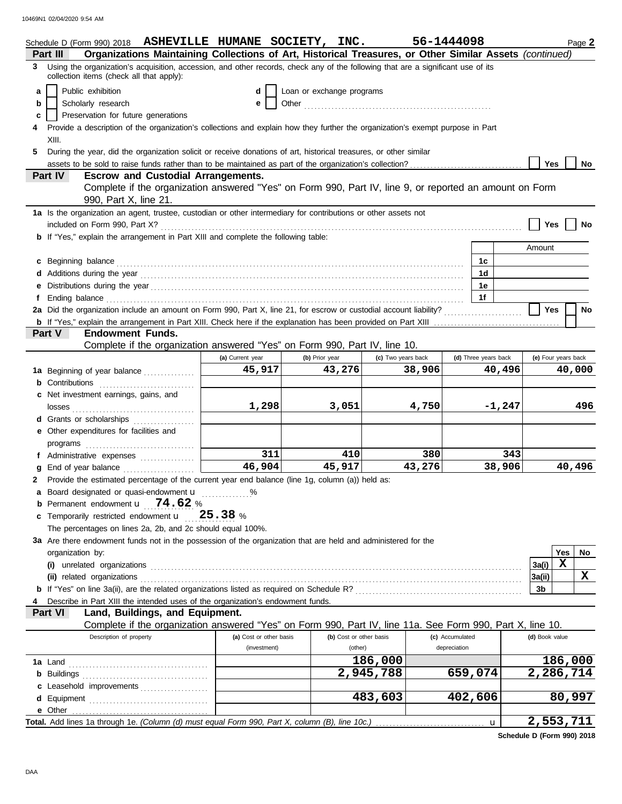|    | Schedule D (Form 990) 2018 ASHEVILLE HUMANE SOCIETY, INC.                                                                                                                                                                      |                         |                           |                         |                    | 56-1444098 |                 |                      |                            |                     | Page 2 |
|----|--------------------------------------------------------------------------------------------------------------------------------------------------------------------------------------------------------------------------------|-------------------------|---------------------------|-------------------------|--------------------|------------|-----------------|----------------------|----------------------------|---------------------|--------|
|    | Organizations Maintaining Collections of Art, Historical Treasures, or Other Similar Assets (continued)<br>Part III                                                                                                            |                         |                           |                         |                    |            |                 |                      |                            |                     |        |
| 3  | Using the organization's acquisition, accession, and other records, check any of the following that are a significant use of its<br>collection items (check all that apply):                                                   |                         |                           |                         |                    |            |                 |                      |                            |                     |        |
| a  | Public exhibition                                                                                                                                                                                                              |                         | Loan or exchange programs |                         |                    |            |                 |                      |                            |                     |        |
| b  | Scholarly research                                                                                                                                                                                                             | е                       |                           |                         |                    |            |                 |                      |                            |                     |        |
| c  | Preservation for future generations                                                                                                                                                                                            |                         |                           |                         |                    |            |                 |                      |                            |                     |        |
| 4  | Provide a description of the organization's collections and explain how they further the organization's exempt purpose in Part                                                                                                 |                         |                           |                         |                    |            |                 |                      |                            |                     |        |
|    | XIII.                                                                                                                                                                                                                          |                         |                           |                         |                    |            |                 |                      |                            |                     |        |
| 5. | During the year, did the organization solicit or receive donations of art, historical treasures, or other similar                                                                                                              |                         |                           |                         |                    |            |                 |                      |                            |                     |        |
|    |                                                                                                                                                                                                                                |                         |                           |                         |                    |            |                 |                      | <b>Yes</b>                 |                     | No     |
|    | Part IV<br><b>Escrow and Custodial Arrangements.</b>                                                                                                                                                                           |                         |                           |                         |                    |            |                 |                      |                            |                     |        |
|    | Complete if the organization answered "Yes" on Form 990, Part IV, line 9, or reported an amount on Form                                                                                                                        |                         |                           |                         |                    |            |                 |                      |                            |                     |        |
|    | 990, Part X, line 21.                                                                                                                                                                                                          |                         |                           |                         |                    |            |                 |                      |                            |                     |        |
|    | 1a Is the organization an agent, trustee, custodian or other intermediary for contributions or other assets not                                                                                                                |                         |                           |                         |                    |            |                 |                      |                            |                     |        |
|    |                                                                                                                                                                                                                                |                         |                           |                         |                    |            |                 |                      | <b>Yes</b>                 |                     | No     |
|    | <b>b</b> If "Yes," explain the arrangement in Part XIII and complete the following table:                                                                                                                                      |                         |                           |                         |                    |            |                 |                      |                            |                     |        |
|    |                                                                                                                                                                                                                                |                         |                           |                         |                    |            |                 |                      | Amount                     |                     |        |
|    | c Beginning balance                                                                                                                                                                                                            |                         |                           |                         |                    |            |                 | 1c                   |                            |                     |        |
|    | Additions during the year contact the contact of the year contact the year of the set of the set of the set of the set of the set of the set of the set of the set of the set of the set of the set of the set of the set of t |                         |                           |                         |                    |            |                 | 1 <sub>d</sub>       |                            |                     |        |
|    |                                                                                                                                                                                                                                |                         |                           |                         |                    |            |                 | 1е                   |                            |                     |        |
|    |                                                                                                                                                                                                                                |                         |                           |                         |                    |            |                 | 1f                   |                            |                     |        |
|    |                                                                                                                                                                                                                                |                         |                           |                         |                    |            |                 |                      | <b>Yes</b>                 |                     | No     |
|    |                                                                                                                                                                                                                                |                         |                           |                         |                    |            |                 |                      |                            |                     |        |
|    | <b>Endowment Funds.</b><br>Part V                                                                                                                                                                                              |                         |                           |                         |                    |            |                 |                      |                            |                     |        |
|    | Complete if the organization answered "Yes" on Form 990, Part IV, line 10.                                                                                                                                                     |                         |                           |                         |                    |            |                 |                      |                            |                     |        |
|    |                                                                                                                                                                                                                                | (a) Current year        | (b) Prior year            |                         | (c) Two years back |            |                 | (d) Three years back |                            | (e) Four years back |        |
|    | 1a Beginning of year balance                                                                                                                                                                                                   | 45,917                  |                           | 43,276                  |                    | 38,906     |                 | 40,496               |                            | 40,000              |        |
|    | Contributions                                                                                                                                                                                                                  |                         |                           |                         |                    |            |                 |                      |                            |                     |        |
| c  | Net investment earnings, gains, and                                                                                                                                                                                            |                         |                           |                         |                    |            |                 |                      |                            |                     |        |
|    |                                                                                                                                                                                                                                | 1,298                   |                           | 3,051                   |                    | 4,750      |                 | $-1,247$             |                            |                     | 496    |
|    | d Grants or scholarships                                                                                                                                                                                                       |                         |                           |                         |                    |            |                 |                      |                            |                     |        |
|    | Other expenditures for facilities and                                                                                                                                                                                          |                         |                           |                         |                    |            |                 |                      |                            |                     |        |
|    | programs                                                                                                                                                                                                                       |                         |                           |                         |                    |            |                 |                      |                            |                     |        |
|    | f Administrative expenses                                                                                                                                                                                                      | 311<br>46,904           |                           | 410                     |                    | 380        |                 | 343                  |                            |                     |        |
|    | End of year balance                                                                                                                                                                                                            |                         |                           | 45,917                  |                    | 43,276     |                 | 38,906               |                            | 40,496              |        |
| 2  | Provide the estimated percentage of the current year end balance (line 1g, column (a)) held as:                                                                                                                                |                         |                           |                         |                    |            |                 |                      |                            |                     |        |
|    | a Board designated or quasi-endowment <b>u</b> %<br><b>b</b> Permanent endowment $\mathbf{u}$ 74.62 %                                                                                                                          |                         |                           |                         |                    |            |                 |                      |                            |                     |        |
|    | c Temporarily restricted endowment u                                                                                                                                                                                           | 25.38%                  |                           |                         |                    |            |                 |                      |                            |                     |        |
|    | The percentages on lines 2a, 2b, and 2c should equal 100%.                                                                                                                                                                     |                         |                           |                         |                    |            |                 |                      |                            |                     |        |
|    |                                                                                                                                                                                                                                |                         |                           |                         |                    |            |                 |                      |                            |                     |        |
|    | 3a Are there endowment funds not in the possession of the organization that are held and administered for the                                                                                                                  |                         |                           |                         |                    |            |                 |                      |                            | Yes                 | No     |
|    | organization by:                                                                                                                                                                                                               |                         |                           |                         |                    |            |                 |                      | 3a(i)                      | X                   |        |
|    | (ii) related organizations                                                                                                                                                                                                     |                         |                           |                         |                    |            |                 |                      | 3a(ii)                     |                     | x      |
|    |                                                                                                                                                                                                                                |                         |                           |                         |                    |            |                 |                      | 3b                         |                     |        |
|    | Describe in Part XIII the intended uses of the organization's endowment funds.                                                                                                                                                 |                         |                           |                         |                    |            |                 |                      |                            |                     |        |
|    | Part VI<br>Land, Buildings, and Equipment.                                                                                                                                                                                     |                         |                           |                         |                    |            |                 |                      |                            |                     |        |
|    | Complete if the organization answered "Yes" on Form 990, Part IV, line 11a. See Form 990, Part X, line 10.                                                                                                                     |                         |                           |                         |                    |            |                 |                      |                            |                     |        |
|    | Description of property                                                                                                                                                                                                        | (a) Cost or other basis |                           | (b) Cost or other basis |                    |            | (c) Accumulated |                      | (d) Book value             |                     |        |
|    |                                                                                                                                                                                                                                | (investment)            |                           | (other)                 |                    |            | depreciation    |                      |                            |                     |        |
|    | 1a Land                                                                                                                                                                                                                        |                         |                           |                         | 186,000            |            |                 |                      |                            | 186,000             |        |
|    | <b>b</b> Buildings                                                                                                                                                                                                             |                         |                           |                         | 2,945,788          |            | 659,074         |                      | 2,286,714                  |                     |        |
|    | c Leasehold improvements                                                                                                                                                                                                       |                         |                           |                         |                    |            |                 |                      |                            |                     |        |
|    |                                                                                                                                                                                                                                |                         |                           |                         | 483,603            |            | 402,606         |                      |                            | 80,997              |        |
|    |                                                                                                                                                                                                                                |                         |                           |                         |                    |            |                 |                      |                            |                     |        |
|    | Total. Add lines 1a through 1e. (Column (d) must equal Form 990, Part X, column (B), line 10c.)                                                                                                                                |                         |                           |                         |                    |            |                 | $\mathbf{u}$         | 2,553,711                  |                     |        |
|    |                                                                                                                                                                                                                                |                         |                           |                         |                    |            |                 |                      | Pehedric D (Ferm 000) 2010 |                     |        |

**Schedule D (Form 990) 2018**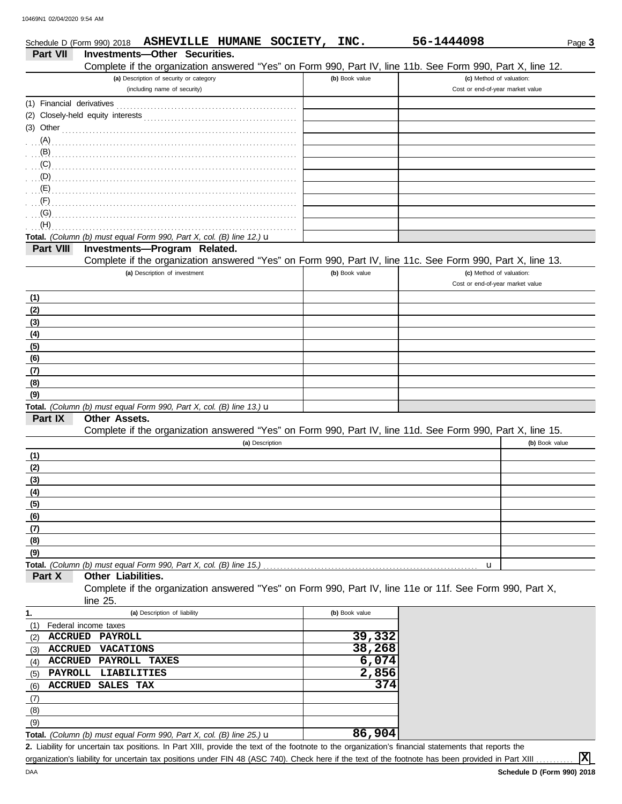|                           | ASHEVILLE HUMANE SOCIETY,<br>Schedule D (Form 990) 2018                                                    | INC.             | 56-1444098                       | Page 3         |
|---------------------------|------------------------------------------------------------------------------------------------------------|------------------|----------------------------------|----------------|
| <b>Part VII</b>           | <b>Investments-Other Securities.</b>                                                                       |                  |                                  |                |
|                           | Complete if the organization answered "Yes" on Form 990, Part IV, line 11b. See Form 990, Part X, line 12. |                  |                                  |                |
|                           | (a) Description of security or category                                                                    | (b) Book value   | (c) Method of valuation:         |                |
|                           | (including name of security)                                                                               |                  | Cost or end-of-year market value |                |
| (1) Financial derivatives |                                                                                                            |                  |                                  |                |
|                           |                                                                                                            |                  |                                  |                |
|                           | $(3)$ Other                                                                                                |                  |                                  |                |
|                           |                                                                                                            |                  |                                  |                |
|                           |                                                                                                            |                  |                                  |                |
|                           |                                                                                                            |                  |                                  |                |
|                           | $\mathbf{D}$                                                                                               |                  |                                  |                |
|                           |                                                                                                            |                  |                                  |                |
|                           |                                                                                                            |                  |                                  |                |
|                           |                                                                                                            |                  |                                  |                |
| (H)                       |                                                                                                            |                  |                                  |                |
|                           | Total. (Column (b) must equal Form 990, Part X, col. (B) line 12.) $\mathbf u$                             |                  |                                  |                |
| Part VIII                 | Investments-Program Related.                                                                               |                  |                                  |                |
|                           | Complete if the organization answered "Yes" on Form 990, Part IV, line 11c. See Form 990, Part X, line 13. |                  |                                  |                |
|                           | (a) Description of investment                                                                              | (b) Book value   | (c) Method of valuation:         |                |
|                           |                                                                                                            |                  | Cost or end-of-year market value |                |
| (1)                       |                                                                                                            |                  |                                  |                |
| (2)                       |                                                                                                            |                  |                                  |                |
| (3)                       |                                                                                                            |                  |                                  |                |
| (4)                       |                                                                                                            |                  |                                  |                |
| (5)                       |                                                                                                            |                  |                                  |                |
| (6)                       |                                                                                                            |                  |                                  |                |
| (7)                       |                                                                                                            |                  |                                  |                |
| (8)                       |                                                                                                            |                  |                                  |                |
| (9)                       |                                                                                                            |                  |                                  |                |
|                           | Total. (Column (b) must equal Form 990, Part X, col. (B) line 13.) u                                       |                  |                                  |                |
| Part IX                   | <b>Other Assets.</b>                                                                                       |                  |                                  |                |
|                           | Complete if the organization answered "Yes" on Form 990, Part IV, line 11d. See Form 990, Part X, line 15. |                  |                                  |                |
|                           | (a) Description                                                                                            |                  |                                  | (b) Book value |
| (1)                       |                                                                                                            |                  |                                  |                |
| (2)                       |                                                                                                            |                  |                                  |                |
| (3)                       |                                                                                                            |                  |                                  |                |
| (4)                       |                                                                                                            |                  |                                  |                |
| (5)                       |                                                                                                            |                  |                                  |                |
| (6)                       |                                                                                                            |                  |                                  |                |
| (7)                       |                                                                                                            |                  |                                  |                |
| (8)                       |                                                                                                            |                  |                                  |                |
| (9)                       |                                                                                                            |                  |                                  |                |
|                           |                                                                                                            |                  | u                                |                |
| Part X                    | Other Liabilities.                                                                                         |                  |                                  |                |
|                           | Complete if the organization answered "Yes" on Form 990, Part IV, line 11e or 11f. See Form 990, Part X,   |                  |                                  |                |
|                           | line 25.                                                                                                   |                  |                                  |                |
| 1.                        | (a) Description of liability                                                                               | (b) Book value   |                                  |                |
| (1)                       | Federal income taxes                                                                                       |                  |                                  |                |
| <b>ACCRUED</b><br>(2)     | PAYROLL                                                                                                    | 39,332<br>38,268 |                                  |                |
| <b>ACCRUED</b><br>(3)     | <b>VACATIONS</b>                                                                                           |                  |                                  |                |
| <b>ACCRUED</b><br>(4)     | PAYROLL TAXES                                                                                              | 6,074            |                                  |                |
| PAYROLL<br>(5)            | <b>LIABILITIES</b>                                                                                         | 2,856            |                                  |                |
| <b>ACCRUED</b><br>(6)     | SALES TAX                                                                                                  | 374              |                                  |                |
| (7)                       |                                                                                                            |                  |                                  |                |
| (8)                       |                                                                                                            |                  |                                  |                |
| (9)                       |                                                                                                            |                  |                                  |                |
|                           | Total. (Column (b) must equal Form 990, Part X, col. (B) line 25.) $\mathbf u$                             | 86,904           |                                  |                |

Liability for uncertain tax positions. In Part XIII, provide the text of the footnote to the organization's financial statements that reports the **2.** organization's liability for uncertain tax positions under FIN 48 (ASC 740). Check here if the text of the footnote has been provided in Part XIII.

**X**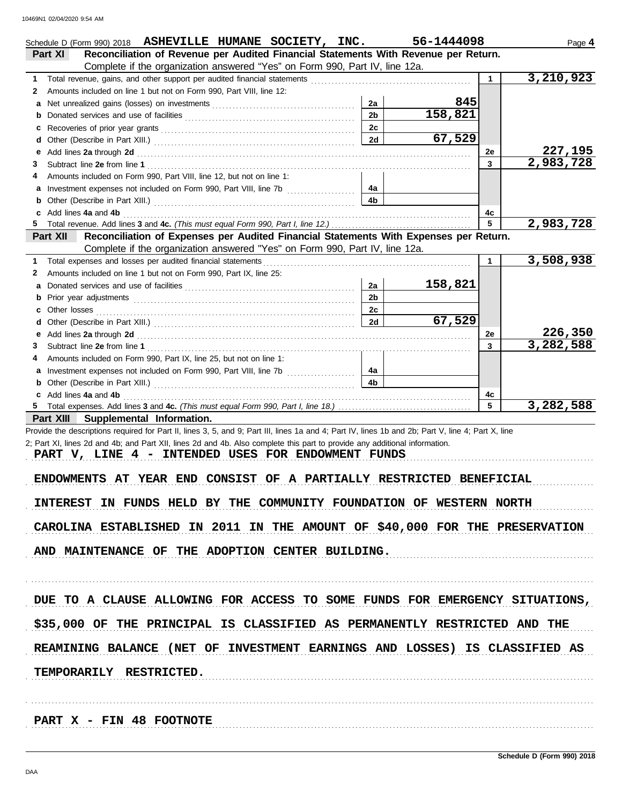|   | Schedule D (Form 990) 2018 ASHEVILLE HUMANE SOCIETY, INC.                                                                                                                                                                      |                | 56-1444098 |              | Page 4      |  |  |  |
|---|--------------------------------------------------------------------------------------------------------------------------------------------------------------------------------------------------------------------------------|----------------|------------|--------------|-------------|--|--|--|
|   | Reconciliation of Revenue per Audited Financial Statements With Revenue per Return.<br>Part XI                                                                                                                                 |                |            |              |             |  |  |  |
|   | Complete if the organization answered "Yes" on Form 990, Part IV, line 12a.                                                                                                                                                    |                |            |              |             |  |  |  |
| 1 | Total revenue, gains, and other support per audited financial statements                                                                                                                                                       |                |            | $\mathbf{1}$ | 3,210,923   |  |  |  |
| 2 | Amounts included on line 1 but not on Form 990, Part VIII, line 12:                                                                                                                                                            |                |            |              |             |  |  |  |
| a |                                                                                                                                                                                                                                | 2a             | 845        |              |             |  |  |  |
| b |                                                                                                                                                                                                                                | 2 <sub>b</sub> | 158,821    |              |             |  |  |  |
| c |                                                                                                                                                                                                                                | 2c             |            |              |             |  |  |  |
| d |                                                                                                                                                                                                                                | 2d             | 67,529     |              |             |  |  |  |
| е | Add lines 2a through 2d [11] Add [12] Add [12] Add lines 2a through 2d [12] Add lines 2a through 2d [12] Add [12] Add [12] Add [12] Add [12] Addd [12] Add [12] Add [12] Add [12] Add [12] Add [12] Add [12] Add [12] Add [12] |                |            | 2e           | 227,195     |  |  |  |
| 3 |                                                                                                                                                                                                                                |                |            | 3            | 2,983,728   |  |  |  |
| 4 | Amounts included on Form 990, Part VIII, line 12, but not on line 1:                                                                                                                                                           |                |            |              |             |  |  |  |
|   | a Investment expenses not included on Form 990, Part VIII, line 7b [100] [100] [100] [100] [100] [100] [100] [100] [100] [100] [100] [100] [100] [100] [100] [100] [100] [100] [100] [100] [100] [100] [100] [100] [100] [100] | 4a             |            |              |             |  |  |  |
| b |                                                                                                                                                                                                                                | 4b             |            |              |             |  |  |  |
|   | Add lines 4a and 4b                                                                                                                                                                                                            |                |            | 4c           |             |  |  |  |
| 5 |                                                                                                                                                                                                                                |                |            | 5            | 2,983,728   |  |  |  |
|   | Reconciliation of Expenses per Audited Financial Statements With Expenses per Return.<br>Part XII                                                                                                                              |                |            |              |             |  |  |  |
|   | Complete if the organization answered "Yes" on Form 990, Part IV, line 12a.                                                                                                                                                    |                |            |              |             |  |  |  |
| 1 | Total expenses and losses per audited financial statements                                                                                                                                                                     |                |            | 1            | 3,508,938   |  |  |  |
| 2 | Amounts included on line 1 but not on Form 990, Part IX, line 25:                                                                                                                                                              |                |            |              |             |  |  |  |
| a |                                                                                                                                                                                                                                | 2a             | 158,821    |              |             |  |  |  |
| b |                                                                                                                                                                                                                                | 2 <sub>b</sub> |            |              |             |  |  |  |
|   |                                                                                                                                                                                                                                | 2c             |            |              |             |  |  |  |
| d |                                                                                                                                                                                                                                | 2d             | 67,529     |              |             |  |  |  |
| е | Add lines 2a through 2d [11] March 2014 [12] March 2014 [12] March 2014 [12] March 2014 [12] March 2014 [12] March 2015 [12] March 2014 [12] March 2014 [12] March 2014 [12] March 2014 [12] March 2014 [12] March 2014 [12] M |                |            | 2e           | 226,350     |  |  |  |
| 3 |                                                                                                                                                                                                                                |                |            | 3            | 3, 282, 588 |  |  |  |
| 4 | Amounts included on Form 990, Part IX, line 25, but not on line 1:                                                                                                                                                             |                |            |              |             |  |  |  |
|   |                                                                                                                                                                                                                                | 4a             |            |              |             |  |  |  |
| b |                                                                                                                                                                                                                                | 4b             |            |              |             |  |  |  |
|   | c Add lines 4a and 4b                                                                                                                                                                                                          |                |            | 4c           |             |  |  |  |
|   |                                                                                                                                                                                                                                |                |            | 5            | 3,282,588   |  |  |  |
|   | Part XIII Supplemental Information.                                                                                                                                                                                            |                |            |              |             |  |  |  |
|   | Provide the descriptions required for Part II, lines 3, 5, and 9; Part III, lines 1a and 4; Part IV, lines 1b and 2b; Part V, line 4; Part X, line                                                                             |                |            |              |             |  |  |  |
|   | 2; Part XI, lines 2d and 4b; and Part XII, lines 2d and 4b. Also complete this part to provide any additional information.                                                                                                     |                |            |              |             |  |  |  |
|   | PART V, LINE 4 - INTENDED USES FOR ENDOWMENT FUNDS                                                                                                                                                                             |                |            |              |             |  |  |  |
|   |                                                                                                                                                                                                                                |                |            |              |             |  |  |  |
|   | ENDOWMENTS AT YEAR END CONSIST OF A PARTIALLY RESTRICTED BENEFICIAL                                                                                                                                                            |                |            |              |             |  |  |  |
|   |                                                                                                                                                                                                                                |                |            |              |             |  |  |  |
|   | INTEREST IN FUNDS HELD BY THE COMMUNITY FOUNDATION OF WESTERN NORTH                                                                                                                                                            |                |            |              |             |  |  |  |
|   |                                                                                                                                                                                                                                |                |            |              |             |  |  |  |
|   | CAROLINA ESTABLISHED IN 2011 IN THE AMOUNT OF \$40,000 FOR THE PRESERVATION                                                                                                                                                    |                |            |              |             |  |  |  |
|   |                                                                                                                                                                                                                                |                |            |              |             |  |  |  |
|   | AND MAINTENANCE OF THE ADOPTION CENTER BUILDING.                                                                                                                                                                               |                |            |              |             |  |  |  |
|   |                                                                                                                                                                                                                                |                |            |              |             |  |  |  |
|   |                                                                                                                                                                                                                                |                |            |              |             |  |  |  |
|   |                                                                                                                                                                                                                                |                |            |              |             |  |  |  |
|   | DUE TO A CLAUSE ALLOWING FOR ACCESS TO SOME FUNDS FOR EMERGENCY SITUATIONS,                                                                                                                                                    |                |            |              |             |  |  |  |
|   |                                                                                                                                                                                                                                |                |            |              |             |  |  |  |
|   | \$35,000 OF THE PRINCIPAL IS CLASSIFIED AS PERMANENTLY RESTRICTED AND THE                                                                                                                                                      |                |            |              |             |  |  |  |
|   |                                                                                                                                                                                                                                |                |            |              |             |  |  |  |
|   | REAMINING BALANCE (NET OF INVESTMENT EARNINGS AND LOSSES) IS CLASSIFIED AS                                                                                                                                                     |                |            |              |             |  |  |  |
|   |                                                                                                                                                                                                                                |                |            |              |             |  |  |  |
|   | TEMPORARILY RESTRICTED.                                                                                                                                                                                                        |                |            |              |             |  |  |  |
|   |                                                                                                                                                                                                                                |                |            |              |             |  |  |  |
|   |                                                                                                                                                                                                                                |                |            |              |             |  |  |  |
|   |                                                                                                                                                                                                                                |                |            |              |             |  |  |  |
|   |                                                                                                                                                                                                                                |                |            |              |             |  |  |  |
|   | PART X - FIN 48 FOOTNOTE                                                                                                                                                                                                       |                |            |              |             |  |  |  |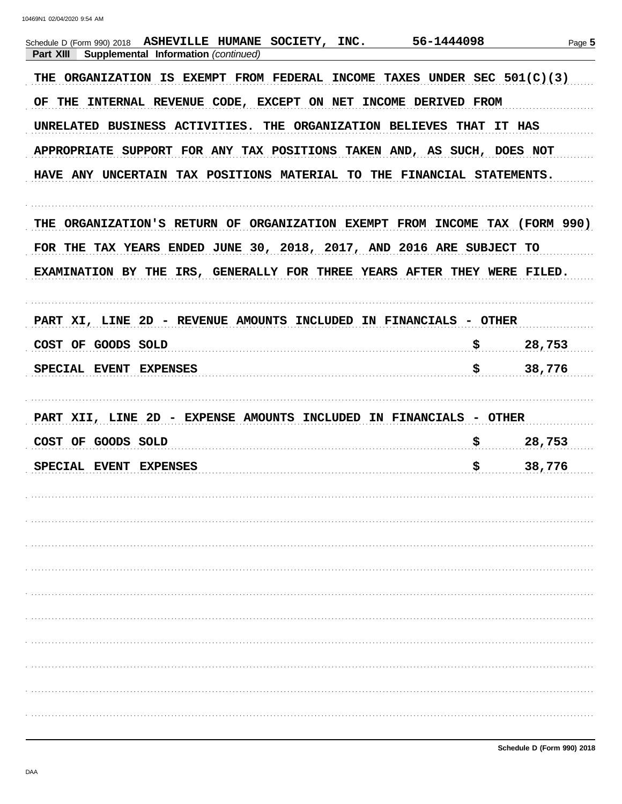| Schedule D (Form 990) 2018 ASHEVILLE HUMANE SOCIETY, INC. 56-1444098<br>Supplemental Information (continued)<br>Part XIII |                           | Page 5 |
|---------------------------------------------------------------------------------------------------------------------------|---------------------------|--------|
| THE ORGANIZATION IS EXEMPT FROM FEDERAL INCOME TAXES UNDER SEC 501(C)(3)                                                  |                           |        |
| OF THE INTERNAL REVENUE CODE, EXCEPT ON NET INCOME DERIVED FROM                                                           |                           |        |
| UNRELATED BUSINESS ACTIVITIES. THE ORGANIZATION BELIEVES THAT IT HAS                                                      |                           |        |
| APPROPRIATE SUPPORT FOR ANY TAX POSITIONS TAKEN AND, AS SUCH, DOES NOT                                                    |                           |        |
| HAVE ANY UNCERTAIN TAX POSITIONS MATERIAL TO THE FINANCIAL STATEMENTS.                                                    |                           |        |
| THE ORGANIZATION'S RETURN OF ORGANIZATION EXEMPT FROM INCOME TAX (FORM 990)                                               |                           |        |
| FOR THE TAX YEARS ENDED JUNE 30, 2018, 2017, AND 2016 ARE SUBJECT TO                                                      |                           |        |
| EXAMINATION BY THE IRS, GENERALLY FOR THREE YEARS AFTER THEY WERE FILED.                                                  |                           |        |
|                                                                                                                           |                           |        |
| PART XI, LINE 2D - REVENUE AMOUNTS INCLUDED IN FINANCIALS - OTHER                                                         |                           |        |
| COST OF GOODS SOLD                                                                                                        | $\boldsymbol{\mathsf{S}}$ | 28,753 |
| SPECIAL EVENT EXPENSES                                                                                                    | $\boldsymbol{\mathsf{S}}$ | 38,776 |
|                                                                                                                           |                           |        |
| PART XII, LINE 2D - EXPENSE AMOUNTS INCLUDED IN FINANCIALS - OTHER                                                        |                           |        |
| COST OF GOODS SOLD                                                                                                        | \$                        | 28,753 |
| SPECIAL EVENT EXPENSES                                                                                                    | \$                        | 38,776 |
|                                                                                                                           |                           |        |
|                                                                                                                           |                           |        |
|                                                                                                                           |                           |        |
|                                                                                                                           |                           |        |
|                                                                                                                           |                           |        |
|                                                                                                                           |                           |        |
|                                                                                                                           |                           |        |
|                                                                                                                           |                           |        |
|                                                                                                                           |                           |        |
|                                                                                                                           |                           |        |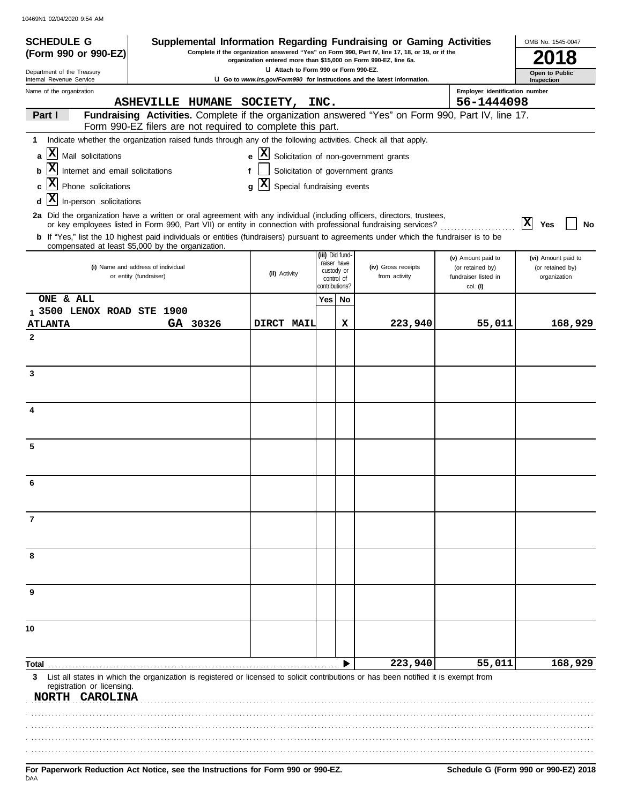| <b>SCHEDULE G</b><br>Supplemental Information Regarding Fundraising or Gaming Activities<br>OMB No. 1545-0047<br>Complete if the organization answered "Yes" on Form 990, Part IV, line 17, 18, or 19, or if the<br>(Form 990 or 990-EZ)<br>organization entered more than \$15,000 on Form 990-EZ, line 6a. |                                                                                                                                                                                                                                                                                                                                                                                                                                        |                                                                 |                                         |    |                                                                          |                                          |                                    |  |
|--------------------------------------------------------------------------------------------------------------------------------------------------------------------------------------------------------------------------------------------------------------------------------------------------------------|----------------------------------------------------------------------------------------------------------------------------------------------------------------------------------------------------------------------------------------------------------------------------------------------------------------------------------------------------------------------------------------------------------------------------------------|-----------------------------------------------------------------|-----------------------------------------|----|--------------------------------------------------------------------------|------------------------------------------|------------------------------------|--|
| Department of the Treasury<br>Internal Revenue Service                                                                                                                                                                                                                                                       |                                                                                                                                                                                                                                                                                                                                                                                                                                        | U Attach to Form 990 or Form 990-EZ.                            |                                         |    | U Go to www.irs.gov/Form990 for instructions and the latest information. | Open to Public<br>Inspection             |                                    |  |
| Name of the organization                                                                                                                                                                                                                                                                                     |                                                                                                                                                                                                                                                                                                                                                                                                                                        |                                                                 |                                         |    |                                                                          | Employer identification number           |                                    |  |
|                                                                                                                                                                                                                                                                                                              | ASHEVILLE HUMANE SOCIETY, INC.                                                                                                                                                                                                                                                                                                                                                                                                         |                                                                 |                                         |    |                                                                          | 56-1444098                               |                                    |  |
| Part I                                                                                                                                                                                                                                                                                                       | Fundraising Activities. Complete if the organization answered "Yes" on Form 990, Part IV, line 17.<br>Form 990-EZ filers are not required to complete this part.                                                                                                                                                                                                                                                                       |                                                                 |                                         |    |                                                                          |                                          |                                    |  |
| 1                                                                                                                                                                                                                                                                                                            | Indicate whether the organization raised funds through any of the following activities. Check all that apply.                                                                                                                                                                                                                                                                                                                          |                                                                 |                                         |    |                                                                          |                                          |                                    |  |
| $ \mathbf{X} $<br>Mail solicitations<br>a                                                                                                                                                                                                                                                                    |                                                                                                                                                                                                                                                                                                                                                                                                                                        | $\mathbf{e}$ $\mathbf{X}$ Solicitation of non-government grants |                                         |    |                                                                          |                                          |                                    |  |
| $ \mathbf{x} $<br>Internet and email solicitations                                                                                                                                                                                                                                                           |                                                                                                                                                                                                                                                                                                                                                                                                                                        | Solicitation of government grants<br>f                          |                                         |    |                                                                          |                                          |                                    |  |
| X <br>Phone solicitations                                                                                                                                                                                                                                                                                    |                                                                                                                                                                                                                                                                                                                                                                                                                                        | X <br>Special fundraising events<br>q                           |                                         |    |                                                                          |                                          |                                    |  |
| $\mathbf{x}$<br>In-person solicitations<br>d                                                                                                                                                                                                                                                                 |                                                                                                                                                                                                                                                                                                                                                                                                                                        |                                                                 |                                         |    |                                                                          |                                          |                                    |  |
|                                                                                                                                                                                                                                                                                                              | 2a Did the organization have a written or oral agreement with any individual (including officers, directors, trustees,<br>or key employees listed in Form 990, Part VII) or entity in connection with professional fundraising services?<br>b If "Yes," list the 10 highest paid individuals or entities (fundraisers) pursuant to agreements under which the fundraiser is to be<br>compensated at least \$5,000 by the organization. |                                                                 |                                         |    |                                                                          |                                          | $ \mathbf{x} $<br>Yes<br><b>No</b> |  |
|                                                                                                                                                                                                                                                                                                              |                                                                                                                                                                                                                                                                                                                                                                                                                                        |                                                                 | (iii) Did fund-                         |    |                                                                          | (v) Amount paid to                       | (vi) Amount paid to                |  |
|                                                                                                                                                                                                                                                                                                              | (i) Name and address of individual<br>or entity (fundraiser)                                                                                                                                                                                                                                                                                                                                                                           | (ii) Activity                                                   | raiser have<br>custody or<br>control of |    | (iv) Gross receipts<br>from activity                                     | (or retained by)<br>fundraiser listed in | (or retained by)<br>organization   |  |
|                                                                                                                                                                                                                                                                                                              |                                                                                                                                                                                                                                                                                                                                                                                                                                        |                                                                 | contributions?                          |    |                                                                          | col. (i)                                 |                                    |  |
| ONE & ALL<br>1 3500 LENOX ROAD STE 1900                                                                                                                                                                                                                                                                      |                                                                                                                                                                                                                                                                                                                                                                                                                                        |                                                                 | Yes                                     | No |                                                                          |                                          |                                    |  |
| <b>ATLANTA</b>                                                                                                                                                                                                                                                                                               | GA 30326                                                                                                                                                                                                                                                                                                                                                                                                                               | DIRCT MAIL                                                      |                                         | х  | 223,940                                                                  | 55,011                                   | 168,929                            |  |
| $\mathbf{2}$                                                                                                                                                                                                                                                                                                 |                                                                                                                                                                                                                                                                                                                                                                                                                                        |                                                                 |                                         |    |                                                                          |                                          |                                    |  |
| 3                                                                                                                                                                                                                                                                                                            |                                                                                                                                                                                                                                                                                                                                                                                                                                        |                                                                 |                                         |    |                                                                          |                                          |                                    |  |
|                                                                                                                                                                                                                                                                                                              |                                                                                                                                                                                                                                                                                                                                                                                                                                        |                                                                 |                                         |    |                                                                          |                                          |                                    |  |
| 4                                                                                                                                                                                                                                                                                                            |                                                                                                                                                                                                                                                                                                                                                                                                                                        |                                                                 |                                         |    |                                                                          |                                          |                                    |  |
| 5                                                                                                                                                                                                                                                                                                            |                                                                                                                                                                                                                                                                                                                                                                                                                                        |                                                                 |                                         |    |                                                                          |                                          |                                    |  |
| 6                                                                                                                                                                                                                                                                                                            |                                                                                                                                                                                                                                                                                                                                                                                                                                        |                                                                 |                                         |    |                                                                          |                                          |                                    |  |
| 7                                                                                                                                                                                                                                                                                                            |                                                                                                                                                                                                                                                                                                                                                                                                                                        |                                                                 |                                         |    |                                                                          |                                          |                                    |  |
| 8                                                                                                                                                                                                                                                                                                            |                                                                                                                                                                                                                                                                                                                                                                                                                                        |                                                                 |                                         |    |                                                                          |                                          |                                    |  |
| 9                                                                                                                                                                                                                                                                                                            |                                                                                                                                                                                                                                                                                                                                                                                                                                        |                                                                 |                                         |    |                                                                          |                                          |                                    |  |
| 10                                                                                                                                                                                                                                                                                                           |                                                                                                                                                                                                                                                                                                                                                                                                                                        |                                                                 |                                         |    |                                                                          |                                          |                                    |  |
| Total                                                                                                                                                                                                                                                                                                        |                                                                                                                                                                                                                                                                                                                                                                                                                                        |                                                                 |                                         |    | 223,940                                                                  | 55,011                                   | 168,929                            |  |
| 3<br>registration or licensing.<br>NORTH CAROLINA                                                                                                                                                                                                                                                            | List all states in which the organization is registered or licensed to solicit contributions or has been notified it is exempt from                                                                                                                                                                                                                                                                                                    |                                                                 |                                         |    |                                                                          |                                          |                                    |  |
|                                                                                                                                                                                                                                                                                                              |                                                                                                                                                                                                                                                                                                                                                                                                                                        |                                                                 |                                         |    |                                                                          |                                          |                                    |  |
|                                                                                                                                                                                                                                                                                                              |                                                                                                                                                                                                                                                                                                                                                                                                                                        |                                                                 |                                         |    |                                                                          |                                          |                                    |  |
|                                                                                                                                                                                                                                                                                                              |                                                                                                                                                                                                                                                                                                                                                                                                                                        |                                                                 |                                         |    |                                                                          |                                          |                                    |  |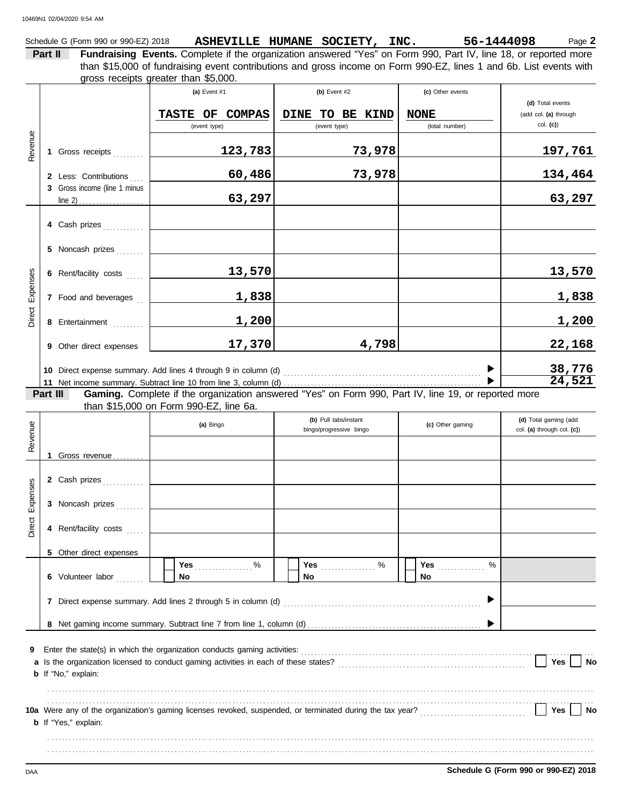Schedule G (Form 990 or 990-EZ) 2018 ASHEVILLE HUMANE SOCIETY, INC. 56-1444098 Page 2 **Part II Fundraising Events.** Complete if the organization answered "Yes" on Form 990, Part IV, line 18, or reported more gross receipts greater than \$5,000. than \$15,000 of fundraising event contributions and gross income on Form 990-EZ, lines 1 and 6b. List events with

|                 |          |                              | (a) Event $#1$<br><b>TASTE OF</b><br><b>COMPAS</b><br>(event type)       | (b) Event $#2$<br><b>DINE</b><br>TO BE KIND<br>(event type)                                         | (c) Other events<br><b>NONE</b><br>(total number) | (d) Total events<br>(add col. (a) through<br>$col.$ (c)) |
|-----------------|----------|------------------------------|--------------------------------------------------------------------------|-----------------------------------------------------------------------------------------------------|---------------------------------------------------|----------------------------------------------------------|
| Revenue         |          | 1 Gross receipts             | 123,783                                                                  | 73,978                                                                                              |                                                   | <u>197,761</u>                                           |
|                 |          | 2 Less: Contributions        | 60,486                                                                   | 73,978                                                                                              |                                                   | 134,464                                                  |
|                 |          | 3 Gross income (line 1 minus | 63,297                                                                   |                                                                                                     |                                                   | 63,297                                                   |
|                 |          | 4 Cash prizes                |                                                                          |                                                                                                     |                                                   |                                                          |
|                 |          | 5 Noncash prizes             |                                                                          |                                                                                                     |                                                   |                                                          |
|                 |          | 6 Rent/facility costs        | 13,570                                                                   |                                                                                                     |                                                   | 13,570                                                   |
| Direct Expenses |          | 7 Food and beverages         | <u>1,838</u>                                                             |                                                                                                     |                                                   | 1,838                                                    |
|                 |          | 8 Entertainment              | 1,200                                                                    |                                                                                                     |                                                   | 1,200                                                    |
|                 |          | 9 Other direct expenses      | 17,370                                                                   | 4,798                                                                                               |                                                   | 22,168                                                   |
|                 |          |                              |                                                                          |                                                                                                     |                                                   | 38,776<br>24,521                                         |
|                 | Part III |                              |                                                                          | Gaming. Complete if the organization answered "Yes" on Form 990, Part IV, line 19, or reported more |                                                   |                                                          |
|                 |          |                              | than \$15,000 on Form 990-EZ, line 6a.                                   | (b) Pull tabs/instant                                                                               |                                                   | (d) Total gaming (add                                    |
| Revenue         |          |                              | (a) Bingo                                                                | bingo/progressive bingo                                                                             | (c) Other gaming                                  | col. (a) through col. (c))                               |
|                 |          | 1 Gross revenue              |                                                                          |                                                                                                     |                                                   |                                                          |
|                 |          | 2 Cash prizes                |                                                                          |                                                                                                     |                                                   |                                                          |
|                 |          | 3 Noncash prizes             |                                                                          |                                                                                                     |                                                   |                                                          |
| Direct Expenses |          | 4 Rent/facility costs        |                                                                          |                                                                                                     |                                                   |                                                          |
|                 |          | 5 Other direct expenses      |                                                                          |                                                                                                     |                                                   |                                                          |
|                 |          | 6 Volunteer labor            | Yes $%$<br>No                                                            | Yes<br>. $\%$<br>No.                                                                                | <b>Yes</b> _____________<br>%<br>No               |                                                          |
|                 |          |                              | 7 Direct expense summary. Add lines 2 through 5 in column (d)            |                                                                                                     |                                                   |                                                          |
|                 |          |                              |                                                                          |                                                                                                     |                                                   |                                                          |
| 9               |          | <b>b</b> If "No," explain:   | Enter the state(s) in which the organization conducts gaming activities: |                                                                                                     |                                                   | Yes<br>No                                                |
|                 |          |                              |                                                                          |                                                                                                     |                                                   |                                                          |
|                 |          | <b>b</b> If "Yes," explain:  |                                                                          |                                                                                                     |                                                   | Yes<br>No                                                |
|                 |          |                              |                                                                          |                                                                                                     |                                                   |                                                          |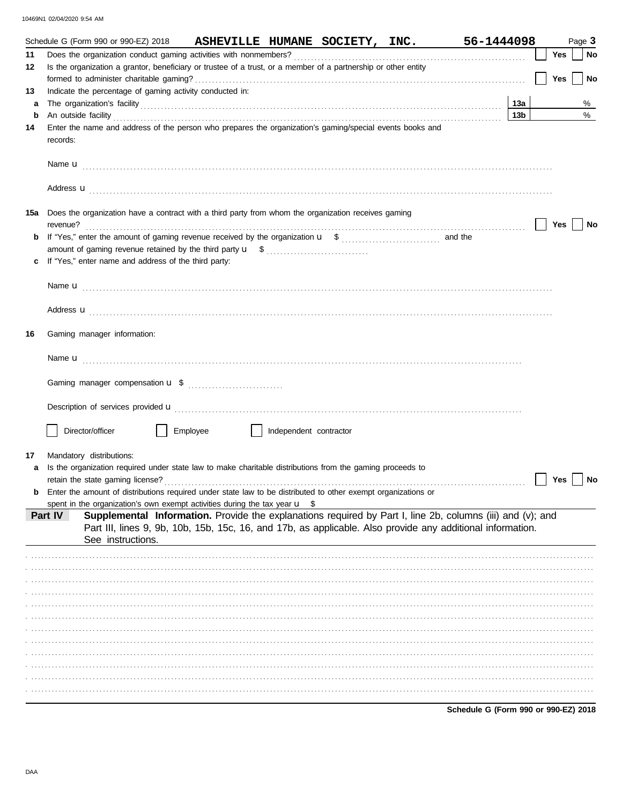|     | Schedule G (Form 990 or 990-EZ) 2018                                                                                                                                                                                                 | ASHEVILLE HUMANE SOCIETY, INC. |                        |  | 56-1444098      |     | Page 3 |
|-----|--------------------------------------------------------------------------------------------------------------------------------------------------------------------------------------------------------------------------------------|--------------------------------|------------------------|--|-----------------|-----|--------|
| 11  |                                                                                                                                                                                                                                      |                                |                        |  |                 | Yes | No     |
| 12  | Is the organization a grantor, beneficiary or trustee of a trust, or a member of a partnership or other entity                                                                                                                       |                                |                        |  |                 | Yes | No     |
| 13  | Indicate the percentage of gaming activity conducted in:                                                                                                                                                                             |                                |                        |  |                 |     |        |
| a   |                                                                                                                                                                                                                                      |                                |                        |  | 13a             |     | %      |
| b   | An outside facility <b>contained a set of the contract of the contract of the contract of the contract of the contract of the contract of the contract of the contract of the contract of the contract of the contract of the co</b> |                                |                        |  | 13 <sub>b</sub> |     | %      |
| 14  | Enter the name and address of the person who prepares the organization's gaming/special events books and<br>records:                                                                                                                 |                                |                        |  |                 |     |        |
|     |                                                                                                                                                                                                                                      |                                |                        |  |                 |     |        |
|     | Address <b>u</b>                                                                                                                                                                                                                     |                                |                        |  |                 |     |        |
| 15a | Does the organization have a contract with a third party from whom the organization receives gaming                                                                                                                                  |                                |                        |  |                 | Yes | No     |
| b   |                                                                                                                                                                                                                                      |                                |                        |  |                 |     |        |
|     |                                                                                                                                                                                                                                      |                                |                        |  |                 |     |        |
|     | If "Yes," enter name and address of the third party:                                                                                                                                                                                 |                                |                        |  |                 |     |        |
|     |                                                                                                                                                                                                                                      |                                |                        |  |                 |     |        |
|     | Address <b>u</b>                                                                                                                                                                                                                     |                                |                        |  |                 |     |        |
| 16  | Gaming manager information:                                                                                                                                                                                                          |                                |                        |  |                 |     |        |
|     |                                                                                                                                                                                                                                      |                                |                        |  |                 |     |        |
|     |                                                                                                                                                                                                                                      |                                |                        |  |                 |     |        |
|     | Description of services provided <b>u</b> electron contract the contract of the contract of services provided <b>u</b>                                                                                                               |                                |                        |  |                 |     |        |
|     | Director/officer                                                                                                                                                                                                                     | Employee                       | Independent contractor |  |                 |     |        |
| 17  | Mandatory distributions:                                                                                                                                                                                                             |                                |                        |  |                 |     |        |
| а   | Is the organization required under state law to make charitable distributions from the gaming proceeds to                                                                                                                            |                                |                        |  |                 |     |        |
|     |                                                                                                                                                                                                                                      |                                |                        |  |                 | Yes | No     |
| b   | Enter the amount of distributions required under state law to be distributed to other exempt organizations or                                                                                                                        |                                |                        |  |                 |     |        |
|     | spent in the organization's own exempt activities during the tax year $\mathbf{u}$ \$                                                                                                                                                |                                |                        |  |                 |     |        |
|     | Supplemental Information. Provide the explanations required by Part I, line 2b, columns (iii) and (v); and<br>Part IV                                                                                                                |                                |                        |  |                 |     |        |
|     | Part III, lines 9, 9b, 10b, 15b, 15c, 16, and 17b, as applicable. Also provide any additional information.                                                                                                                           |                                |                        |  |                 |     |        |
|     | See instructions.                                                                                                                                                                                                                    |                                |                        |  |                 |     |        |
|     |                                                                                                                                                                                                                                      |                                |                        |  |                 |     |        |
|     |                                                                                                                                                                                                                                      |                                |                        |  |                 |     |        |
|     |                                                                                                                                                                                                                                      |                                |                        |  |                 |     |        |
|     |                                                                                                                                                                                                                                      |                                |                        |  |                 |     |        |
|     |                                                                                                                                                                                                                                      |                                |                        |  |                 |     |        |
|     |                                                                                                                                                                                                                                      |                                |                        |  |                 |     |        |
|     |                                                                                                                                                                                                                                      |                                |                        |  |                 |     |        |
|     |                                                                                                                                                                                                                                      |                                |                        |  |                 |     |        |
|     |                                                                                                                                                                                                                                      |                                |                        |  |                 |     |        |
|     |                                                                                                                                                                                                                                      |                                |                        |  |                 |     |        |
|     |                                                                                                                                                                                                                                      |                                |                        |  |                 |     |        |
|     |                                                                                                                                                                                                                                      |                                |                        |  |                 |     |        |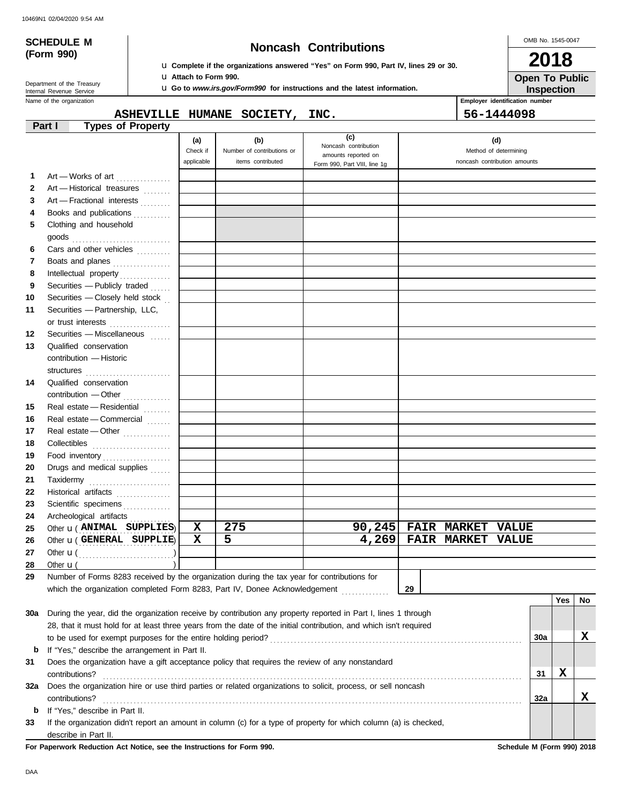# **(Form 990)**

# **SCHEDULE M Noncash Contributions**

u **Complete if the organizations answered "Yes" on Form 990, Part IV, lines 29 or 30.**

u **Go to** *www.irs.gov/Form990* **for instructions and the latest information.**

OMB No. 1545-0047

| 2018                  |
|-----------------------|
| <b>Open To Public</b> |
| <b>Inspection</b>     |

Name of the organization **Employer identification number Employer identification number** Department of the Treasury<br>Internal Revenue Service

ASHEVILLE HUMANE SOCIETY, INC.  $|56-1444098$ 

u **Attach to Form 990.**

|              | <b>Types of Property</b><br>Part I                                                                                 |             |                            |                                             |    |                    |                              |     |            |    |
|--------------|--------------------------------------------------------------------------------------------------------------------|-------------|----------------------------|---------------------------------------------|----|--------------------|------------------------------|-----|------------|----|
|              |                                                                                                                    | (a)         | (b)                        | (c)                                         |    |                    | (d)                          |     |            |    |
|              |                                                                                                                    | Check if    | Number of contributions or | Noncash contribution<br>amounts reported on |    |                    | Method of determining        |     |            |    |
|              |                                                                                                                    | applicable  | items contributed          | Form 990, Part VIII, line 1g                |    |                    | noncash contribution amounts |     |            |    |
| 1            | Art - Works of art                                                                                                 |             |                            |                                             |    |                    |                              |     |            |    |
| $\mathbf{2}$ | Art - Historical treasures                                                                                         |             |                            |                                             |    |                    |                              |     |            |    |
| 3            | Art - Fractional interests                                                                                         |             |                            |                                             |    |                    |                              |     |            |    |
| 4            | Books and publications                                                                                             |             |                            |                                             |    |                    |                              |     |            |    |
| 5            | Clothing and household                                                                                             |             |                            |                                             |    |                    |                              |     |            |    |
|              | goods $\ldots \ldots \ldots \ldots \ldots \ldots \ldots \ldots$                                                    |             |                            |                                             |    |                    |                              |     |            |    |
| 6            | Cars and other vehicles                                                                                            |             |                            |                                             |    |                    |                              |     |            |    |
| 7            | Boats and planes                                                                                                   |             |                            |                                             |    |                    |                              |     |            |    |
| 8            |                                                                                                                    |             |                            |                                             |    |                    |                              |     |            |    |
| 9            | Securities - Publicly traded                                                                                       |             |                            |                                             |    |                    |                              |     |            |    |
| 10           | Securities - Closely held stock                                                                                    |             |                            |                                             |    |                    |                              |     |            |    |
| 11           | Securities - Partnership, LLC,                                                                                     |             |                            |                                             |    |                    |                              |     |            |    |
|              | or trust interests                                                                                                 |             |                            |                                             |    |                    |                              |     |            |    |
| 12           | Securities - Miscellaneous                                                                                         |             |                            |                                             |    |                    |                              |     |            |    |
| 13           | Qualified conservation                                                                                             |             |                            |                                             |    |                    |                              |     |            |    |
|              | contribution - Historic                                                                                            |             |                            |                                             |    |                    |                              |     |            |    |
|              | structures                                                                                                         |             |                            |                                             |    |                    |                              |     |            |    |
| 14           | Qualified conservation                                                                                             |             |                            |                                             |    |                    |                              |     |            |    |
|              | contribution - Other                                                                                               |             |                            |                                             |    |                    |                              |     |            |    |
| 15           | Real estate - Residential                                                                                          |             |                            |                                             |    |                    |                              |     |            |    |
| 16           | Real estate - Commercial                                                                                           |             |                            |                                             |    |                    |                              |     |            |    |
| 17           | Real estate - Other                                                                                                |             |                            |                                             |    |                    |                              |     |            |    |
| 18           |                                                                                                                    |             |                            |                                             |    |                    |                              |     |            |    |
| 19           | Food inventory                                                                                                     |             |                            |                                             |    |                    |                              |     |            |    |
| 20           | Drugs and medical supplies                                                                                         |             |                            |                                             |    |                    |                              |     |            |    |
| 21           |                                                                                                                    |             |                            |                                             |    |                    |                              |     |            |    |
| 22           | Historical artifacts                                                                                               |             |                            |                                             |    |                    |                              |     |            |    |
| 23           | Scientific specimens                                                                                               |             |                            |                                             |    |                    |                              |     |            |    |
| 24           | Archeological artifacts                                                                                            | X           | 275                        |                                             |    | <b>FAIR MARKET</b> | <b>VALUE</b>                 |     |            |    |
| 25           | Other <b>u</b> ( <b>ANIMAL</b> SUPPLIES)<br>Other <b>u</b> (GENERAL SUPPLIE)                                       | $\mathbf x$ | 5                          | 90, 245<br>4,269                            |    | <b>FAIR MARKET</b> | <b>VALUE</b>                 |     |            |    |
| 26<br>27     |                                                                                                                    |             |                            |                                             |    |                    |                              |     |            |    |
| 28           | Other $\mathbf{u}$ (                                                                                               |             |                            |                                             |    |                    |                              |     |            |    |
| 29           | Number of Forms 8283 received by the organization during the tax year for contributions for                        |             |                            |                                             |    |                    |                              |     |            |    |
|              | which the organization completed Form 8283, Part IV, Donee Acknowledgement                                         |             |                            |                                             | 29 |                    |                              |     |            |    |
|              |                                                                                                                    |             |                            |                                             |    |                    |                              |     | <b>Yes</b> | No |
| 30a          | During the year, did the organization receive by contribution any property reported in Part I, lines 1 through     |             |                            |                                             |    |                    |                              |     |            |    |
|              | 28, that it must hold for at least three years from the date of the initial contribution, and which isn't required |             |                            |                                             |    |                    |                              |     |            |    |
|              | to be used for exempt purposes for the entire holding period?                                                      |             |                            |                                             |    |                    |                              | 30a |            | X  |
| b            | If "Yes," describe the arrangement in Part II.                                                                     |             |                            |                                             |    |                    |                              |     |            |    |
| 31           |                                                                                                                    |             |                            |                                             |    |                    |                              |     |            |    |
|              | Does the organization have a gift acceptance policy that requires the review of any nonstandard<br>contributions?  |             |                            |                                             |    |                    |                              |     | X          |    |
| 32a          | Does the organization hire or use third parties or related organizations to solicit, process, or sell noncash      |             |                            |                                             |    |                    |                              | 31  |            |    |
|              | contributions?                                                                                                     |             |                            |                                             |    |                    |                              | 32a |            | X  |
| b            | If "Yes," describe in Part II.                                                                                     |             |                            |                                             |    |                    |                              |     |            |    |
| 33           | If the organization didn't report an amount in column (c) for a type of property for which column (a) is checked,  |             |                            |                                             |    |                    |                              |     |            |    |
|              | describe in Part II.                                                                                               |             |                            |                                             |    |                    |                              |     |            |    |

**For Paperwork Reduction Act Notice, see the Instructions for Form 990. Schedule M (Form 990) 2018**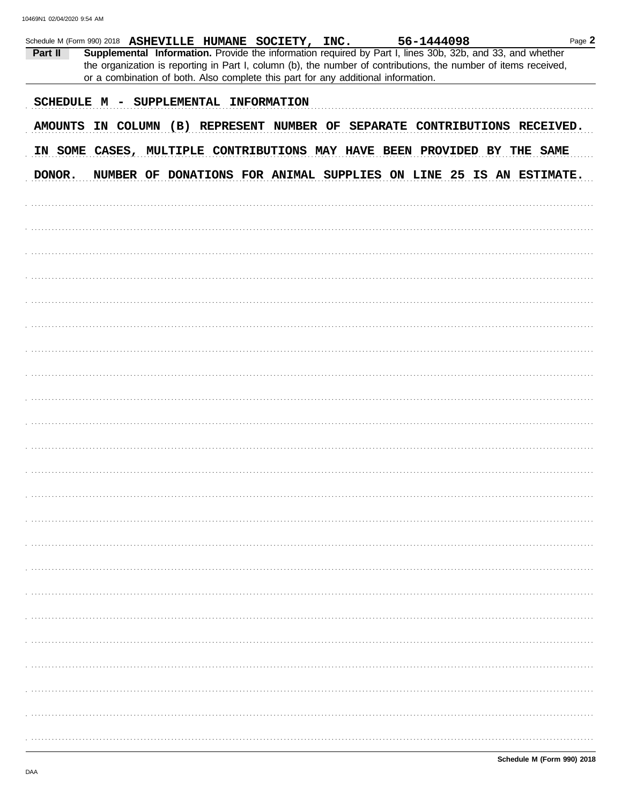| Part II | Schedule M (Form 990) 2018 ASHEVILLE HUMANE SOCIETY, INC.                         |  |  | 56-1444098<br>Supplemental Information. Provide the information required by Part I, lines 30b, 32b, and 33, and whether | Page 2                                                                     |
|---------|-----------------------------------------------------------------------------------|--|--|-------------------------------------------------------------------------------------------------------------------------|----------------------------------------------------------------------------|
|         | or a combination of both. Also complete this part for any additional information. |  |  | the organization is reporting in Part I, column (b), the number of contributions, the number of items received,         |                                                                            |
|         | SCHEDULE M - SUPPLEMENTAL INFORMATION                                             |  |  |                                                                                                                         |                                                                            |
|         |                                                                                   |  |  |                                                                                                                         | AMOUNTS IN COLUMN (B) REPRESENT NUMBER OF SEPARATE CONTRIBUTIONS RECEIVED. |
|         |                                                                                   |  |  |                                                                                                                         |                                                                            |
|         |                                                                                   |  |  | IN SOME CASES, MULTIPLE CONTRIBUTIONS MAY HAVE BEEN PROVIDED BY THE SAME                                                |                                                                            |
| DONOR.  |                                                                                   |  |  |                                                                                                                         | NUMBER OF DONATIONS FOR ANIMAL SUPPLIES ON LINE 25 IS AN ESTIMATE.         |
|         |                                                                                   |  |  |                                                                                                                         |                                                                            |
|         |                                                                                   |  |  |                                                                                                                         |                                                                            |
|         |                                                                                   |  |  |                                                                                                                         |                                                                            |
|         |                                                                                   |  |  |                                                                                                                         |                                                                            |
|         |                                                                                   |  |  |                                                                                                                         |                                                                            |
|         |                                                                                   |  |  |                                                                                                                         |                                                                            |
|         |                                                                                   |  |  |                                                                                                                         |                                                                            |
|         |                                                                                   |  |  |                                                                                                                         |                                                                            |
|         |                                                                                   |  |  |                                                                                                                         |                                                                            |
|         |                                                                                   |  |  |                                                                                                                         |                                                                            |
|         |                                                                                   |  |  |                                                                                                                         |                                                                            |
|         |                                                                                   |  |  |                                                                                                                         |                                                                            |
|         |                                                                                   |  |  |                                                                                                                         |                                                                            |
|         |                                                                                   |  |  |                                                                                                                         |                                                                            |
|         |                                                                                   |  |  |                                                                                                                         |                                                                            |
|         |                                                                                   |  |  |                                                                                                                         |                                                                            |
|         |                                                                                   |  |  |                                                                                                                         |                                                                            |
|         |                                                                                   |  |  |                                                                                                                         |                                                                            |
|         |                                                                                   |  |  |                                                                                                                         |                                                                            |
|         |                                                                                   |  |  |                                                                                                                         |                                                                            |
|         |                                                                                   |  |  |                                                                                                                         |                                                                            |
|         |                                                                                   |  |  |                                                                                                                         |                                                                            |
|         |                                                                                   |  |  |                                                                                                                         |                                                                            |
|         |                                                                                   |  |  |                                                                                                                         |                                                                            |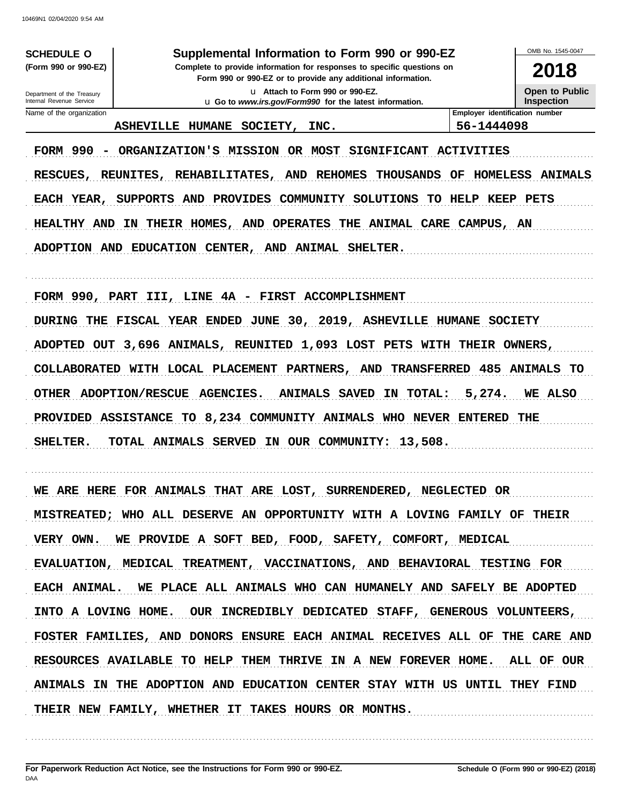**SCHEDULE O** (Form 990 or 990-EZ)

#### Supplemental Information to Form 990 or 990-EZ

Complete to provide information for responses to specific questions on Form 990 or 990-EZ or to provide any additional information.

> u Attach to Form 990 or 990-EZ. u Go to www.irs.gov/Form990 for the latest information.

OMB No. 1545-0047 2018

**Open to Public** Inspection

Department of the Treasury Internal Revenue Service Name of the organization

ASHEVILLE HUMANE SOCIETY, INC.

56-1444098

Employer identification number

FORM 990 - ORGANIZATION'S MISSION OR MOST SIGNIFICANT ACTIVITIES RESCUES, REUNITES, REHABILITATES, AND REHOMES THOUSANDS OF HOMELESS ANIMALS EACH YEAR, SUPPORTS AND PROVIDES COMMUNITY SOLUTIONS TO HELP KEEP PETS HEALTHY AND IN THEIR HOMES, AND OPERATES THE ANIMAL CARE CAMPUS, AN ADOPTION AND EDUCATION CENTER, AND ANIMAL SHELTER.

FORM 990, PART III, LINE 4A - FIRST ACCOMPLISHMENT DURING THE FISCAL YEAR ENDED JUNE 30, 2019, ASHEVILLE HUMANE SOCIETY ADOPTED OUT 3,696 ANIMALS, REUNITED 1,093 LOST PETS WITH THEIR OWNERS, COLLABORATED WITH LOCAL PLACEMENT PARTNERS, AND TRANSFERRED 485 ANIMALS TO OTHER ADOPTION/RESCUE AGENCIES. ANIMALS SAVED IN TOTAL:  $5,274.$ WE ALSO PROVIDED ASSISTANCE TO 8,234 COMMUNITY ANIMALS WHO NEVER ENTERED THE TOTAL ANIMALS SERVED IN OUR COMMUNITY: 13,508. SHELTER.

WE ARE HERE FOR ANIMALS THAT ARE LOST, SURRENDERED, NEGLECTED OR MISTREATED; WHO ALL DESERVE AN OPPORTUNITY WITH A LOVING FAMILY OF THEIR VERY OWN. WE PROVIDE A SOFT BED, FOOD, SAFETY, COMFORT, MEDICAL EVALUATION, MEDICAL TREATMENT, VACCINATIONS, AND BEHAVIORAL TESTING FOR WE PLACE ALL ANIMALS WHO CAN HUMANELY AND SAFELY BE ADOPTED EACH ANIMAL. INTO A LOVING HOME. OUR INCREDIBLY DEDICATED STAFF, GENEROUS VOLUNTEERS, FOSTER FAMILIES, AND DONORS ENSURE EACH ANIMAL RECEIVES ALL OF THE CARE AND RESOURCES AVAILABLE TO HELP THEM THRIVE IN A NEW FOREVER HOME. ALL OF OUR ANIMALS IN THE ADOPTION AND EDUCATION CENTER STAY WITH US UNTIL **THEY FIND** THEIR NEW FAMILY, WHETHER IT TAKES HOURS OR MONTHS.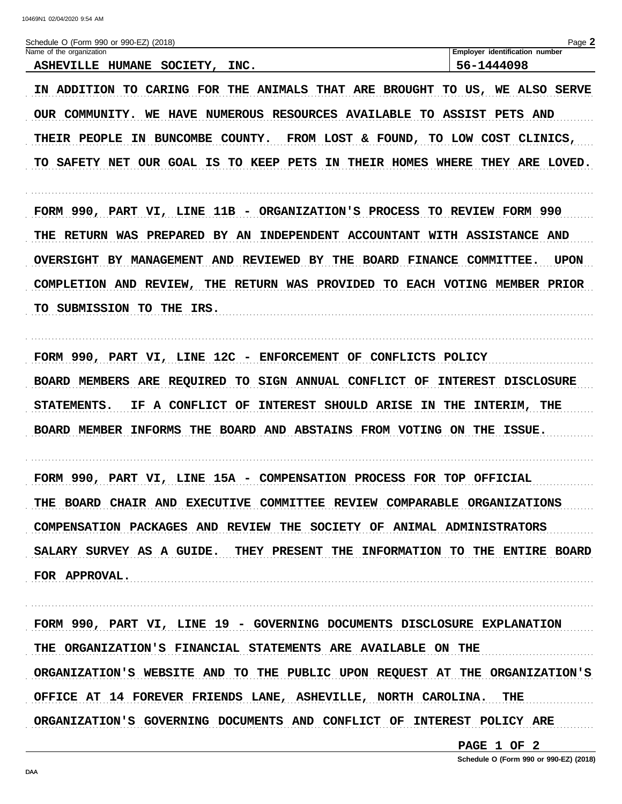10469N1 02/04/2020 9:54 AM Schedule O (Form 990 or 990-EZ) (2018) Page 2 Employer identification number Name of the organization ASHEVILLE HUMANE SOCIETY, INC. 56-1444098 IN ADDITION TO CARING FOR THE ANIMALS THAT ARE BROUGHT TO US, WE ALSO SERVE OUR COMMUNITY. WE HAVE NUMEROUS RESOURCES AVAILABLE TO ASSIST PETS AND THEIR PEOPLE IN BUNCOMBE COUNTY. FROM LOST & FOUND, TO LOW COST CLINICS, TO SAFETY NET OUR GOAL IS TO KEEP PETS IN THEIR HOMES WHERE THEY ARE LOVED. FORM 990, PART VI, LINE 11B - ORGANIZATION'S PROCESS TO REVIEW FORM 990 THE RETURN WAS PREPARED BY AN INDEPENDENT ACCOUNTANT WITH ASSISTANCE AND OVERSIGHT BY MANAGEMENT AND REVIEWED BY THE BOARD FINANCE COMMITTEE. UPON COMPLETION AND REVIEW, THE RETURN WAS PROVIDED TO EACH VOTING MEMBER PRIOR TO SUBMISSION TO THE IRS. FORM 990, PART VI, LINE 12C - ENFORCEMENT OF CONFLICTS POLICY BOARD MEMBERS ARE REQUIRED TO SIGN ANNUAL CONFLICT OF INTEREST DISCLOSURE STATEMENTS. IF A CONFLICT OF INTEREST SHOULD ARISE IN THE INTERIM, THE BOARD MEMBER INFORMS THE BOARD AND ABSTAINS FROM VOTING ON THE ISSUE. FORM 990, PART VI, LINE 15A - COMPENSATION PROCESS FOR TOP OFFICIAL THE BOARD CHAIR AND EXECUTIVE COMMITTEE REVIEW COMPARABLE ORGANIZATIONS COMPENSATION PACKAGES AND REVIEW THE SOCIETY OF ANIMAL ADMINISTRATORS SALARY SURVEY AS A GUIDE. THEY PRESENT THE INFORMATION TO THE ENTIRE BOARD FOR APPROVAL. FORM 990, PART VI, LINE 19 - GOVERNING DOCUMENTS DISCLOSURE EXPLANATION THE ORGANIZATION'S FINANCIAL STATEMENTS ARE AVAILABLE ON THE ORGANIZATION'S WEBSITE AND TO THE PUBLIC UPON REQUEST AT THE ORGANIZATION'S OFFICE AT 14 FOREVER FRIENDS LANE, ASHEVILLE, NORTH CAROLINA. THE ORGANIZATION'S GOVERNING DOCUMENTS AND CONFLICT OF INTEREST POLICY ARE

PAGE 1 OF 2

Schedule O (Form 990 or 990-EZ) (2018)